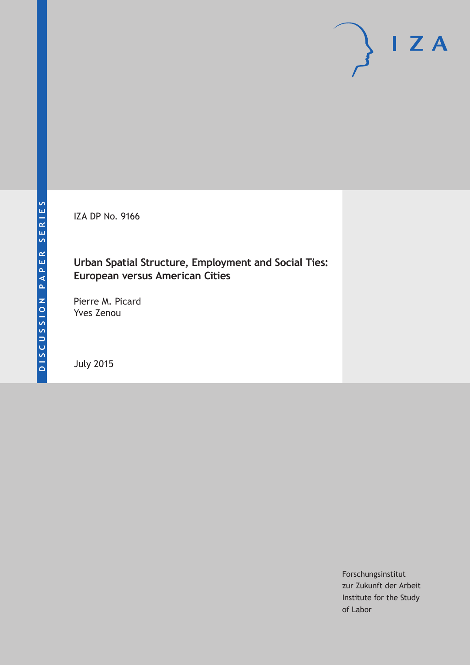IZA DP No. 9166

# **Urban Spatial Structure, Employment and Social Ties: European versus American Cities**

Pierre M. Picard Yves Zenou

July 2015

Forschungsinstitut zur Zukunft der Arbeit Institute for the Study of Labor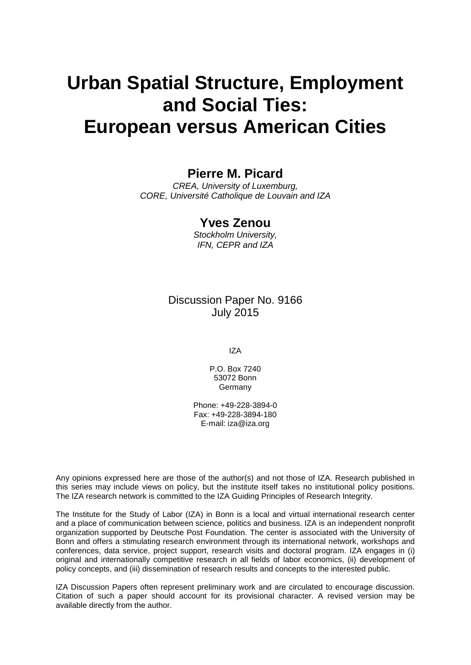# **Urban Spatial Structure, Employment and Social Ties: European versus American Cities**

# **Pierre M. Picard**

*CREA, University of Luxemburg, CORE, Université Catholique de Louvain and IZA*

## **Yves Zenou**

*Stockholm University, IFN, CEPR and IZA*

## Discussion Paper No. 9166 July 2015

IZA

P.O. Box 7240 53072 Bonn Germany

Phone: +49-228-3894-0 Fax: +49-228-3894-180 E-mail: iza@iza.org

Any opinions expressed here are those of the author(s) and not those of IZA. Research published in this series may include views on policy, but the institute itself takes no institutional policy positions. The IZA research network is committed to the IZA Guiding Principles of Research Integrity.

The Institute for the Study of Labor (IZA) in Bonn is a local and virtual international research center and a place of communication between science, politics and business. IZA is an independent nonprofit organization supported by Deutsche Post Foundation. The center is associated with the University of Bonn and offers a stimulating research environment through its international network, workshops and conferences, data service, project support, research visits and doctoral program. IZA engages in (i) original and internationally competitive research in all fields of labor economics, (ii) development of policy concepts, and (iii) dissemination of research results and concepts to the interested public.

<span id="page-1-0"></span>IZA Discussion Papers often represent preliminary work and are circulated to encourage discussion. Citation of such a paper should account for its provisional character. A revised version may be available directly from the author.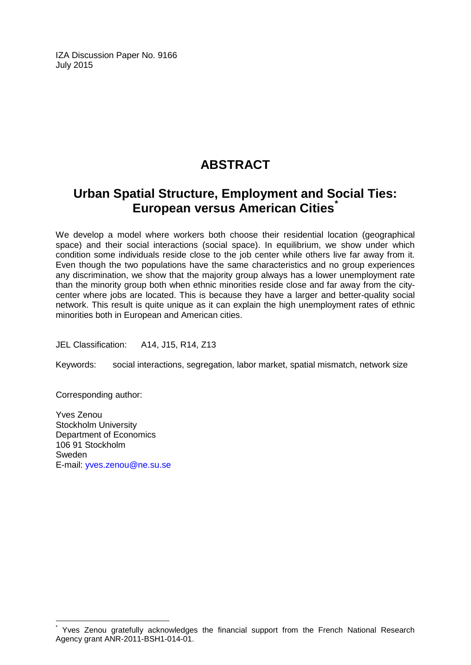IZA Discussion Paper No. 9166 July 2015

# **ABSTRACT**

# **Urban Spatial Structure, Employment and Social Ties: European versus American Cities[\\*](#page-1-0)**

We develop a model where workers both choose their residential location (geographical space) and their social interactions (social space). In equilibrium, we show under which condition some individuals reside close to the job center while others live far away from it. Even though the two populations have the same characteristics and no group experiences any discrimination, we show that the majority group always has a lower unemployment rate than the minority group both when ethnic minorities reside close and far away from the citycenter where jobs are located. This is because they have a larger and better-quality social network. This result is quite unique as it can explain the high unemployment rates of ethnic minorities both in European and American cities.

JEL Classification: A14, J15, R14, Z13

Keywords: social interactions, segregation, labor market, spatial mismatch, network size

Corresponding author:

Yves Zenou Stockholm University Department of Economics 106 91 Stockholm Sweden E-mail: [yves.zenou@ne.su.se](mailto:yves.zenou@ne.su.se)

Yves Zenou gratefully acknowledges the financial support from the French National Research Agency grant ANR-2011-BSH1-014-01.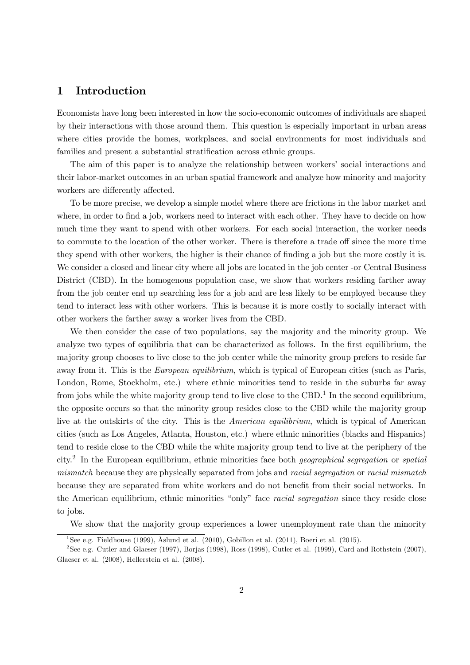#### 1 Introduction

Economists have long been interested in how the socio-economic outcomes of individuals are shaped by their interactions with those around them. This question is especially important in urban areas where cities provide the homes, workplaces, and social environments for most individuals and families and present a substantial stratification across ethnic groups.

The aim of this paper is to analyze the relationship between workers' social interactions and their labor-market outcomes in an urban spatial framework and analyze how minority and majority workers are differently affected.

To be more precise, we develop a simple model where there are frictions in the labor market and where, in order to find a job, workers need to interact with each other. They have to decide on how much time they want to spend with other workers. For each social interaction, the worker needs to commute to the location of the other worker. There is therefore a trade off since the more time they spend with other workers, the higher is their chance of finding a job but the more costly it is. We consider a closed and linear city where all jobs are located in the job center -or Central Business District (CBD). In the homogenous population case, we show that workers residing farther away from the job center end up searching less for a job and are less likely to be employed because they tend to interact less with other workers. This is because it is more costly to socially interact with other workers the farther away a worker lives from the CBD.

We then consider the case of two populations, say the majority and the minority group. We analyze two types of equilibria that can be characterized as follows. In the first equilibrium, the majority group chooses to live close to the job center while the minority group prefers to reside far away from it. This is the *European equilibrium*, which is typical of European cities (such as Paris, London, Rome, Stockholm, etc.) where ethnic minorities tend to reside in the suburbs far away from jobs while the white majority group tend to live close to the CBD.<sup>1</sup> In the second equilibrium, the opposite occurs so that the minority group resides close to the CBD while the majority group live at the outskirts of the city. This is the American equilibrium, which is typical of American cities (such as Los Angeles, Atlanta, Houston, etc.) where ethnic minorities (blacks and Hispanics) tend to reside close to the CBD while the white majority group tend to live at the periphery of the city.2 In the European equilibrium, ethnic minorities face both geographical segregation or spatial mismatch because they are physically separated from jobs and racial segregation or racial mismatch because they are separated from white workers and do not benefit from their social networks. In the American equilibrium, ethnic minorities "only" face racial segregation since they reside close to jobs.

We show that the majority group experiences a lower unemployment rate than the minority

<sup>&</sup>lt;sup>1</sup>See e.g. Fieldhouse (1999), Åslund et al. (2010), Gobillon et al. (2011), Boeri et al. (2015).

<sup>&</sup>lt;sup>2</sup>See e.g. Cutler and Glaeser (1997), Borjas (1998), Ross (1998), Cutler et al. (1999), Card and Rothstein (2007), Glaeser et al. (2008), Hellerstein et al. (2008).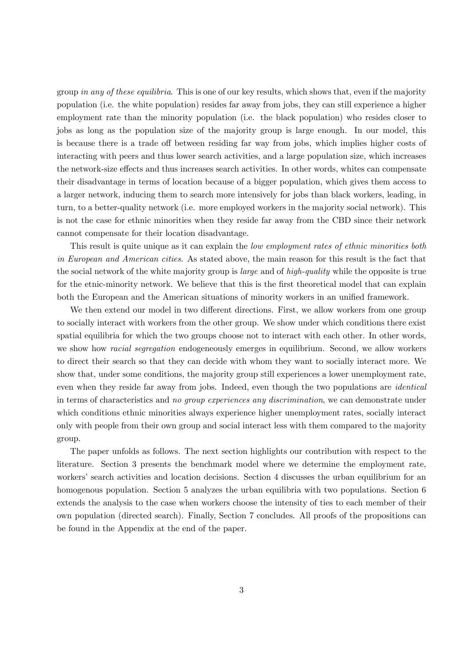group in any of these equilibria. This is one of our key results, which shows that, even if the majority population (i.e. the white population) resides far away from jobs, they can still experience a higher employment rate than the minority population (i.e. the black population) who resides closer to jobs as long as the population size of the majority group is large enough. In our model, this is because there is a trade off between residing far way from jobs, which implies higher costs of interacting with peers and thus lower search activities, and a large population size, which increases the network-size effects and thus increases search activities. In other words, whites can compensate their disadvantage in terms of location because of a bigger population, which gives them access to a larger network, inducing them to search more intensively for jobs than black workers, leading, in turn, to a better-quality network (i.e. more employed workers in the majority social network). This is not the case for ethnic minorities when they reside far away from the CBD since their network cannot compensate for their location disadvantage.

This result is quite unique as it can explain the *low employment rates of ethnic minorities both* in European and American cities. As stated above, the main reason for this result is the fact that the social network of the white majority group is large and of high-quality while the opposite is true for the etnic-minority network. We believe that this is the first theoretical model that can explain both the European and the American situations of minority workers in an unified framework.

We then extend our model in two different directions. First, we allow workers from one group to socially interact with workers from the other group. We show under which conditions there exist spatial equilibria for which the two groups choose not to interact with each other. In other words, we show how *racial segregation* endogeneously emerges in equilibrium. Second, we allow workers to direct their search so that they can decide with whom they want to socially interact more. We show that, under some conditions, the majority group still experiences a lower unemployment rate, even when they reside far away from jobs. Indeed, even though the two populations are *identical* in terms of characteristics and no group experiences any discrimination, we can demonstrate under which conditions ethnic minorities always experience higher unemployment rates, socially interact only with people from their own group and social interact less with them compared to the majority group.

The paper unfolds as follows. The next section highlights our contribution with respect to the literature. Section 3 presents the benchmark model where we determine the employment rate, workers' search activities and location decisions. Section 4 discusses the urban equilibrium for an homogenous population. Section 5 analyzes the urban equilibria with two populations. Section 6 extends the analysis to the case when workers choose the intensity of ties to each member of their own population (directed search). Finally, Section 7 concludes. All proofs of the propositions can be found in the Appendix at the end of the paper.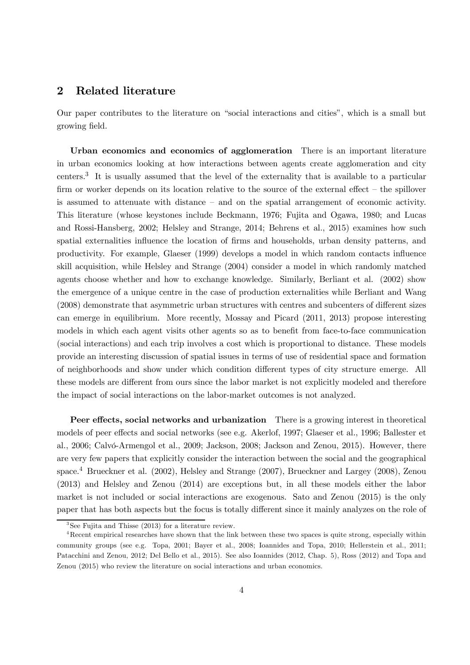#### 2 Related literature

Our paper contributes to the literature on "social interactions and cities", which is a small but growing field.

Urban economics and economics of agglomeration There is an important literature in urban economics looking at how interactions between agents create agglomeration and city centers.3 It is usually assumed that the level of the externality that is available to a particular firm or worker depends on its location relative to the source of the external effect – the spillover is assumed to attenuate with distance — and on the spatial arrangement of economic activity. This literature (whose keystones include Beckmann, 1976; Fujita and Ogawa, 1980; and Lucas and Rossi-Hansberg, 2002; Helsley and Strange, 2014; Behrens et al., 2015) examines how such spatial externalities influence the location of firms and households, urban density patterns, and productivity. For example, Glaeser (1999) develops a model in which random contacts influence skill acquisition, while Helsley and Strange (2004) consider a model in which randomly matched agents choose whether and how to exchange knowledge. Similarly, Berliant et al. (2002) show the emergence of a unique centre in the case of production externalities while Berliant and Wang (2008) demonstrate that asymmetric urban structures with centres and subcenters of different sizes can emerge in equilibrium. More recently, Mossay and Picard (2011, 2013) propose interesting models in which each agent visits other agents so as to benefit from face-to-face communication (social interactions) and each trip involves a cost which is proportional to distance. These models provide an interesting discussion of spatial issues in terms of use of residential space and formation of neighborhoods and show under which condition different types of city structure emerge. All these models are different from ours since the labor market is not explicitly modeled and therefore the impact of social interactions on the labor-market outcomes is not analyzed.

Peer effects, social networks and urbanization There is a growing interest in theoretical models of peer effects and social networks (see e.g. Akerlof, 1997; Glaeser et al., 1996; Ballester et al., 2006; Calvó-Armengol et al., 2009; Jackson, 2008; Jackson and Zenou, 2015). However, there are very few papers that explicitly consider the interaction between the social and the geographical space.<sup>4</sup> Brueckner et al. (2002), Helsley and Strange (2007), Brueckner and Largey (2008), Zenou (2013) and Helsley and Zenou (2014) are exceptions but, in all these models either the labor market is not included or social interactions are exogenous. Sato and Zenou (2015) is the only paper that has both aspects but the focus is totally different since it mainly analyzes on the role of

 $3$ See Fujita and Thisse (2013) for a literature review.

<sup>&</sup>lt;sup>4</sup>Recent empirical researches have shown that the link between these two spaces is quite strong, especially within community groups (see e.g. Topa, 2001; Bayer et al., 2008; Ioannides and Topa, 2010; Hellerstein et al., 2011; Patacchini and Zenou, 2012; Del Bello et al., 2015). See also Ioannides (2012, Chap. 5), Ross (2012) and Topa and Zenou (2015) who review the literature on social interactions and urban economics.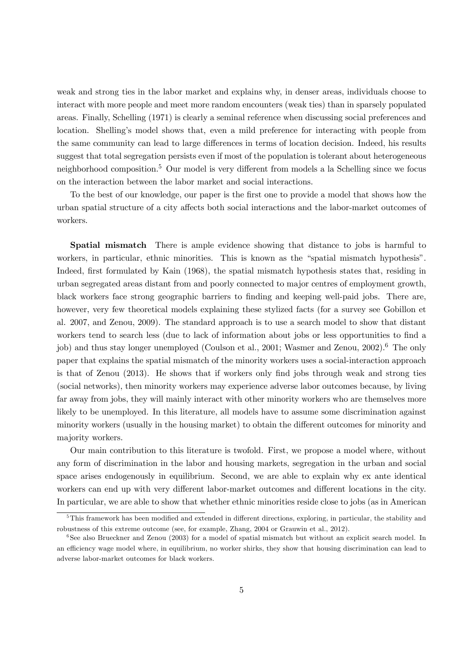weak and strong ties in the labor market and explains why, in denser areas, individuals choose to interact with more people and meet more random encounters (weak ties) than in sparsely populated areas. Finally, Schelling (1971) is clearly a seminal reference when discussing social preferences and location. Shelling's model shows that, even a mild preference for interacting with people from the same community can lead to large differences in terms of location decision. Indeed, his results suggest that total segregation persists even if most of the population is tolerant about heterogeneous neighborhood composition.<sup>5</sup> Our model is very different from models a la Schelling since we focus on the interaction between the labor market and social interactions.

To the best of our knowledge, our paper is the first one to provide a model that shows how the urban spatial structure of a city affects both social interactions and the labor-market outcomes of workers.

Spatial mismatch There is ample evidence showing that distance to jobs is harmful to workers, in particular, ethnic minorities. This is known as the "spatial mismatch hypothesis". Indeed, first formulated by Kain (1968), the spatial mismatch hypothesis states that, residing in urban segregated areas distant from and poorly connected to major centres of employment growth, black workers face strong geographic barriers to finding and keeping well-paid jobs. There are, however, very few theoretical models explaining these stylized facts (for a survey see Gobillon et al. 2007, and Zenou, 2009). The standard approach is to use a search model to show that distant workers tend to search less (due to lack of information about jobs or less opportunities to find a job) and thus stay longer unemployed (Coulson et al., 2001; Wasmer and Zenou, 2002).<sup>6</sup> The only paper that explains the spatial mismatch of the minority workers uses a social-interaction approach is that of Zenou (2013). He shows that if workers only find jobs through weak and strong ties (social networks), then minority workers may experience adverse labor outcomes because, by living far away from jobs, they will mainly interact with other minority workers who are themselves more likely to be unemployed. In this literature, all models have to assume some discrimination against minority workers (usually in the housing market) to obtain the different outcomes for minority and majority workers.

Our main contribution to this literature is twofold. First, we propose a model where, without any form of discrimination in the labor and housing markets, segregation in the urban and social space arises endogenously in equilibrium. Second, we are able to explain why ex ante identical workers can end up with very different labor-market outcomes and different locations in the city. In particular, we are able to show that whether ethnic minorities reside close to jobs (as in American

<sup>&</sup>lt;sup>5</sup>This framework has been modified and extended in different directions, exploring, in particular, the stability and robustness of this extreme outcome (see, for example, Zhang, 2004 or Grauwin et al., 2012).

<sup>&</sup>lt;sup>6</sup>See also Brueckner and Zenou (2003) for a model of spatial mismatch but without an explicit search model. In an efficiency wage model where, in equilibrium, no worker shirks, they show that housing discrimination can lead to adverse labor-market outcomes for black workers.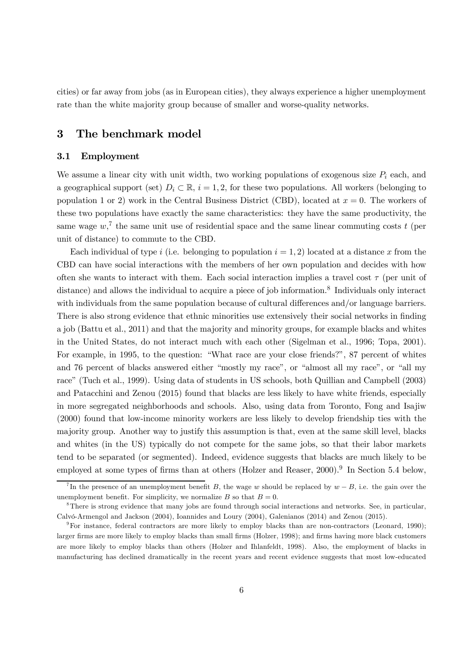cities) or far away from jobs (as in European cities), they always experience a higher unemployment rate than the white majority group because of smaller and worse-quality networks.

### 3 The benchmark model

#### 3.1 Employment

We assume a linear city with unit width, two working populations of exogenous size  $P_i$  each, and a geographical support (set)  $D_i \subset \mathbb{R}$ ,  $i = 1, 2$ , for these two populations. All workers (belonging to population 1 or 2) work in the Central Business District (CBD), located at  $x = 0$ . The workers of these two populations have exactly the same characteristics: they have the same productivity, the same wage  $w<sub>i</sub>$ <sup>7</sup> the same unit use of residential space and the same linear commuting costs t (per unit of distance) to commute to the CBD.

Each individual of type i (i.e. belonging to population  $i = 1, 2$ ) located at a distance x from the CBD can have social interactions with the members of her own population and decides with how often she wants to interact with them. Each social interaction implies a travel cost  $\tau$  (per unit of distance) and allows the individual to acquire a piece of job information.<sup>8</sup> Individuals only interact with individuals from the same population because of cultural differences and/or language barriers. There is also strong evidence that ethnic minorities use extensively their social networks in finding a job (Battu et al., 2011) and that the majority and minority groups, for example blacks and whites in the United States, do not interact much with each other (Sigelman et al., 1996; Topa, 2001). For example, in 1995, to the question: "What race are your close friends?", 87 percent of whites and 76 percent of blacks answered either "mostly my race", or "almost all my race", or "all my race" (Tuch et al., 1999). Using data of students in US schools, both Quillian and Campbell (2003) and Patacchini and Zenou (2015) found that blacks are less likely to have white friends, especially in more segregated neighborhoods and schools. Also, using data from Toronto, Fong and Isajiw (2000) found that low-income minority workers are less likely to develop friendship ties with the majority group. Another way to justify this assumption is that, even at the same skill level, blacks and whites (in the US) typically do not compete for the same jobs, so that their labor markets tend to be separated (or segmented). Indeed, evidence suggests that blacks are much likely to be employed at some types of firms than at others (Holzer and Reaser, 2000).<sup>9</sup> In Section 5.4 below,

<sup>&</sup>lt;sup>7</sup>In the presence of an unemployment benefit B, the wage w should be replaced by  $w - B$ , i.e. the gain over the unemployment benefit. For simplicity, we normalize  $B$  so that  $B=0$ .

<sup>&</sup>lt;sup>8</sup>There is strong evidence that many jobs are found through social interactions and networks. See, in particular, Calvó-Armengol and Jackson (2004), Ioannides and Loury (2004), Galenianos (2014) and Zenou (2015).

<sup>9</sup>For instance, federal contractors are more likely to employ blacks than are non-contractors (Leonard, 1990); larger firms are more likely to employ blacks than small firms (Holzer, 1998); and firms having more black customers are more likely to employ blacks than others (Holzer and Ihlanfeldt, 1998). Also, the employment of blacks in manufacturing has declined dramatically in the recent years and recent evidence suggests that most low-educated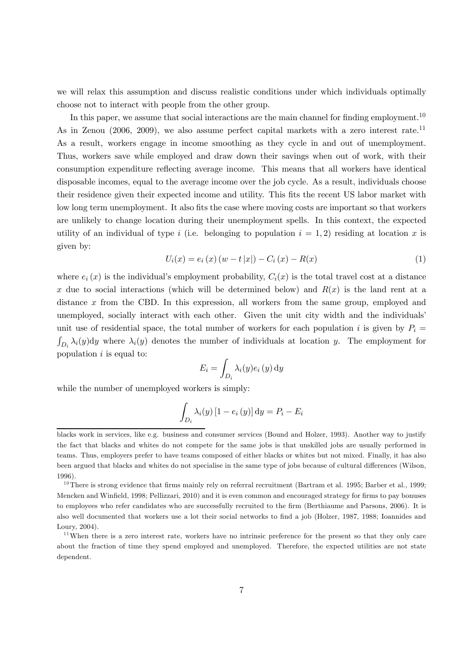we will relax this assumption and discuss realistic conditions under which individuals optimally choose not to interact with people from the other group.

In this paper, we assume that social interactions are the main channel for finding employment.<sup>10</sup> As in Zenou (2006, 2009), we also assume perfect capital markets with a zero interest rate.<sup>11</sup> As a result, workers engage in income smoothing as they cycle in and out of unemployment. Thus, workers save while employed and draw down their savings when out of work, with their consumption expenditure reflecting average income. This means that all workers have identical disposable incomes, equal to the average income over the job cycle. As a result, individuals choose their residence given their expected income and utility. This fits the recent US labor market with low long term unemployment. It also fits the case where moving costs are important so that workers are unlikely to change location during their unemployment spells. In this context, the expected utility of an individual of type *i* (i.e. belonging to population  $i = 1, 2$ ) residing at location x is given by:

$$
U_i(x) = e_i(x) (w - t |x|) - C_i(x) - R(x)
$$
\n(1)

where  $e_i(x)$  is the individual's employment probability,  $C_i(x)$  is the total travel cost at a distance x due to social interactions (which will be determined below) and  $R(x)$  is the land rent at a distance  $x$  from the CBD. In this expression, all workers from the same group, employed and unemployed, socially interact with each other. Given the unit city width and the individuals' unit use of residential space, the total number of workers for each population i is given by  $P_i =$  $\int_{D_i} \lambda_i(y) dy$  where  $\lambda_i(y)$  denotes the number of individuals at location y. The employment for population  $i$  is equal to:

$$
E_i = \int_{D_i} \lambda_i(y) e_i(y) \, dy
$$

while the number of unemployed workers is simply:

$$
\int_{D_i} \lambda_i(y) \left[1 - e_i(y)\right] dy = P_i - E_i
$$

blacks work in services, like e.g. business and consumer services (Bound and Holzer, 1993). Another way to justify the fact that blacks and whites do not compete for the same jobs is that unskilled jobs are usually performed in teams. Thus, employers prefer to have teams composed of either blacks or whites but not mixed. Finally, it has also been argued that blacks and whites do not specialise in the same type of jobs because of cultural differences (Wilson, 1996).

 $10$ There is strong evidence that firms mainly rely on referral recruitment (Bartram et al. 1995; Barber et al., 1999; Mencken and Winfield, 1998; Pellizzari, 2010) and it is even common and encouraged strategy for firms to pay bonuses to employees who refer candidates who are successfully recruited to the firm (Berthiaume and Parsons, 2006). It is also well documented that workers use a lot their social networks to find a job (Holzer, 1987, 1988; Ioannides and Loury, 2004).

<sup>&</sup>lt;sup>11</sup>When there is a zero interest rate, workers have no intrinsic preference for the present so that they only care about the fraction of time they spend employed and unemployed. Therefore, the expected utilities are not state dependent.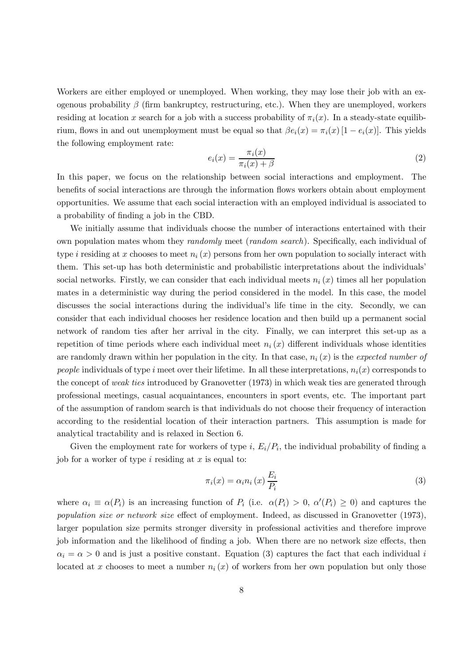Workers are either employed or unemployed. When working, they may lose their job with an exogenous probability  $\beta$  (firm bankruptcy, restructuring, etc.). When they are unemployed, workers residing at location x search for a job with a success probability of  $\pi_i(x)$ . In a steady-state equilibrium, flows in and out unemployment must be equal so that  $\beta e_i(x) = \pi_i(x) [1 - e_i(x)]$ . This yields the following employment rate:

$$
e_i(x) = \frac{\pi_i(x)}{\pi_i(x) + \beta} \tag{2}
$$

In this paper, we focus on the relationship between social interactions and employment. The benefits of social interactions are through the information flows workers obtain about employment opportunities. We assume that each social interaction with an employed individual is associated to a probability of finding a job in the CBD.

We initially assume that individuals choose the number of interactions entertained with their own population mates whom they *randomly* meet (*random search*). Specifically, each individual of type *i* residing at x chooses to meet  $n_i(x)$  persons from her own population to socially interact with them. This set-up has both deterministic and probabilistic interpretations about the individuals' social networks. Firstly, we can consider that each individual meets  $n_i(x)$  times all her population mates in a deterministic way during the period considered in the model. In this case, the model discusses the social interactions during the individual's life time in the city. Secondly, we can consider that each individual chooses her residence location and then build up a permanent social network of random ties after her arrival in the city. Finally, we can interpret this set-up as a repetition of time periods where each individual meet  $n_i(x)$  different individuals whose identities are randomly drawn within her population in the city. In that case,  $n_i(x)$  is the expected number of people individuals of type *i* meet over their lifetime. In all these interpretations,  $n_i(x)$  corresponds to the concept of weak ties introduced by Granovetter (1973) in which weak ties are generated through professional meetings, casual acquaintances, encounters in sport events, etc. The important part of the assumption of random search is that individuals do not choose their frequency of interaction according to the residential location of their interaction partners. This assumption is made for analytical tractability and is relaxed in Section 6.

Given the employment rate for workers of type i,  $E_i/P_i$ , the individual probability of finding a job for a worker of type  $i$  residing at  $x$  is equal to:

$$
\pi_i(x) = \alpha_i n_i(x) \frac{E_i}{P_i} \tag{3}
$$

where  $\alpha_i \equiv \alpha(P_i)$  is an increasing function of  $P_i$  (i.e.  $\alpha(P_i) > 0$ ,  $\alpha'(P_i) \geq 0$ ) and captures the population size or network size effect of employment. Indeed, as discussed in Granovetter (1973), larger population size permits stronger diversity in professional activities and therefore improve job information and the likelihood of finding a job. When there are no network size effects, then  $\alpha_i = \alpha > 0$  and is just a positive constant. Equation (3) captures the fact that each individual i located at x chooses to meet a number  $n_i(x)$  of workers from her own population but only those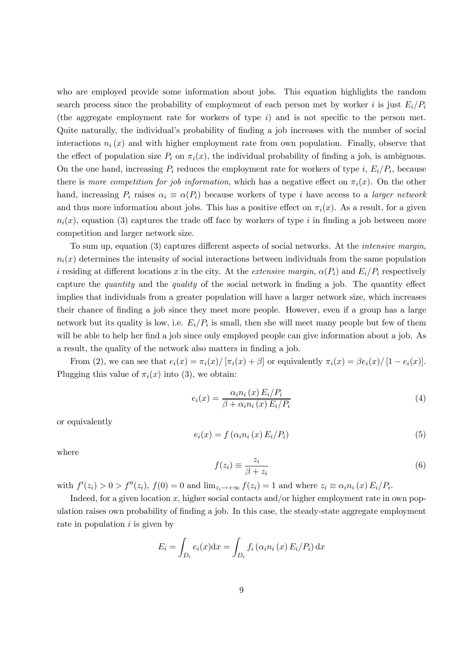who are employed provide some information about jobs. This equation highlights the random search process since the probability of employment of each person met by worker *i* is just  $E_i/P_i$ (the aggregate employment rate for workers of type  $i$ ) and is not specific to the person met. Quite naturally, the individual's probability of finding a job increases with the number of social interactions  $n_i(x)$  and with higher employment rate from own population. Finally, observe that the effect of population size  $P_i$  on  $\pi_i(x)$ , the individual probability of finding a job, is ambiguous. On the one hand, increasing  $P_i$  reduces the employment rate for workers of type i,  $E_i/P_i$ , because there is more competition for job information, which has a negative effect on  $\pi_i(x)$ . On the other hand, increasing  $P_i$  raises  $\alpha_i \equiv \alpha(P_i)$  because workers of type *i* have access to a *larger network* and thus more information about jobs. This has a positive effect on  $\pi_i(x)$ . As a result, for a given  $n_i(x)$ , equation (3) captures the trade off face by workers of type *i* in finding a job between more competition and larger network size.

To sum up, equation (3) captures different aspects of social networks. At the intensive margin,  $n_i(x)$  determines the intensity of social interactions between individuals from the same population i residing at different locations x in the city. At the extensive margin,  $\alpha(P_i)$  and  $E_i/P_i$  respectively capture the quantity and the quality of the social network in finding a job. The quantity effect implies that individuals from a greater population will have a larger network size, which increases their chance of finding a job since they meet more people. However, even if a group has a large network but its quality is low, i.e.  $E_i/P_i$  is small, then she will meet many people but few of them will be able to help her find a job since only employed people can give information about a job. As a result, the quality of the network also matters in finding a job.

From (2), we can see that  $e_i(x) = \pi_i(x) / [\pi_i(x) + \beta]$  or equivalently  $\pi_i(x) = \beta e_i(x) / [1 - e_i(x)].$ Plugging this value of  $\pi_i(x)$  into (3), we obtain:

$$
e_i(x) = \frac{\alpha_i n_i(x) E_i / P_i}{\beta + \alpha_i n_i(x) E_i / P_i}
$$
\n
$$
\tag{4}
$$

or equivalently

$$
e_i(x) = f\left(\alpha_i n_i\left(x\right) E_i/P_i\right) \tag{5}
$$

where

$$
f(z_i) \equiv \frac{z_i}{\beta + z_i} \tag{6}
$$

with  $f'(z_i) > 0 > f''(z_i)$ ,  $f(0) = 0$  and  $\lim_{z_i \to +\infty} f(z_i) = 1$  and where  $z_i \equiv \alpha_i n_i(x) E_i/P_i$ .

Indeed, for a given location x, higher social contacts and/or higher employment rate in own population raises own probability of finding a job. In this case, the steady-state aggregate employment rate in population  $i$  is given by

$$
E_i = \int_{D_i} e_i(x) dx = \int_{D_i} f_i(\alpha_i n_i(x) E_i/P_i) dx
$$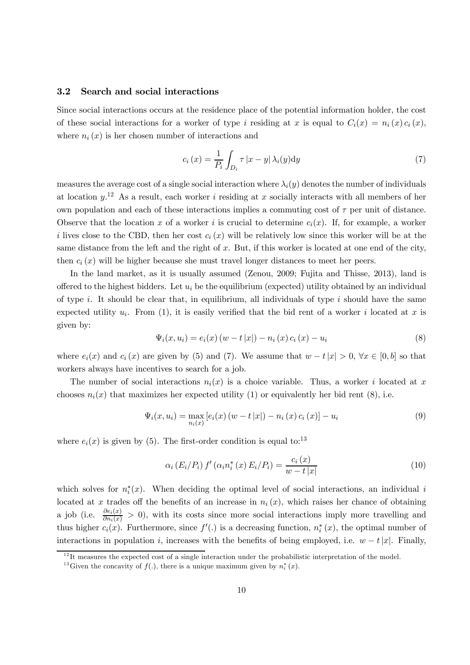#### 3.2 Search and social interactions

Since social interactions occurs at the residence place of the potential information holder, the cost of these social interactions for a worker of type i residing at x is equal to  $C_i(x) = n_i(x) c_i(x)$ , where  $n_i(x)$  is her chosen number of interactions and

$$
c_i(x) = \frac{1}{P_i} \int_{D_i} \tau |x - y| \lambda_i(y) dy
$$
\n(7)

measures the average cost of a single social interaction where  $\lambda_i(y)$  denotes the number of individuals at location  $y^{12}$ . As a result, each worker *i* residing at x socially interacts with all members of her own population and each of these interactions implies a commuting cost of  $\tau$  per unit of distance. Observe that the location x of a worker i is crucial to determine  $c_i(x)$ . If, for example, a worker i lives close to the CBD, then her cost  $c_i(x)$  will be relatively low since this worker will be at the same distance from the left and the right of  $x$ . But, if this worker is located at one end of the city, then  $c_i(x)$  will be higher because she must travel longer distances to meet her peers.

In the land market, as it is usually assumed (Zenou, 2009; Fujita and Thisse, 2013), land is offered to the highest bidders. Let  $u_i$  be the equilibrium (expected) utility obtained by an individual of type  $i$ . It should be clear that, in equilibrium, all individuals of type  $i$  should have the same expected utility  $u_i$ . From (1), it is easily verified that the bid rent of a worker i located at x is given by:

$$
\Psi_i(x, u_i) = e_i(x) (w - t |x|) - n_i(x) c_i(x) - u_i
$$
\n(8)

where  $e_i(x)$  and  $c_i(x)$  are given by (5) and (7). We assume that  $w - t |x| > 0$ ,  $\forall x \in [0, b]$  so that workers always have incentives to search for a job.

The number of social interactions  $n_i(x)$  is a choice variable. Thus, a worker i located at x chooses  $n_i(x)$  that maximizes her expected utility (1) or equivalently her bid rent (8), i.e.

$$
\Psi_i(x, u_i) = \max_{n_i(x)} \left[ e_i(x) \left( w - t |x| \right) - n_i(x) \, c_i(x) \right] - u_i \tag{9}
$$

where  $e_i(x)$  is given by (5). The first-order condition is equal to:<sup>13</sup>

$$
\alpha_i (E_i/P_i) f' (\alpha_i n_i^* (x) E_i/P_i) = \frac{c_i (x)}{w - t |x|}
$$
 (10)

which solves for  $n_i^*(x)$ . When deciding the optimal level of social interactions, an individual i located at x trades off the benefits of an increase in  $n_i(x)$ , which raises her chance of obtaining a job (i.e.  $\frac{\partial e_i(x)}{\partial n_i(x)} > 0$ ), with its costs since more social interactions imply more travelling and thus higher  $c_i(x)$ . Furthermore, since  $f'(.)$  is a decreasing function,  $n_i^*(x)$ , the optimal number of interactions in population i, increases with the benefits of being employed, i.e.  $w - t|x|$ . Finally,

 $12$ <sup>12</sup>It measures the expected cost of a single interaction under the probabilistic interpretation of the model.

<sup>&</sup>lt;sup>13</sup> Given the concavity of  $f(.)$ , there is a unique maximum given by  $n_i^*(x)$ .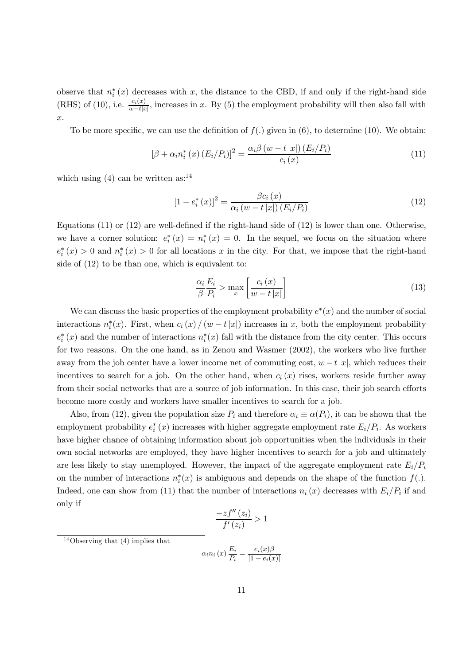observe that  $n_i^*(x)$  decreases with x, the distance to the CBD, if and only if the right-hand side (RHS) of (10), i.e.  $\frac{c_i(x)}{w-t|x|}$ , increases in x. By (5) the employment probability will then also fall with .

To be more specific, we can use the definition of  $f(.)$  given in (6), to determine (10). We obtain:

$$
[\beta + \alpha_i n_i^*(x) (E_i/P_i)]^2 = \frac{\alpha_i \beta (w - t |x|) (E_i/P_i)}{c_i(x)}
$$
(11)

which using  $(4)$  can be written as:<sup>14</sup>

$$
[1 - e_i^* (x)]^2 = \frac{\beta c_i (x)}{\alpha_i (w - t |x|) (E_i / P_i)}
$$
(12)

Equations (11) or (12) are well-defined if the right-hand side of (12) is lower than one. Otherwise, we have a corner solution:  $e_i^*(x) = n_i^*(x) = 0$ . In the sequel, we focus on the situation where  $e_i^*(x) > 0$  and  $n_i^*(x) > 0$  for all locations x in the city. For that, we impose that the right-hand side of (12) to be than one, which is equivalent to:

$$
\frac{\alpha_i}{\beta} \frac{E_i}{P_i} > \max_x \left[ \frac{c_i(x)}{w - t |x|} \right] \tag{13}
$$

We can discuss the basic properties of the employment probability  $e^*(x)$  and the number of social interactions  $n_i^*(x)$ . First, when  $c_i(x) / (w - t|x|)$  increases in x, both the employment probability  $e_i^*(x)$  and the number of interactions  $n_i^*(x)$  fall with the distance from the city center. This occurs for two reasons. On the one hand, as in Zenou and Wasmer (2002), the workers who live further away from the job center have a lower income net of commuting cost,  $w - t|x|$ , which reduces their incentives to search for a job. On the other hand, when  $c_i(x)$  rises, workers reside further away from their social networks that are a source of job information. In this case, their job search efforts become more costly and workers have smaller incentives to search for a job.

Also, from (12), given the population size  $P_i$  and therefore  $\alpha_i \equiv \alpha(P_i)$ , it can be shown that the employment probability  $e_i^*(x)$  increases with higher aggregate employment rate  $E_i/P_i$ . As workers have higher chance of obtaining information about job opportunities when the individuals in their own social networks are employed, they have higher incentives to search for a job and ultimately are less likely to stay unemployed. However, the impact of the aggregate employment rate  $E_i/P_i$ on the number of interactions  $n_i^*(x)$  is ambiguous and depends on the shape of the function  $f(.)$ . Indeed, one can show from (11) that the number of interactions  $n_i(x)$  decreases with  $E_i/P_i$  if and only if

$$
\frac{-zf''(z_i)}{f'(z_i)} > 1
$$

 $14$ Observing that (4) implies that

$$
\alpha_i n_i(x) \frac{E_i}{P_i} = \frac{e_i(x)\beta}{[1 - e_i(x)]}
$$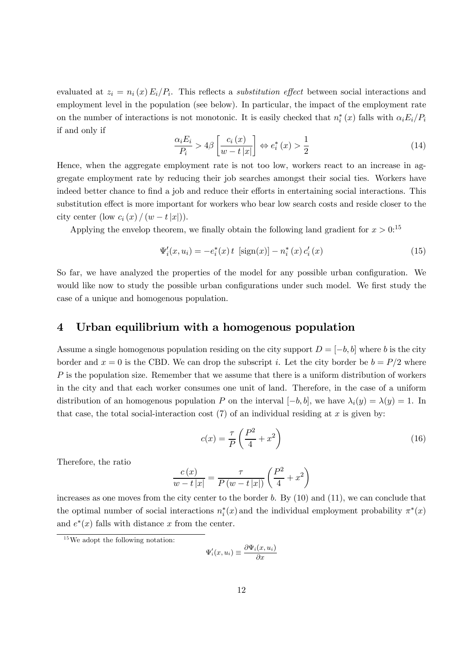evaluated at  $z_i = n_i(x) E_i/P_i$ . This reflects a *substitution effect* between social interactions and employment level in the population (see below). In particular, the impact of the employment rate on the number of interactions is not monotonic. It is easily checked that  $n_i^*(x)$  falls with  $\alpha_i E_i/P_i$ if and only if

$$
\frac{\alpha_i E_i}{P_i} > 4\beta \left[ \frac{c_i(x)}{w - t |x|} \right] \Leftrightarrow e_i^*(x) > \frac{1}{2}
$$
\n(14)

Hence, when the aggregate employment rate is not too low, workers react to an increase in aggregate employment rate by reducing their job searches amongst their social ties. Workers have indeed better chance to find a job and reduce their efforts in entertaining social interactions. This substitution effect is more important for workers who bear low search costs and reside closer to the city center  $(\text{low } c_i(x) / (w - t |x|)).$ 

Applying the envelop theorem, we finally obtain the following land gradient for  $x > 0$ <sup>15</sup>

$$
\Psi'_{i}(x, u_{i}) = -e_{i}^{*}(x) t \, \left[ sign(x) \right] - n_{i}^{*}(x) c'_{i}(x) \tag{15}
$$

So far, we have analyzed the properties of the model for any possible urban configuration. We would like now to study the possible urban configurations under such model. We first study the case of a unique and homogenous population.

#### 4 Urban equilibrium with a homogenous population

Assume a single homogenous population residing on the city support  $D = [-b, b]$  where b is the city border and  $x = 0$  is the CBD. We can drop the subscript i. Let the city border be  $b = P/2$  where  $P$  is the population size. Remember that we assume that there is a uniform distribution of workers in the city and that each worker consumes one unit of land. Therefore, in the case of a uniform distribution of an homogenous population P on the interval  $[-b, b]$ , we have  $\lambda_i(y) = \lambda(y) = 1$ . In that case, the total social-interaction cost  $(7)$  of an individual residing at x is given by:

$$
c(x) = \frac{\tau}{P} \left( \frac{P^2}{4} + x^2 \right) \tag{16}
$$

Therefore, the ratio

$$
\frac{c(x)}{w-t|x|} = \frac{\tau}{P(w-t|x|)} \left(\frac{P^2}{4} + x^2\right)
$$

increases as one moves from the city center to the border  $b$ . By  $(10)$  and  $(11)$ , we can conclude that the optimal number of social interactions  $n_i^*(x)$  and the individual employment probability  $\pi^*(x)$ and  $e^*(x)$  falls with distance x from the center.

$$
\Psi_i'(x, u_i) \equiv \frac{\partial \Psi_i(x, u_i)}{\partial x}
$$

 $15$  We adopt the following notation: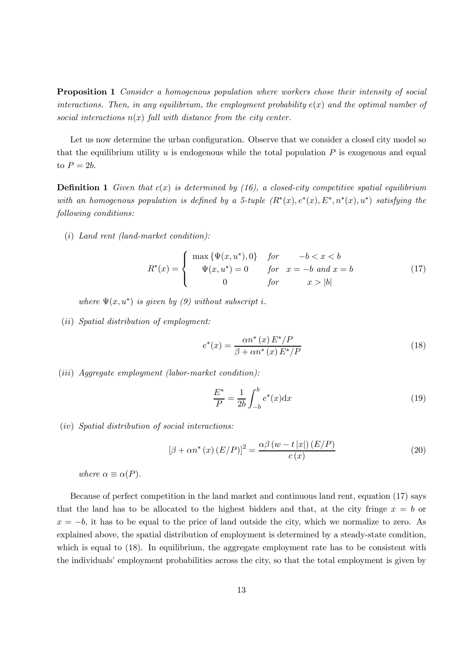Proposition 1 Consider a homogenous population where workers chose their intensity of social interactions. Then, in any equilibrium, the employment probability  $e(x)$  and the optimal number of social interactions  $n(x)$  fall with distance from the city center.

Let us now determine the urban configuration. Observe that we consider a closed city model so that the equilibrium utility  $u$  is endogenous while the total population  $P$  is exogenous and equal to  $P = 2b$ .

**Definition 1** Given that  $c(x)$  is determined by (16), a closed-city competitive spatial equilibrium with an homogenous population is defined by a 5-tuple  $(R^*(x), e^*(x), E^*, n^*(x), u^*)$  satisfying the following conditions:

 $(i)$  Land rent (land-market condition):

$$
R^*(x) = \begin{cases} \max \{ \Psi(x, u^*), 0 \} & \text{for} \qquad -b < x < b \\ \Psi(x, u^*) = 0 & \text{for} \quad x = -b \text{ and } x = b \\ 0 & \text{for} \qquad x > |b| \end{cases}
$$
(17)

where  $\Psi(x, u^*)$  is given by (9) without subscript i.

 $(ii)$  Spatial distribution of employment:

$$
e^*(x) = \frac{\alpha n^*(x) E^*/P}{\beta + \alpha n^*(x) E^*/P}
$$
\n
$$
\tag{18}
$$

 $(iii)$  Aggregate employment (labor-market condition):

$$
\frac{E^*}{P} = \frac{1}{2b} \int_{-b}^{b} e^*(x) dx
$$
\n(19)

 $(iv)$  Spatial distribution of social interactions:

$$
\left[\beta + \alpha n^*(x) \left(E/P\right)\right]^2 = \frac{\alpha \beta \left(w - t \left|x\right|\right) \left(E/P\right)}{c\left(x\right)}\tag{20}
$$

where  $\alpha \equiv \alpha(P)$ .

Because of perfect competition in the land market and continuous land rent, equation (17) says that the land has to be allocated to the highest bidders and that, at the city fringe  $x = b$  or  $x = -b$ , it has to be equal to the price of land outside the city, which we normalize to zero. As explained above, the spatial distribution of employment is determined by a steady-state condition, which is equal to  $(18)$ . In equilibrium, the aggregate employment rate has to be consistent with the individuals' employment probabilities across the city, so that the total employment is given by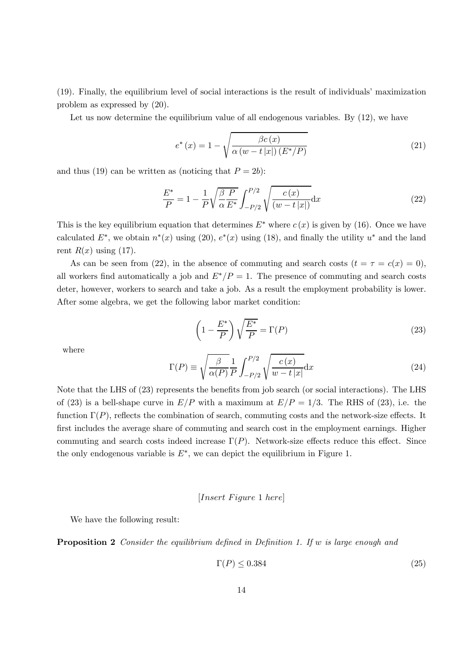(19). Finally, the equilibrium level of social interactions is the result of individuals' maximization problem as expressed by (20).

Let us now determine the equilibrium value of all endogenous variables. By  $(12)$ , we have

$$
e^*(x) = 1 - \sqrt{\frac{\beta c(x)}{\alpha (w - t|x|) (E^*/P)}}
$$
\n(21)

and thus (19) can be written as (noticing that  $P = 2b$ ):

$$
\frac{E^*}{P} = 1 - \frac{1}{P} \sqrt{\frac{\beta}{\alpha} \frac{P}{E^*}} \int_{-P/2}^{P/2} \sqrt{\frac{c(x)}{(w - t |x|)}} dx
$$
\n(22)

This is the key equilibrium equation that determines  $E^*$  where  $c(x)$  is given by (16). Once we have calculated  $E^*$ , we obtain  $n^*(x)$  using (20),  $e^*(x)$  using (18), and finally the utility  $u^*$  and the land rent  $R(x)$  using (17).

As can be seen from (22), in the absence of commuting and search costs  $(t = \tau = c(x) = 0)$ , all workers find automatically a job and  $E^*/P = 1$ . The presence of commuting and search costs deter, however, workers to search and take a job. As a result the employment probability is lower. After some algebra, we get the following labor market condition:

$$
\left(1 - \frac{E^*}{P}\right)\sqrt{\frac{E^*}{P}} = \Gamma(P)
$$
\n(23)

where

$$
\Gamma(P) \equiv \sqrt{\frac{\beta}{\alpha(P)}} \frac{1}{P} \int_{-P/2}^{P/2} \sqrt{\frac{c(x)}{w - t |x|}} dx
$$
\n(24)

Note that the LHS of (23) represents the benefits from job search (or social interactions). The LHS of (23) is a bell-shape curve in  $E/P$  with a maximum at  $E/P = 1/3$ . The RHS of (23), i.e. the function  $\Gamma(P)$ , reflects the combination of search, commuting costs and the network-size effects. It first includes the average share of commuting and search cost in the employment earnings. Higher commuting and search costs indeed increase  $\Gamma(P)$ . Network-size effects reduce this effect. Since the only endogenous variable is  $E^*$ , we can depict the equilibrium in Figure 1.

#### $[Insert \, Figure \, 1 \, here]$

We have the following result:

**Proposition 2** Consider the equilibrium defined in Definition 1. If w is large enough and

$$
\Gamma(P) \le 0.384\tag{25}
$$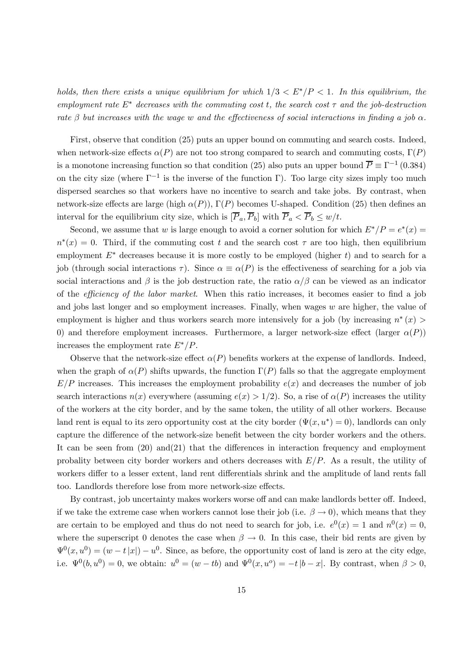holds, then there exists a unique equilibrium for which  $1/3 < E^* / P < 1$ . In this equilibrium, the employment rate  $E^*$  decreases with the commuting cost t, the search cost  $\tau$  and the job-destruction rate  $\beta$  but increases with the wage w and the effectiveness of social interactions in finding a job  $\alpha$ .

First, observe that condition (25) puts an upper bound on commuting and search costs. Indeed, when network-size effects  $\alpha(P)$  are not too strong compared to search and commuting costs,  $\Gamma(P)$ is a monotone increasing function so that condition (25) also puts an upper bound  $\overline{P} \equiv \Gamma^{-1} (0.384)$ on the city size (where  $\Gamma^{-1}$  is the inverse of the function Γ). Too large city sizes imply too much dispersed searches so that workers have no incentive to search and take jobs. By contrast, when network-size effects are large (high  $\alpha(P)$ ),  $\Gamma(P)$  becomes U-shaped. Condition (25) then defines an interval for the equilibrium city size, which is  $[\overline{P}_a, \overline{P}_b]$  with  $\overline{P}_a < \overline{P}_b \leq w/t$ .

Second, we assume that w is large enough to avoid a corner solution for which  $E^*/P = e^*(x)$  $n^*(x)=0$ . Third, if the commuting cost t and the search cost  $\tau$  are too high, then equilibrium employment  $E^*$  decreases because it is more costly to be employed (higher t) and to search for a job (through social interactions  $\tau$ ). Since  $\alpha \equiv \alpha(P)$  is the effectiveness of searching for a job via social interactions and  $\beta$  is the job destruction rate, the ratio  $\alpha/\beta$  can be viewed as an indicator of the efficiency of the labor market. When this ratio increases, it becomes easier to find a job and jobs last longer and so employment increases. Finally, when wages  $w$  are higher, the value of employment is higher and thus workers search more intensively for a job (by increasing  $n^*(x)$ ) 0) and therefore employment increases. Furthermore, a larger network-size effect (larger  $\alpha(P)$ ) increases the employment rate  $E^*/P$ .

Observe that the network-size effect  $\alpha(P)$  benefits workers at the expense of landlords. Indeed, when the graph of  $\alpha(P)$  shifts upwards, the function  $\Gamma(P)$  falls so that the aggregate employment  $E/P$  increases. This increases the employment probability  $e(x)$  and decreases the number of job search interactions  $n(x)$  everywhere (assuming  $e(x) > 1/2$ ). So, a rise of  $\alpha(P)$  increases the utility of the workers at the city border, and by the same token, the utility of all other workers. Because land rent is equal to its zero opportunity cost at the city border  $(\Psi(x, u^*)=0)$ , landlords can only capture the difference of the network-size benefit between the city border workers and the others. It can be seen from  $(20)$  and $(21)$  that the differences in interaction frequency and employment probality between city border workers and others decreases with  $E/P$ . As a result, the utility of workers differ to a lesser extent, land rent differentials shrink and the amplitude of land rents fall too. Landlords therefore lose from more network-size effects.

By contrast, job uncertainty makes workers worse off and can make landlords better off. Indeed, if we take the extreme case when workers cannot lose their job (i.e.  $\beta \rightarrow 0$ ), which means that they are certain to be employed and thus do not need to search for job, i.e.  $e^{0}(x)=1$  and  $n^{0}(x)=0$ , where the superscript 0 denotes the case when  $\beta \to 0$ . In this case, their bid rents are given by  $\Psi^0(x, u^0) = (w - t|x|) - u^0$ . Since, as before, the opportunity cost of land is zero at the city edge, i.e.  $\Psi^0(b, u^0)=0$ , we obtain:  $u^0=(w-tb)$  and  $\Psi^0(x, u^0)=-t|b-x|$ . By contrast, when  $\beta>0$ ,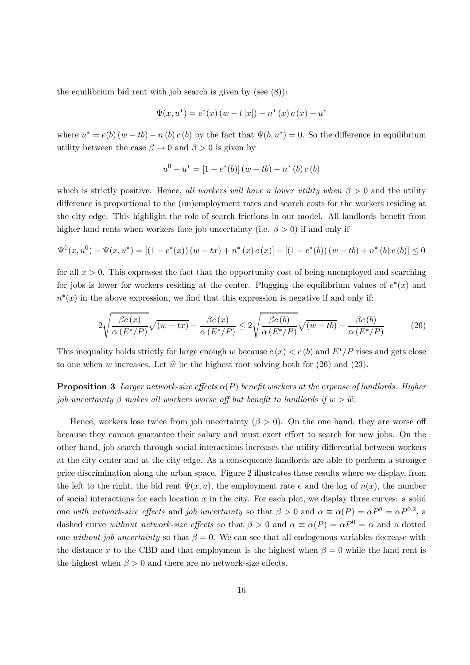the equilibrium bid rent with job search is given by (see  $(8)$ ):

$$
\Psi(x, u^*) = e^*(x) (w - t |x|) - n^* (x) c (x) - u^*
$$

where  $u^* = e(b) (w - tb) - n(b) c(b)$  by the fact that  $\Psi(b, u^*) = 0$ . So the difference in equilibrium utility between the case  $\beta \to 0$  and  $\beta > 0$  is given by

$$
u^{0} - u^{*} = [1 - e^{*}(b)] (w - tb) + n^{*}(b) c (b)
$$

which is strictly positive. Hence, all workers will have a lower utility when  $\beta > 0$  and the utility difference is proportional to the (un)employment rates and search costs for the workers residing at the city edge. This highlight the role of search frictions in our model. All landlords benefit from higher land rents when workers face job uncertainty (i.e.  $\beta > 0$ ) if and only if

$$
\Psi^{0}(x, u^{0}) - \Psi(x, u^{*}) = \left[\left(1 - e^{*}(x)\right)\left(w - tx\right) + n^{*}(x)c(x)\right] - \left[\left(1 - e^{*}(b)\right)\left(w - tb\right) + n^{*}(b)c(b)\right] \le 0
$$

for all  $x > 0$ . This expresses the fact that the opportunity cost of being unemployed and searching for jobs is lower for workers residing at the center. Plugging the equilibrium values of  $e^*(x)$  and  $n^*(x)$  in the above expression, we find that this expression is negative if and only if:

$$
2\sqrt{\frac{\beta c(x)}{\alpha(E^*/P)}}\sqrt{(w-tx)} - \frac{\beta c(x)}{\alpha(E^*/P)} \le 2\sqrt{\frac{\beta c(b)}{\alpha(E^*/P)}}\sqrt{(w-tb)} - \frac{\beta c(b)}{\alpha(E^*/P)}\tag{26}
$$

This inequality holds strictly for large enough w because  $c(x) < c(b)$  and  $E^*/P$  rises and gets close to one when w increases. Let  $\hat{w}$  be the highest root solving both for (26) and (23).

**Proposition 3** Larger network-size effects  $\alpha(P)$  benefit workers at the expense of landlords. Higher job uncertainty  $\beta$  makes all workers worse off but benefit to landlords if  $w > \hat{w}$ .

Hence, workers lose twice from job uncertainty  $(\beta > 0)$ . On the one hand, they are worse off because they cannot guarantee their salary and must exert effort to search for new jobs. On the other hand, job search through social interactions increases the utility differential between workers at the city center and at the city edge. As a consequence landlords are able to perform a stronger price discrimination along the urban space. Figure 2 illustrates these results where we display, from the left to the right, the bid rent  $\Psi(x, u)$ , the employment rate e and the log of  $n(x)$ , the number of social interactions for each location  $x$  in the city. For each plot, we display three curves: a solid one with network-size effects and job uncertainty so that  $\beta > 0$  and  $\alpha \equiv \alpha(P) = \alpha P^{\theta} = \alpha P^{0.2}$ , a dashed curve without network-size effects so that  $\beta > 0$  and  $\alpha \equiv \alpha(P) = \alpha P^0 = \alpha$  and a dotted one without job uncertainty so that  $\beta = 0$ . We can see that all endogenous variables decrease with the distance x to the CBD and that employment is the highest when  $\beta = 0$  while the land rent is the highest when  $\beta > 0$  and there are no network-size effects.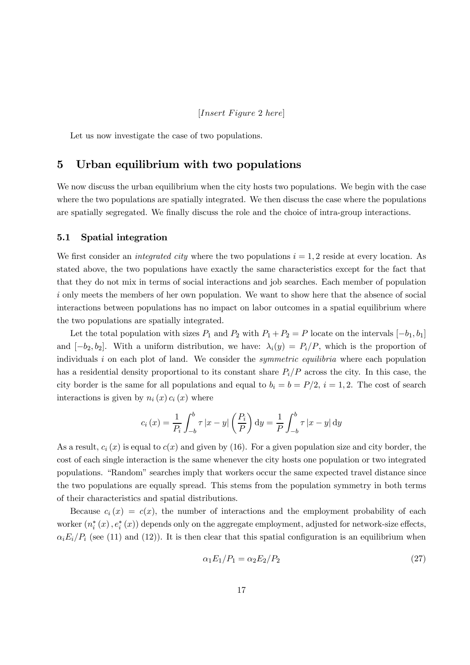Let us now investigate the case of two populations.

#### 5 Urban equilibrium with two populations

We now discuss the urban equilibrium when the city hosts two populations. We begin with the case where the two populations are spatially integrated. We then discuss the case where the populations are spatially segregated. We finally discuss the role and the choice of intra-group interactions.

#### 5.1 Spatial integration

We first consider an *integrated city* where the two populations  $i = 1, 2$  reside at every location. As stated above, the two populations have exactly the same characteristics except for the fact that that they do not mix in terms of social interactions and job searches. Each member of population i only meets the members of her own population. We want to show here that the absence of social interactions between populations has no impact on labor outcomes in a spatial equilibrium where the two populations are spatially integrated.

Let the total population with sizes  $P_1$  and  $P_2$  with  $P_1 + P_2 = P$  locate on the intervals  $[-b_1, b_1]$ and  $[-b_2, b_2]$ . With a uniform distribution, we have:  $\lambda_i(y) = P_i/P$ , which is the proportion of individuals  $i$  on each plot of land. We consider the *symmetric equilibria* where each population has a residential density proportional to its constant share  $P_i/P$  across the city. In this case, the city border is the same for all populations and equal to  $b_i = b = P/2$ ,  $i = 1, 2$ . The cost of search interactions is given by  $n_i(x) c_i(x)$  where

$$
c_i(x) = \frac{1}{P_i} \int_{-b}^{b} \tau |x - y| \left(\frac{P_i}{P}\right) dy = \frac{1}{P} \int_{-b}^{b} \tau |x - y| dy
$$

As a result,  $c_i(x)$  is equal to  $c(x)$  and given by (16). For a given population size and city border, the cost of each single interaction is the same whenever the city hosts one population or two integrated populations. "Random" searches imply that workers occur the same expected travel distance since the two populations are equally spread. This stems from the population symmetry in both terms of their characteristics and spatial distributions.

Because  $c_i(x) = c(x)$ , the number of interactions and the employment probability of each worker  $(n_i^*(x), e_i^*(x))$  depends only on the aggregate employment, adjusted for network-size effects,  $\alpha_i E_i/P_i$  (see (11) and (12)). It is then clear that this spatial configuration is an equilibrium when

$$
\alpha_1 E_1/P_1 = \alpha_2 E_2/P_2 \tag{27}
$$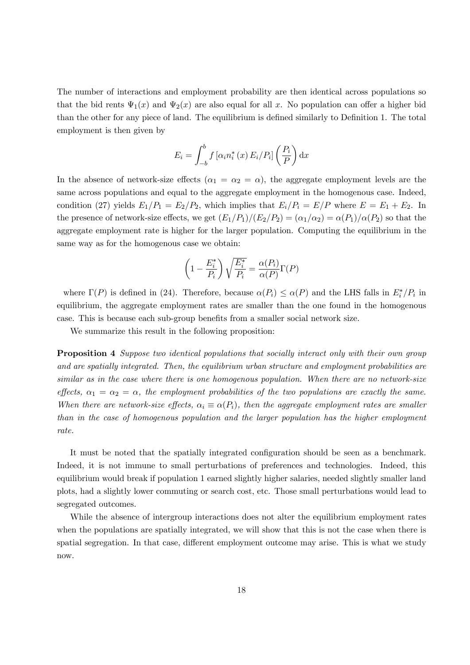The number of interactions and employment probability are then identical across populations so that the bid rents  $\Psi_1(x)$  and  $\Psi_2(x)$  are also equal for all x. No population can offer a higher bid than the other for any piece of land. The equilibrium is defined similarly to Definition 1. The total employment is then given by

$$
E_i = \int_{-b}^{b} f\left[\alpha_i n_i^*(x) E_i / P_i\right] \left(\frac{P_i}{P}\right) dx
$$

In the absence of network-size effects  $(\alpha_1 = \alpha_2 = \alpha)$ , the aggregate employment levels are the same across populations and equal to the aggregate employment in the homogenous case. Indeed, condition (27) yields  $E_1/P_1 = E_2/P_2$ , which implies that  $E_i/P_i = E/P$  where  $E = E_1 + E_2$ . In the presence of network-size effects, we get  $(E_1/P_1)/(E_2/P_2) = (\alpha_1/\alpha_2) = \alpha(P_1)/\alpha(P_2)$  so that the aggregate employment rate is higher for the larger population. Computing the equilibrium in the same way as for the homogenous case we obtain:

$$
\left(1 - \frac{E_i^*}{P_i}\right)\sqrt{\frac{E_i^*}{P_i}} = \frac{\alpha(P_i)}{\alpha(P)}\Gamma(P)
$$

where  $\Gamma(P)$  is defined in (24). Therefore, because  $\alpha(P_i) \leq \alpha(P)$  and the LHS falls in  $E_i^*/P_i$  in equilibrium, the aggregate employment rates are smaller than the one found in the homogenous case. This is because each sub-group benefits from a smaller social network size.

We summarize this result in the following proposition:

**Proposition 4** Suppose two identical populations that socially interact only with their own group and are spatially integrated. Then, the equilibrium urban structure and employment probabilities are similar as in the case where there is one homogenous population. When there are no network-size effects,  $\alpha_1 = \alpha_2 = \alpha$ , the employment probabilities of the two populations are exactly the same. When there are network-size effects,  $\alpha_i \equiv \alpha(P_i)$ , then the aggregate employment rates are smaller than in the case of homogenous population and the larger population has the higher employment rate.

It must be noted that the spatially integrated configuration should be seen as a benchmark. Indeed, it is not immune to small perturbations of preferences and technologies. Indeed, this equilibrium would break if population 1 earned slightly higher salaries, needed slightly smaller land plots, had a slightly lower commuting or search cost, etc. Those small perturbations would lead to segregated outcomes.

While the absence of intergroup interactions does not alter the equilibrium employment rates when the populations are spatially integrated, we will show that this is not the case when there is spatial segregation. In that case, different employment outcome may arise. This is what we study now.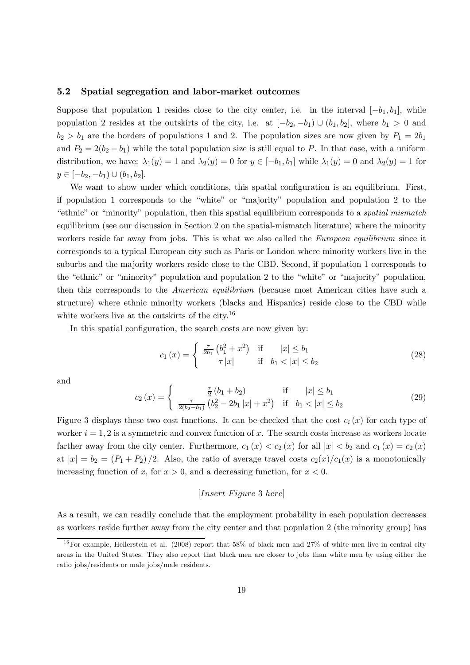#### 5.2 Spatial segregation and labor-market outcomes

Suppose that population 1 resides close to the city center, i.e. in the interval  $[-b_1, b_1]$ , while population 2 resides at the outskirts of the city, i.e. at  $[-b_2, -b_1] \cup (b_1, b_2]$ , where  $b_1 > 0$  and  $b_2 > b_1$  are the borders of populations 1 and 2. The population sizes are now given by  $P_1 = 2b_1$ and  $P_2 = 2(b_2 - b_1)$  while the total population size is still equal to P. In that case, with a uniform distribution, we have:  $\lambda_1(y)=1$  and  $\lambda_2(y)=0$  for  $y \in [-b_1, b_1]$  while  $\lambda_1(y)=0$  and  $\lambda_2(y)=1$  for  $y \in [-b_2, -b_1) \cup (b_1, b_2].$ 

We want to show under which conditions, this spatial configuration is an equilibrium. First, if population 1 corresponds to the "white" or "majority" population and population 2 to the "ethnic" or "minority" population, then this spatial equilibrium corresponds to a spatial mismatch equilibrium (see our discussion in Section 2 on the spatial-mismatch literature) where the minority workers reside far away from jobs. This is what we also called the *European equilibrium* since it corresponds to a typical European city such as Paris or London where minority workers live in the suburbs and the majority workers reside close to the CBD. Second, if population 1 corresponds to the "ethnic" or "minority" population and population 2 to the "white" or "majority" population, then this corresponds to the American equilibrium (because most American cities have such a structure) where ethnic minority workers (blacks and Hispanics) reside close to the CBD while white workers live at the outskirts of the city.<sup>16</sup>

In this spatial configuration, the search costs are now given by:

$$
c_1(x) = \begin{cases} \frac{\tau}{2b_1} (b_1^2 + x^2) & \text{if } |x| \le b_1 \\ \tau |x| & \text{if } b_1 < |x| \le b_2 \end{cases}
$$
 (28)

and

$$
c_2(x) = \begin{cases} \frac{\tau}{2} (b_1 + b_2) & \text{if } |x| \le b_1\\ \frac{\tau}{2(b_2 - b_1)} (b_2^2 - 2b_1 |x| + x^2) & \text{if } b_1 < |x| \le b_2 \end{cases}
$$
(29)

Figure 3 displays these two cost functions. It can be checked that the cost  $c_i(x)$  for each type of worker  $i = 1, 2$  is a symmetric and convex function of x. The search costs increase as workers locate farther away from the city center. Furthermore,  $c_1 (x) < c_2 (x)$  for all  $|x| < b_2$  and  $c_1 (x) = c_2 (x)$ at  $|x| = b_2 = (P_1 + P_2)/2$ . Also, the ratio of average travel costs  $c_2(x)/c_1(x)$  is a monotonically increasing function of x, for  $x > 0$ , and a decreasing function, for  $x < 0$ .

#### $[Insert \, Figure \, 3 \, here]$

As a result, we can readily conclude that the employment probability in each population decreases as workers reside further away from the city center and that population 2 (the minority group) has

<sup>&</sup>lt;sup>16</sup>For example, Hellerstein et al. (2008) report that 58% of black men and 27% of white men live in central city areas in the United States. They also report that black men are closer to jobs than white men by using either the ratio jobs/residents or male jobs/male residents.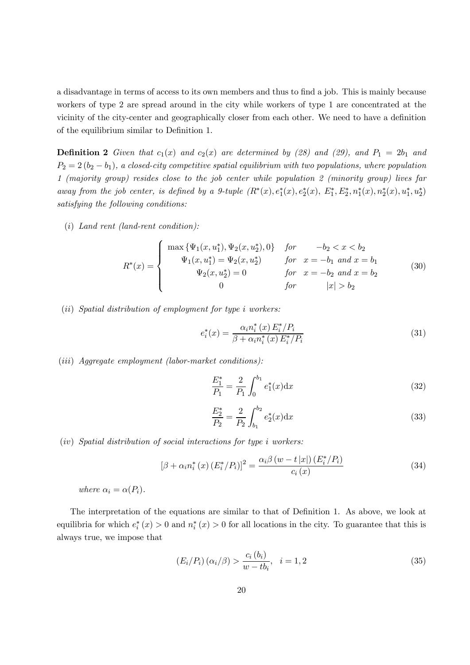a disadvantage in terms of access to its own members and thus to find a job. This is mainly because workers of type 2 are spread around in the city while workers of type 1 are concentrated at the vicinity of the city-center and geographically closer from each other. We need to have a definition of the equilibrium similar to Definition 1.

**Definition 2** Given that  $c_1(x)$  and  $c_2(x)$  are determined by (28) and (29), and  $P_1 = 2b_1$  and  $P_2 = 2(b_2 - b_1)$ , a closed-city competitive spatial equilibrium with two populations, where population 1 (majority group) resides close to the job center while population 2 (minority group) lives far away from the job center, is defined by a 9-tuple  $(R^*(x), e_1^*(x), e_2^*(x), E_1^*, E_2^*, n_1^*(x), n_2^*(x), u_1^*, u_2^*)$ satisfying the following conditions:

 $(i)$  Land rent (land-rent condition):

$$
R^*(x) = \begin{cases} \max\left\{\Psi_1(x, u_1^*), \Psi_2(x, u_2^*), 0\right\} & \text{for} & -b_2 < x < b_2 \\ \Psi_1(x, u_1^*) = \Psi_2(x, u_2^*) & \text{for} & x = -b_1 \text{ and } x = b_1 \\ \Psi_2(x, u_2^*) = 0 & \text{for} & x = -b_2 \text{ and } x = b_2 \\ 0 & \text{for} & |x| > b_2 \end{cases} \tag{30}
$$

 $(ii)$  Spatial distribution of employment for type  $i$  workers:

$$
e_i^*(x) = \frac{\alpha_i n_i^*(x) E_i^* / P_i}{\beta + \alpha_i n_i^*(x) E_i^* / P_i}
$$
(31)

 $(iii)$  Aggregate employment (labor-market conditions):

$$
\frac{E_1^*}{P_1} = \frac{2}{P_1} \int_0^{b_1} e_1^*(x) \mathrm{d}x \tag{32}
$$

$$
\frac{E_2^*}{P_2} = \frac{2}{P_2} \int_{b_1}^{b_2} e_2^*(x) \, \mathrm{d}x \tag{33}
$$

 $(iv)$  Spatial distribution of social interactions for type *i* workers:

$$
\left[\beta + \alpha_i n_i^*(x) \left(E_i^*/P_i\right)\right]^2 = \frac{\alpha_i \beta \left(w - t \left|x\right|\right) \left(E_i^*/P_i\right)}{c_i(x)}\tag{34}
$$

where  $\alpha_i = \alpha(P_i)$ .

The interpretation of the equations are similar to that of Definition 1. As above, we look at equilibria for which  $e_i^*(x) > 0$  and  $n_i^*(x) > 0$  for all locations in the city. To guarantee that this is always true, we impose that

$$
(E_i/P_i) \left(\alpha_i/\beta\right) > \frac{c_i\left(b_i\right)}{w - tb_i}, \quad i = 1, 2 \tag{35}
$$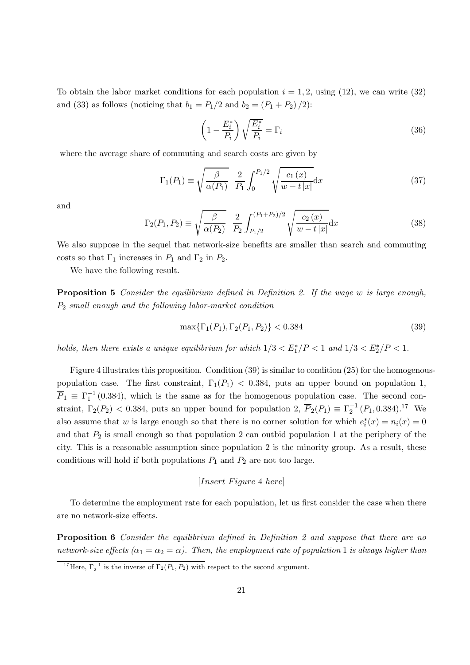To obtain the labor market conditions for each population  $i = 1, 2$ , using (12), we can write (32) and (33) as follows (noticing that  $b_1 = P_1/2$  and  $b_2 = (P_1 + P_2)/2$ ):

$$
\left(1 - \frac{E_i^*}{P_i}\right)\sqrt{\frac{E_i^*}{P_i}} = \Gamma_i
$$
\n(36)

where the average share of commuting and search costs are given by

$$
\Gamma_1(P_1) \equiv \sqrt{\frac{\beta}{\alpha(P_1)}} \frac{2}{P_1} \int_0^{P_1/2} \sqrt{\frac{c_1(x)}{w - t |x|}} dx \tag{37}
$$

and

$$
\Gamma_2(P_1, P_2) \equiv \sqrt{\frac{\beta}{\alpha(P_2)}} \frac{2}{P_2} \int_{P_1/2}^{(P_1 + P_2)/2} \sqrt{\frac{c_2(x)}{w - t |x|}} dx
$$
\n(38)

We also suppose in the sequel that network-size benefits are smaller than search and commuting costs so that  $\Gamma_1$  increases in  $P_1$  and  $\Gamma_2$  in  $P_2$ .

We have the following result.

**Proposition 5** Consider the equilibrium defined in Definition 2. If the wage  $w$  is large enough,  $P_2$  small enough and the following labor-market condition

$$
\max\{\Gamma_1(P_1), \Gamma_2(P_1, P_2)\} < 0.384\tag{39}
$$

holds, then there exists a unique equilibrium for which  $1/3 < E_1^*/P < 1$  and  $1/3 < E_2^*/P < 1$ .

Figure 4 illustrates this proposition. Condition (39) is similar to condition (25) for the homogenouspopulation case. The first constraint,  $\Gamma_1(P_1)$  < 0.384, puts an upper bound on population 1,  $\overline{P}_1 \equiv \Gamma_1^{-1}$  (0.384), which is the same as for the homogenous population case. The second constraint,  $\Gamma_2(P_2)$  < 0.384, puts an upper bound for population 2,  $\overline{P}_2(P_1) \equiv \Gamma_2^{-1}(P_1, 0.384).$ <sup>17</sup> We also assume that w is large enough so that there is no corner solution for which  $e_i^*(x) = n_i(x) = 0$ and that  $P_2$  is small enough so that population 2 can outbid population 1 at the periphery of the city. This is a reasonable assumption since population 2 is the minority group. As a result, these conditions will hold if both populations  $P_1$  and  $P_2$  are not too large.

[ 4 ]

To determine the employment rate for each population, let us first consider the case when there are no network-size effects.

**Proposition 6** Consider the equilibrium defined in Definition 2 and suppose that there are no network-size effects  $(\alpha_1 = \alpha_2 = \alpha)$ . Then, the employment rate of population 1 is always higher than

<sup>&</sup>lt;sup>17</sup>Here,  $\Gamma_2^{-1}$  is the inverse of  $\Gamma_2(P_1, P_2)$  with respect to the second argument.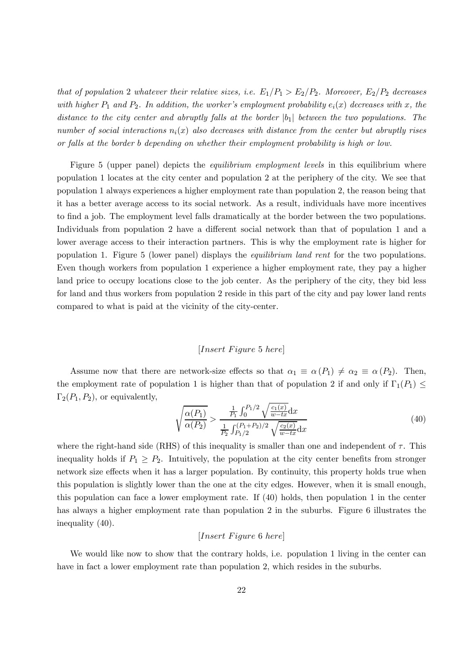that of population 2 whatever their relative sizes, i.e.  $E_1/P_1 > E_2/P_2$ . Moreover,  $E_2/P_2$  decreases with higher  $P_1$  and  $P_2$ . In addition, the worker's employment probability  $e_i(x)$  decreases with x, the distance to the city center and abruptly falls at the border  $|b_1|$  between the two populations. The number of social interactions  $n_i(x)$  also decreases with distance from the center but abruptly rises or falls at the border b depending on whether their employment probability is high or low.

Figure 5 (upper panel) depicts the *equilibrium employment levels* in this equilibrium where population 1 locates at the city center and population 2 at the periphery of the city. We see that population 1 always experiences a higher employment rate than population 2, the reason being that it has a better average access to its social network. As a result, individuals have more incentives to find a job. The employment level falls dramatically at the border between the two populations. Individuals from population 2 have a different social network than that of population 1 and a lower average access to their interaction partners. This is why the employment rate is higher for population 1. Figure 5 (lower panel) displays the equilibrium land rent for the two populations. Even though workers from population 1 experience a higher employment rate, they pay a higher land price to occupy locations close to the job center. As the periphery of the city, they bid less for land and thus workers from population 2 reside in this part of the city and pay lower land rents compared to what is paid at the vicinity of the city-center.

#### $[Insert \ Figure\ 5 \ here]$

Assume now that there are network-size effects so that  $\alpha_1 \equiv \alpha(P_1) \neq \alpha_2 \equiv \alpha(P_2)$ . Then, the employment rate of population 1 is higher than that of population 2 if and only if  $\Gamma_1(P_1) \leq$  $\Gamma_2(P_1, P_2)$ , or equivalently,

$$
\sqrt{\frac{\alpha(P_1)}{\alpha(P_2)}} > \frac{\frac{1}{P_1} \int_0^{P_1/2} \sqrt{\frac{c_1(x)}{w - tx}} dx}{\frac{1}{P_2} \int_{P_1/2}^{(P_1 + P_2)/2} \sqrt{\frac{c_2(x)}{w - tx}} dx}
$$
(40)

where the right-hand side (RHS) of this inequality is smaller than one and independent of  $\tau$ . This inequality holds if  $P_1 \geq P_2$ . Intuitively, the population at the city center benefits from stronger network size effects when it has a larger population. By continuity, this property holds true when this population is slightly lower than the one at the city edges. However, when it is small enough, this population can face a lower employment rate. If (40) holds, then population 1 in the center has always a higher employment rate than population 2 in the suburbs. Figure 6 illustrates the inequality (40).

#### $[Insert \, Figure \, 6 \, here]$

We would like now to show that the contrary holds, i.e. population 1 living in the center can have in fact a lower employment rate than population 2, which resides in the suburbs.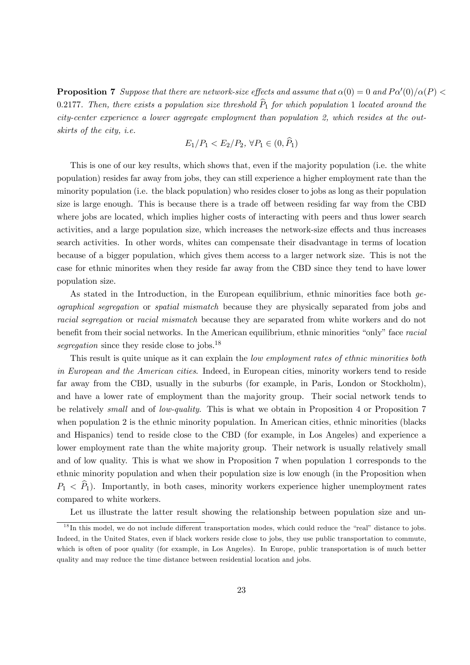**Proposition 7** Suppose that there are network-size effects and assume that  $\alpha(0) = 0$  and  $P\alpha'(0)/\alpha(P)$ 0.2177. Then, there exists a population size threshold  $\widehat{P}_1$  for which population 1 located around the city-center experience a lower aggregate employment than population 2, which resides at the outskirts of the city, i.e.

$$
E_1/P_1 < E_2/P_2, \, \forall P_1 \in (0, \overline{P_1})
$$

This is one of our key results, which shows that, even if the majority population (i.e. the white population) resides far away from jobs, they can still experience a higher employment rate than the minority population (i.e. the black population) who resides closer to jobs as long as their population size is large enough. This is because there is a trade off between residing far way from the CBD where jobs are located, which implies higher costs of interacting with peers and thus lower search activities, and a large population size, which increases the network-size effects and thus increases search activities. In other words, whites can compensate their disadvantage in terms of location because of a bigger population, which gives them access to a larger network size. This is not the case for ethnic minorites when they reside far away from the CBD since they tend to have lower population size.

As stated in the Introduction, in the European equilibrium, ethnic minorities face both geographical segregation or spatial mismatch because they are physically separated from jobs and racial segregation or racial mismatch because they are separated from white workers and do not benefit from their social networks. In the American equilibrium, ethnic minorities "only" face racial segregation since they reside close to jobs.<sup>18</sup>

This result is quite unique as it can explain the *low employment rates of ethnic minorities both* in European and the American cities. Indeed, in European cities, minority workers tend to reside far away from the CBD, usually in the suburbs (for example, in Paris, London or Stockholm), and have a lower rate of employment than the majority group. Their social network tends to be relatively *small* and of *low-quality*. This is what we obtain in Proposition 4 or Proposition 7 when population 2 is the ethnic minority population. In American cities, ethnic minorities (blacks and Hispanics) tend to reside close to the CBD (for example, in Los Angeles) and experience a lower employment rate than the white majority group. Their network is usually relatively small and of low quality. This is what we show in Proposition 7 when population 1 corresponds to the ethnic minority population and when their population size is low enough (in the Proposition when  $P_1 < \hat{P}_1$ ). Importantly, in both cases, minority workers experience higher unemployment rates compared to white workers.

Let us illustrate the latter result showing the relationship between population size and un-

 $1<sup>8</sup>$  In this model, we do not include different transportation modes, which could reduce the "real" distance to jobs. Indeed, in the United States, even if black workers reside close to jobs, they use public transportation to commute, which is often of poor quality (for example, in Los Angeles). In Europe, public transportation is of much better quality and may reduce the time distance between residential location and jobs.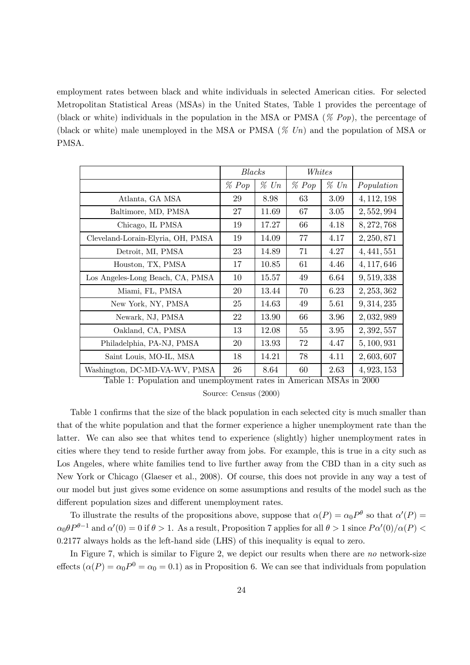employment rates between black and white individuals in selected American cities. For selected Metropolitan Statistical Areas (MSAs) in the United States, Table 1 provides the percentage of (black or white) individuals in the population in the MSA or PMSA ( $\%$  Pop), the percentage of (black or white) male unemployed in the MSA or PMSA  $(\%$  Un) and the population of MSA or PMSA.

|                                   | <b>Blacks</b><br>Whites |         |       |         |             |
|-----------------------------------|-------------------------|---------|-------|---------|-------------|
|                                   | $\%$ Pop                | $\%$ Un | % Pop | $\%$ Un | Population  |
| Atlanta, GA MSA                   | 29                      | 8.98    | 63    | 3.09    | 4, 112, 198 |
| Baltimore, MD, PMSA               | 27                      | 11.69   | 67    | 3.05    | 2,552,994   |
| Chicago, IL PMSA                  | 19                      | 17.27   | 66    | 4.18    | 8, 272, 768 |
| Cleveland-Lorain-Elyria, OH, PMSA | 19                      | 14.09   | 77    | 4.17    | 2, 250, 871 |
| Detroit, MI, PMSA                 | 23                      | 14.89   | 71    | 4.27    | 4,441,551   |
| Houston, TX, PMSA                 | 17                      | 10.85   | 61    | 4.46    | 4, 117, 646 |
| Los Angeles-Long Beach, CA, PMSA  | 10                      | 15.57   | 49    | 6.64    | 9,519,338   |
| Miami, FL, PMSA                   | 20                      | 13.44   | 70    | 6.23    | 2, 253, 362 |
| New York, NY, PMSA                | 25                      | 14.63   | 49    | 5.61    | 9, 314, 235 |
| Newark, NJ, PMSA                  | 22                      | 13.90   | 66    | 3.96    | 2,032,989   |
| Oakland, CA, PMSA                 | 13                      | 12.08   | 55    | 3.95    | 2, 392, 557 |
| Philadelphia, PA-NJ, PMSA         | 20                      | 13.93   | 72    | 4.47    | 5, 100, 931 |
| Saint Louis, MO-IL, MSA           | 18                      | 14.21   | 78    | 4.11    | 2,603,607   |
| Washington, DC-MD-VA-WV, PMSA     | 26                      | 8.64    | 60    | 2.63    | 4, 923, 153 |

Table 1: Population and unemployment rates in American MSAs in 2000

Source: Census (2000)

Table 1 confirms that the size of the black population in each selected city is much smaller than that of the white population and that the former experience a higher unemployment rate than the latter. We can also see that whites tend to experience (slightly) higher unemployment rates in cities where they tend to reside further away from jobs. For example, this is true in a city such as Los Angeles, where white families tend to live further away from the CBD than in a city such as New York or Chicago (Glaeser et al., 2008). Of course, this does not provide in any way a test of our model but just gives some evidence on some assumptions and results of the model such as the different population sizes and different unemployment rates.

To illustrate the results of the propositions above, suppose that  $\alpha(P) = \alpha_0 P^{\theta}$  so that  $\alpha'(P) =$  $\alpha_0 \theta P^{\theta-1}$  and  $\alpha'(0) = 0$  if  $\theta > 1$ . As a result, Proposition 7 applies for all  $\theta > 1$  since  $P\alpha'(0)/\alpha(P) <$ 02177 always holds as the left-hand side (LHS) of this inequality is equal to zero.

In Figure 7, which is similar to Figure 2, we depict our results when there are no network-size effects  $(\alpha(P) = \alpha_0 P^0 = \alpha_0 = 0.1)$  as in Proposition 6. We can see that individuals from population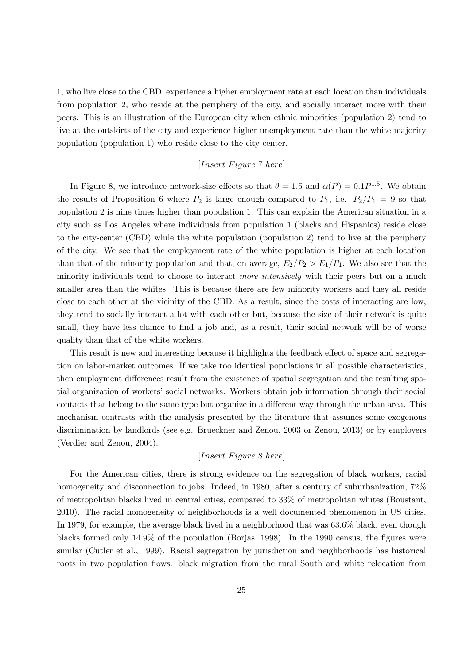1, who live close to the CBD, experience a higher employment rate at each location than individuals from population 2, who reside at the periphery of the city, and socially interact more with their peers. This is an illustration of the European city when ethnic minorities (population 2) tend to live at the outskirts of the city and experience higher unemployment rate than the white majority population (population 1) who reside close to the city center.

#### $[Insert \; Figure\; 7 \; here]$

In Figure 8, we introduce network-size effects so that  $\theta = 1.5$  and  $\alpha(P) = 0.1P^{1.5}$ . We obtain the results of Proposition 6 where  $P_2$  is large enough compared to  $P_1$ , i.e.  $P_2/P_1 = 9$  so that population 2 is nine times higher than population 1. This can explain the American situation in a city such as Los Angeles where individuals from population 1 (blacks and Hispanics) reside close to the city-center (CBD) while the white population (population 2) tend to live at the periphery of the city. We see that the employment rate of the white population is higher at each location than that of the minority population and that, on average,  $E_2/P_2 > E_1/P_1$ . We also see that the minority individuals tend to choose to interact *more intensively* with their peers but on a much smaller area than the whites. This is because there are few minority workers and they all reside close to each other at the vicinity of the CBD. As a result, since the costs of interacting are low, they tend to socially interact a lot with each other but, because the size of their network is quite small, they have less chance to find a job and, as a result, their social network will be of worse quality than that of the white workers.

This result is new and interesting because it highlights the feedback effect of space and segregation on labor-market outcomes. If we take too identical populations in all possible characteristics, then employment differences result from the existence of spatial segregation and the resulting spatial organization of workers' social networks. Workers obtain job information through their social contacts that belong to the same type but organize in a different way through the urban area. This mechanism contrasts with the analysis presented by the literature that assumes some exogenous discrimination by landlords (see e.g. Brueckner and Zenou, 2003 or Zenou, 2013) or by employers (Verdier and Zenou, 2004).

#### $[Insert \ Figure 8 \ here]$

For the American cities, there is strong evidence on the segregation of black workers, racial homogeneity and disconnection to jobs. Indeed, in 1980, after a century of suburbanization,  $72\%$ of metropolitan blacks lived in central cities, compared to 33% of metropolitan whites (Boustant, 2010). The racial homogeneity of neighborhoods is a well documented phenomenon in US cities. In 1979, for example, the average black lived in a neighborhood that was 636% black, even though blacks formed only 149% of the population (Borjas, 1998). In the 1990 census, the figures were similar (Cutler et al., 1999). Racial segregation by jurisdiction and neighborhoods has historical roots in two population flows: black migration from the rural South and white relocation from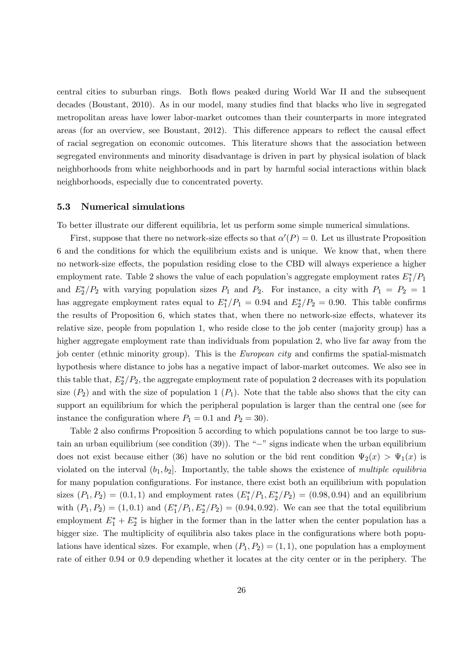central cities to suburban rings. Both flows peaked during World War II and the subsequent decades (Boustant, 2010). As in our model, many studies find that blacks who live in segregated metropolitan areas have lower labor-market outcomes than their counterparts in more integrated areas (for an overview, see Boustant, 2012). This difference appears to reflect the causal effect of racial segregation on economic outcomes. This literature shows that the association between segregated environments and minority disadvantage is driven in part by physical isolation of black neighborhoods from white neighborhoods and in part by harmful social interactions within black neighborhoods, especially due to concentrated poverty.

#### 5.3 Numerical simulations

To better illustrate our different equilibria, let us perform some simple numerical simulations.

First, suppose that there no network-size effects so that  $\alpha'(P) = 0$ . Let us illustrate Proposition 6 and the conditions for which the equilibrium exists and is unique. We know that, when there no network-size effects, the population residing close to the CBD will always experience a higher employment rate. Table 2 shows the value of each population's aggregate employment rates  $E_1^*/P_1$ and  $E_2^*/P_2$  with varying population sizes  $P_1$  and  $P_2$ . For instance, a city with  $P_1 = P_2 = 1$ has aggregate employment rates equal to  $E_1^*/P_1 = 0.94$  and  $E_2^*/P_2 = 0.90$ . This table confirms the results of Proposition 6, which states that, when there no network-size effects, whatever its relative size, people from population 1, who reside close to the job center (majority group) has a higher aggregate employment rate than individuals from population 2, who live far away from the job center (ethnic minority group). This is the *European city* and confirms the spatial-mismatch hypothesis where distance to jobs has a negative impact of labor-market outcomes. We also see in this table that,  $E_2^*/P_2$ , the aggregate employment rate of population 2 decreases with its population size  $(P_2)$  and with the size of population 1  $(P_1)$ . Note that the table also shows that the city can support an equilibrium for which the peripheral population is larger than the central one (see for instance the configuration where  $P_1 = 0.1$  and  $P_2 = 30$ .

Table 2 also confirms Proposition 5 according to which populations cannot be too large to sustain an urban equilibrium (see condition (39)). The "−" signs indicate when the urban equilibrium does not exist because either (36) have no solution or the bid rent condition  $\Psi_2(x) > \Psi_1(x)$  is violated on the interval  $(b_1, b_2]$ . Importantly, the table shows the existence of multiple equilibria for many population configurations. For instance, there exist both an equilibrium with population sizes  $(P_1, P_2) = (0.1, 1)$  and employment rates  $(E_1^*/P_1, E_2^*/P_2) = (0.98, 0.94)$  and an equilibrium with  $(P_1, P_2) = (1, 0.1)$  and  $(E_1^*/P_1, E_2^*/P_2) = (0.94, 0.92)$ . We can see that the total equilibrium employment  $E_1^* + E_2^*$  is higher in the former than in the latter when the center population has a bigger size. The multiplicity of equilibria also takes place in the configurations where both populations have identical sizes. For example, when  $(P_1, P_2) = (1, 1)$ , one population has a employment rate of either 0.94 or 0.9 depending whether it locates at the city center or in the periphery. The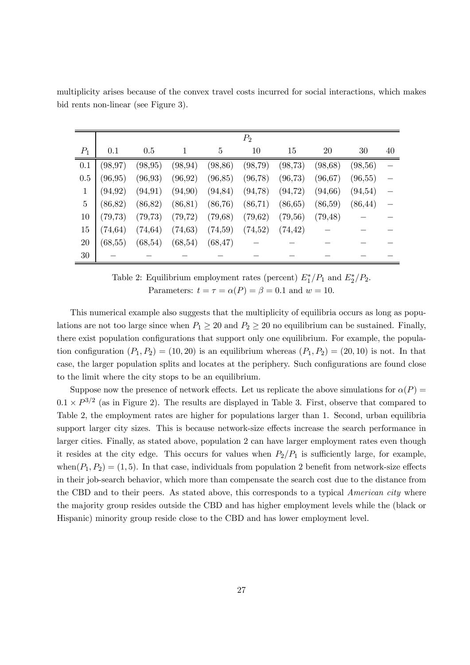|       | $P_{2}$  |          |          |          |          |          |          |          |    |
|-------|----------|----------|----------|----------|----------|----------|----------|----------|----|
| $P_1$ | 0.1      | 0.5      |          | 5        | 10       | 15       | 20       | 30       | 40 |
| 0.1   | (98, 97) | (98, 95) | (98, 94) | (98, 86) | (98,79)  | (98, 73) | (98, 68) | (98,56)  |    |
| 0.5   | (96, 95) | (96, 93) | (96, 92) | (96, 85) | (96, 78) | (96, 73) | (96, 67) | (96, 55) |    |
|       | (94, 92) | (94, 91) | (94,90)  | (94, 84) | (94,78)  | (94, 72) | (94, 66) | (94, 54) |    |
| 5     | (86, 82) | (86, 82) | (86, 81) | (86, 76) | (86, 71) | (86, 65) | (86,59)  | (86, 44) |    |
| 10    | (79, 73) | (79, 73) | (79, 72) | (79, 68) | (79, 62) | (79, 56) | (79, 48) |          |    |
| 15    | (74, 64) | (74, 64) | (74, 63) | (74,59)  | (74,52)  | (74, 42) |          |          |    |
| 20    | (68, 55) | (68, 54) | (68, 54) | (68, 47) |          |          |          |          |    |
| 30    |          |          |          |          |          |          |          |          |    |

multiplicity arises because of the convex travel costs incurred for social interactions, which makes bid rents non-linear (see Figure 3).

Table 2: Equilibrium employment rates (percent)  $E_1^*/P_1$  and  $E_2^*/P_2$ . Parameters:  $t = \tau = \alpha(P) = \beta = 0.1$  and  $w = 10$ .

This numerical example also suggests that the multiplicity of equilibria occurs as long as populations are not too large since when  $P_1 \geq 20$  and  $P_2 \geq 20$  no equilibrium can be sustained. Finally, there exist population configurations that support only one equilibrium. For example, the population configuration  $(P_1, P_2) = (10, 20)$  is an equilibrium whereas  $(P_1, P_2) = (20, 10)$  is not. In that case, the larger population splits and locates at the periphery. Such configurations are found close to the limit where the city stops to be an equilibrium.

Suppose now the presence of network effects. Let us replicate the above simulations for  $\alpha(P)$  $0.1 \times P^{3/2}$  (as in Figure 2). The results are displayed in Table 3. First, observe that compared to Table 2, the employment rates are higher for populations larger than 1. Second, urban equilibria support larger city sizes. This is because network-size effects increase the search performance in larger cities. Finally, as stated above, population 2 can have larger employment rates even though it resides at the city edge. This occurs for values when  $P_2/P_1$  is sufficiently large, for example, when $(P_1, P_2) = (1, 5)$ . In that case, individuals from population 2 benefit from network-size effects in their job-search behavior, which more than compensate the search cost due to the distance from the CBD and to their peers. As stated above, this corresponds to a typical *American city* where the majority group resides outside the CBD and has higher employment levels while the (black or Hispanic) minority group reside close to the CBD and has lower employment level.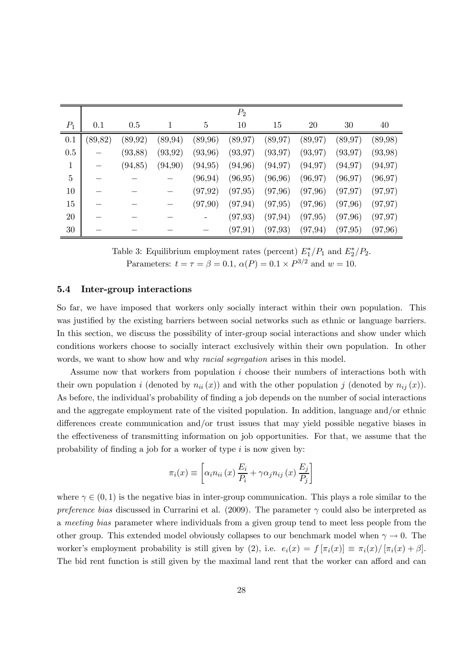|                | $P_2$    |          |          |          |          |          |          |          |          |  |
|----------------|----------|----------|----------|----------|----------|----------|----------|----------|----------|--|
| $P_1$          | 0.1      | 0.5      |          | 5        | 10       | 15       | 20       | 30       | 40       |  |
| 0.1            | (89, 82) | (89, 92) | (89, 94) | (89, 96) | (89, 97) | (89, 97) | (89, 97) | (89, 97) | (89,98)  |  |
| 0.5            |          | (93, 88) | (93, 92) | (93,96)  | (93, 97) | (93, 97) | (93, 97) | (93, 97) | (93,98)  |  |
| 1              |          | (94, 85) | (94,90)  | (94, 95) | (94,96)  | (94, 97) | (94, 97) | (94, 97) | (94, 97) |  |
| $\overline{5}$ |          |          |          | (96, 94) | (96, 95) | (96, 96) | (96, 97) | (96, 97) | (96, 97) |  |
| 10             |          |          |          | (97, 92) | (97, 95) | (97,96)  | (97,96)  | (97, 97) | (97, 97) |  |
| 15             |          |          |          | (97,90)  | (97, 94) | (97, 95) | (97,96)  | (97, 96) | (97, 97) |  |
| 20             |          |          |          |          | (97, 93) | (97, 94) | (97, 95) | (97, 96) | (97, 97) |  |
| 30             |          |          |          |          | (97, 91) | (97, 93) | (97, 94) | (97, 95) | (97, 96) |  |

Table 3: Equilibrium employment rates (percent)  $E_1^*/P_1$  and  $E_2^*/P_2$ . Parameters:  $t = \tau = \beta = 0.1$ ,  $\alpha(P) = 0.1 \times P^{3/2}$  and  $w = 10$ .

#### 5.4 Inter-group interactions

So far, we have imposed that workers only socially interact within their own population. This was justified by the existing barriers between social networks such as ethnic or language barriers. In this section, we discuss the possibility of inter-group social interactions and show under which conditions workers choose to socially interact exclusively within their own population. In other words, we want to show how and why *racial segregation* arises in this model.

Assume now that workers from population  $i$  choose their numbers of interactions both with their own population *i* (denoted by  $n_{ii}(x)$ ) and with the other population *j* (denoted by  $n_{ij}(x)$ ). As before, the individual's probability of finding a job depends on the number of social interactions and the aggregate employment rate of the visited population. In addition, language and/or ethnic differences create communication and/or trust issues that may yield possible negative biases in the effectiveness of transmitting information on job opportunities. For that, we assume that the probability of finding a job for a worker of type  $i$  is now given by:

$$
\pi_i(x) \equiv \left[ \alpha_i n_{ii}(x) \frac{E_i}{P_i} + \gamma \alpha_j n_{ij}(x) \frac{E_j}{P_j} \right]
$$

where  $\gamma \in (0,1)$  is the negative bias in inter-group communication. This plays a role similar to the preference bias discussed in Currarini et al. (2009). The parameter  $\gamma$  could also be interpreted as a meeting bias parameter where individuals from a given group tend to meet less people from the other group. This extended model obviously collapses to our benchmark model when  $\gamma \to 0$ . The worker's employment probability is still given by (2), i.e.  $e_i(x) = f[\pi_i(x)] \equiv \pi_i(x) / [\pi_i(x) + \beta]$ . The bid rent function is still given by the maximal land rent that the worker can afford and can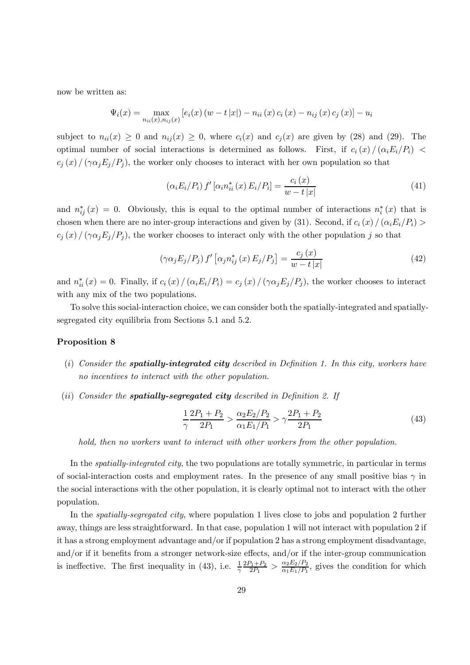now be written as:

$$
\Psi_{i}(x) = \max_{n_{ii}(x), n_{ij}(x)} [e_i(x) (w - t |x|) - n_{ii}(x) c_i(x) - n_{ij}(x) c_j(x)] - u_i
$$

subject to  $n_{ii}(x) \ge 0$  and  $n_{ii}(x) \ge 0$ , where  $c_i(x)$  and  $c_j(x)$  are given by (28) and (29). The optimal number of social interactions is determined as follows. First, if  $c_i(x)/(\alpha_i E_i/P_i)$  $c_i(x)/(\gamma \alpha_i E_i/P_i)$ , the worker only chooses to interact with her own population so that

$$
(\alpha_i E_i / P_i) f' [\alpha_i n_{ii}^* (x) E_i / P_i] = \frac{c_i (x)}{w - t |x|}
$$
 (41)

and  $n_{ij}^*(x) = 0$ . Obviously, this is equal to the optimal number of interactions  $n_i^*(x)$  that is chosen when there are no inter-group interactions and given by (31). Second, if  $c_i(x)/(\alpha_i E_i/P_i)$  $c_j(x)/(\gamma \alpha_j E_j/P_j)$ , the worker chooses to interact only with the other population j so that

$$
\left(\gamma\alpha_j E_j/P_j\right) f'\left[\alpha_j n_{ij}^*(x) E_j/P_j\right] = \frac{c_j(x)}{w - t|x|} \tag{42}
$$

and  $n_{ii}^*(x) = 0$ . Finally, if  $c_i(x) / (\alpha_i E_i/P_i) = c_j(x) / (\gamma \alpha_j E_j/P_j)$ , the worker chooses to interact with any mix of the two populations.

To solve this social-interaction choice, we can consider both the spatially-integrated and spatiallysegregated city equilibria from Sections 5.1 and 5.2.

#### Proposition 8

- (i) Consider the **spatially-integrated city** described in Definition 1. In this city, workers have no incentives to interact with the other population.
- (ii) Consider the **spatially-seqregated city** described in Definition 2. If

$$
\frac{1}{\gamma} \frac{2P_1 + P_2}{2P_1} > \frac{\alpha_2 E_2 / P_2}{\alpha_1 E_1 / P_1} > \gamma \frac{2P_1 + P_2}{2P_1}
$$
(43)

hold, then no workers want to interact with other workers from the other population.

In the *spatially-integrated city*, the two populations are totally symmetric, in particular in terms of social-interaction costs and employment rates. In the presence of any small positive bias  $\gamma$  in the social interactions with the other population, it is clearly optimal not to interact with the other population.

In the *spatially-segregated city*, where population 1 lives close to jobs and population 2 further away, things are less straightforward. In that case, population 1 will not interact with population 2 if it has a strong employment advantage and/or if population 2 has a strong employment disadvantage, and/or if it benefits from a stronger network-size effects, and/or if the inter-group communication is ineffective. The first inequality in (43), i.e.  $\frac{1}{\gamma} \frac{2P_1+P_2}{2P_1} > \frac{\alpha_2 E_2/P_2}{\alpha_1 E_1/P_1}$ , gives the condition for which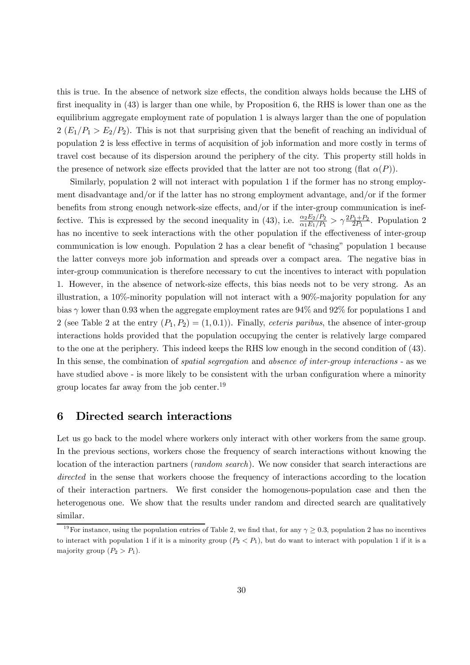this is true. In the absence of network size effects, the condition always holds because the LHS of first inequality in (43) is larger than one while, by Proposition 6, the RHS is lower than one as the equilibrium aggregate employment rate of population 1 is always larger than the one of population  $2 (E_1/P_1 > E_2/P_2)$ . This is not that surprising given that the benefit of reaching an individual of population 2 is less effective in terms of acquisition of job information and more costly in terms of travel cost because of its dispersion around the periphery of the city. This property still holds in the presence of network size effects provided that the latter are not too strong (flat  $\alpha(P)$ ).

Similarly, population 2 will not interact with population 1 if the former has no strong employment disadvantage and/or if the latter has no strong employment advantage, and/or if the former benefits from strong enough network-size effects, and/or if the inter-group communication is ineffective. This is expressed by the second inequality in (43), i.e.  $\frac{\alpha_2 E_2/P_2}{\alpha_1 E_1/P_1} > \gamma \frac{2P_1+P_2}{2P_1}$ . Population 2 has no incentive to seek interactions with the other population if the effectiveness of inter-group communication is low enough. Population 2 has a clear benefit of "chasing" population 1 because the latter conveys more job information and spreads over a compact area. The negative bias in inter-group communication is therefore necessary to cut the incentives to interact with population 1. However, in the absence of network-size effects, this bias needs not to be very strong. As an illustration, a 10%-minority population will not interact with a 90%-majority population for any bias  $\gamma$  lower than 0.93 when the aggregate employment rates are 94% and 92% for populations 1 and 2 (see Table 2 at the entry  $(P_1, P_2) = (1, 0.1)$ ). Finally, *ceteris paribus*, the absence of inter-group interactions holds provided that the population occupying the center is relatively large compared to the one at the periphery. This indeed keeps the RHS low enough in the second condition of (43). In this sense, the combination of *spatial segregation* and *absence of inter-group interactions* - as we have studied above - is more likely to be consistent with the urban configuration where a minority group locates far away from the job center.19

#### 6 Directed search interactions

Let us go back to the model where workers only interact with other workers from the same group. In the previous sections, workers chose the frequency of search interactions without knowing the location of the interaction partners (*random search*). We now consider that search interactions are directed in the sense that workers choose the frequency of interactions according to the location of their interaction partners. We first consider the homogenous-population case and then the heterogenous one. We show that the results under random and directed search are qualitatively similar.

<sup>&</sup>lt;sup>19</sup>For instance, using the population entries of Table 2, we find that, for any  $\gamma \geq 0.3$ , population 2 has no incentives to interact with population 1 if it is a minority group  $(P_2 < P_1)$ , but do want to interact with population 1 if it is a majority group  $(P_2 > P_1)$ .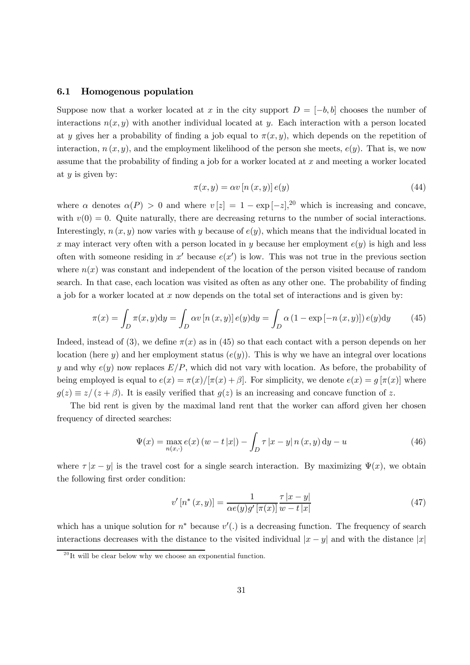#### 6.1 Homogenous population

Suppose now that a worker located at x in the city support  $D = [-b, b]$  chooses the number of interactions  $n(x, y)$  with another individual located at y. Each interaction with a person located at y gives her a probability of finding a job equal to  $\pi(x, y)$ , which depends on the repetition of interaction,  $n(x, y)$ , and the employment likelihood of the person she meets,  $e(y)$ . That is, we now assume that the probability of finding a job for a worker located at  $x$  and meeting a worker located at  $y$  is given by:

$$
\pi(x, y) = \alpha v \left[ n(x, y) \right] e(y) \tag{44}
$$

where  $\alpha$  denotes  $\alpha(P) > 0$  and where  $v[z] = 1 - \exp[-z],^{20}$  which is increasing and concave, with  $v(0) = 0$ . Quite naturally, there are decreasing returns to the number of social interactions. Interestingly,  $n(x, y)$  now varies with y because of  $e(y)$ , which means that the individual located in x may interact very often with a person located in y because her employment  $e(y)$  is high and less often with someone residing in  $x'$  because  $e(x')$  is low. This was not true in the previous section where  $n(x)$  was constant and independent of the location of the person visited because of random search. In that case, each location was visited as often as any other one. The probability of finding a job for a worker located at  $x$  now depends on the total set of interactions and is given by:

$$
\pi(x) = \int_D \pi(x, y) dy = \int_D \alpha v \left[ n(x, y) \right] e(y) dy = \int_D \alpha \left( 1 - \exp\left[ -n(x, y) \right] \right) e(y) dy \tag{45}
$$

Indeed, instead of (3), we define  $\pi(x)$  as in (45) so that each contact with a person depends on her location (here y) and her employment status  $(e(y))$ . This is why we have an integral over locations y and why  $e(y)$  now replaces  $E/P$ , which did not vary with location. As before, the probability of being employed is equal to  $e(x) = \pi(x)/[\pi(x) + \beta]$ . For simplicity, we denote  $e(x) = g[\pi(x)]$  where  $g(z) \equiv z/(z + \beta)$ . It is easily verified that  $g(z)$  is an increasing and concave function of z.

The bid rent is given by the maximal land rent that the worker can afford given her chosen frequency of directed searches:

$$
\Psi(x) = \max_{n(x,\cdot)} e(x) (w - t |x|) - \int_D \tau |x - y| n(x, y) dy - u \tag{46}
$$

where  $\tau |x - y|$  is the travel cost for a single search interaction. By maximizing  $\Psi(x)$ , we obtain the following first order condition:

$$
v'\left[n^*(x,y)\right] = \frac{1}{\alpha e(y)g'\left[\pi(x)\right]} \frac{\tau\left|x-y\right|}{w-t\left|x\right|} \tag{47}
$$

which has a unique solution for  $n^*$  because  $v'$ .) is a decreasing function. The frequency of search interactions decreases with the distance to the visited individual  $|x - y|$  and with the distance  $|x|$ 

 $^{20}$ It will be clear below why we choose an exponential function.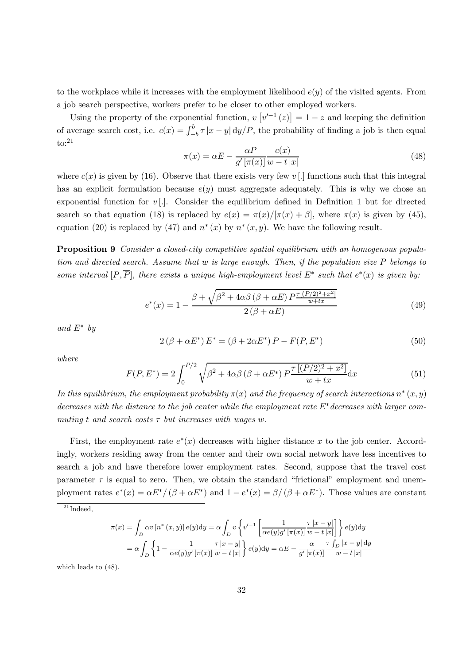to the workplace while it increases with the employment likelihood  $e(y)$  of the visited agents. From a job search perspective, workers prefer to be closer to other employed workers.

Using the property of the exponential function,  $v[v'^{-1}(z)] = 1 - z$  and keeping the definition of average search cost, i.e.  $c(x) = \int_{-b}^{b} \tau |x - y| \, dy / P$ , the probability of finding a job is then equal to:21

$$
\pi(x) = \alpha E - \frac{\alpha P}{g'[\pi(x)]} \frac{c(x)}{w - t|x|}
$$
\n(48)

where  $c(x)$  is given by (16). Observe that there exists very few  $v$  [.] functions such that this integral has an explicit formulation because  $e(y)$  must aggregate adequately. This is why we chose an exponential function for  $v$ . Consider the equilibrium defined in Definition 1 but for directed search so that equation (18) is replaced by  $e(x) = \pi(x)/[\pi(x) + \beta]$ , where  $\pi(x)$  is given by (45), equation (20) is replaced by (47) and  $n^*(x)$  by  $n^*(x, y)$ . We have the following result.

**Proposition 9** Consider a closed-city competitive spatial equilibrium with an homogenous population and directed search. Assume that  $w$  is large enough. Then, if the population size  $P$  belongs to some interval  $[P,\overline{P}]$ , there exists a unique high-employment level  $E^*$  such that  $e^*(x)$  is given by:

$$
e^*(x) = 1 - \frac{\beta + \sqrt{\beta^2 + 4\alpha\beta (\beta + \alpha E) P^{\frac{r[(P/2)^2 + x^2]}{w + tx}}}}{2(\beta + \alpha E)}
$$
(49)

and  $E^*$  by

$$
2(\beta + \alpha E^*) E^* = (\beta + 2\alpha E^*) P - F(P, E^*)
$$
\n(50)

where

$$
F(P, E^*) = 2\int_0^{P/2} \sqrt{\beta^2 + 4\alpha\beta (\beta + \alpha E^*) P \frac{\tau [(P/2)^2 + x^2]}{w + tx}} dx
$$
(51)

In this equilibrium, the employment probability  $\pi(x)$  and the frequency of search interactions  $n^*(x, y)$ decreases with the distance to the job center while the employment rate  $E^*$  decreases with larger commuting t and search costs  $\tau$  but increases with wages w.

First, the employment rate  $e^*(x)$  decreases with higher distance x to the job center. Accordingly, workers residing away from the center and their own social network have less incentives to search a job and have therefore lower employment rates. Second, suppose that the travel cost parameter  $\tau$  is equal to zero. Then, we obtain the standard "frictional" employment and unemployment rates  $e^*(x) = \alpha E^*/(\beta + \alpha E^*)$  and  $1 - e^*(x) = \beta/(\beta + \alpha E^*)$ . Those values are constant

$$
\pi(x) = \int_D \alpha v [n^*(x, y)] e(y) dy = \alpha \int_D v \left\{ v'^{-1} \left[ \frac{1}{\alpha e(y)g'[\pi(x)]} \frac{\tau |x - y|}{w - t |x|} \right] \right\} e(y) dy
$$

$$
= \alpha \int_D \left\{ 1 - \frac{1}{\alpha e(y)g'[\pi(x)]} \frac{\tau |x - y|}{w - t |x|} \right\} e(y) dy = \alpha E - \frac{\alpha}{g'[\pi(x)]} \frac{\tau \int_D |x - y| dy}{w - t |x|}
$$

which leads to (48).

 $^{21}$ Indeed.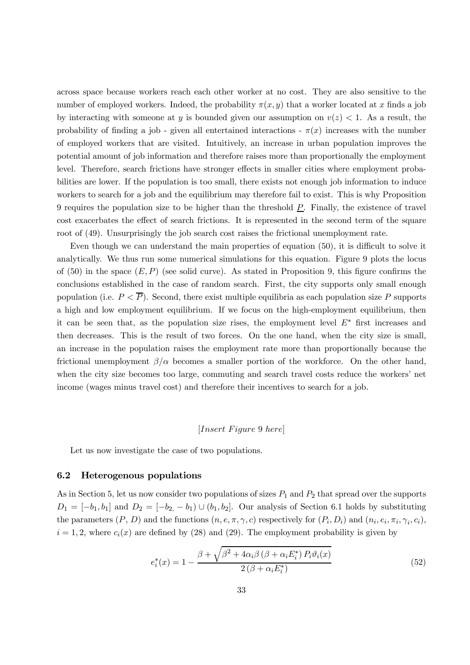across space because workers reach each other worker at no cost. They are also sensitive to the number of employed workers. Indeed, the probability  $\pi(x, y)$  that a worker located at x finds a job by interacting with someone at y is bounded given our assumption on  $v(z) < 1$ . As a result, the probability of finding a job - given all entertained interactions -  $\pi(x)$  increases with the number of employed workers that are visited. Intuitively, an increase in urban population improves the potential amount of job information and therefore raises more than proportionally the employment level. Therefore, search frictions have stronger effects in smaller cities where employment probabilities are lower. If the population is too small, there exists not enough job information to induce workers to search for a job and the equilibrium may therefore fail to exist. This is why Proposition 9 requires the population size to be higher than the threshold  $\underline{P}$ . Finally, the existence of travel cost exacerbates the effect of search frictions. It is represented in the second term of the square root of (49). Unsurprisingly the job search cost raises the frictional unemployment rate.

Even though we can understand the main properties of equation (50), it is difficult to solve it analytically. We thus run some numerical simulations for this equation. Figure 9 plots the locus of (50) in the space  $(E, P)$  (see solid curve). As stated in Proposition 9, this figure confirms the conclusions established in the case of random search. First, the city supports only small enough population (i.e.  $P < \overline{P}$ ). Second, there exist multiple equilibria as each population size P supports a high and low employment equilibrium. If we focus on the high-employment equilibrium, then it can be seen that, as the population size rises, the employment level  $E^*$  first increases and then decreases. This is the result of two forces. On the one hand, when the city size is small, an increase in the population raises the employment rate more than proportionally because the frictional unemployment  $\beta/\alpha$  becomes a smaller portion of the workforce. On the other hand, when the city size becomes too large, commuting and search travel costs reduce the workers' net income (wages minus travel cost) and therefore their incentives to search for a job.

#### $[Insert \, Figure \, 9 \, here]$

Let us now investigate the case of two populations.

#### 6.2 Heterogenous populations

As in Section 5, let us now consider two populations of sizes  $P_1$  and  $P_2$  that spread over the supports  $D_1 = [-b_1, b_1]$  and  $D_2 = [-b_2, -b_1] \cup (b_1, b_2]$ . Our analysis of Section 6.1 holds by substituting the parameters  $(P, D)$  and the functions  $(n, e, \pi, \gamma, c)$  respectively for  $(P_i, D_i)$  and  $(n_i, e_i, \pi_i, \gamma_i, c_i)$ ,  $i = 1, 2$ , where  $c_i(x)$  are defined by (28) and (29). The employment probability is given by

$$
e_i^*(x) = 1 - \frac{\beta + \sqrt{\beta^2 + 4\alpha_i \beta \left(\beta + \alpha_i E_i^*\right) P_i \vartheta_i(x)}}{2\left(\beta + \alpha_i E_i^*\right)}
$$
(52)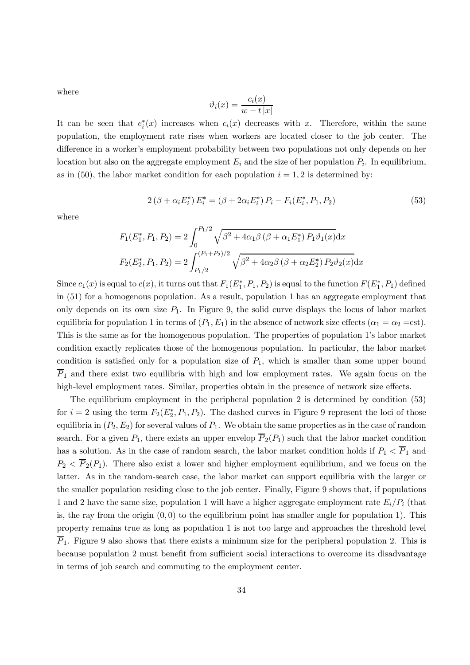where

$$
\vartheta_i(x) = \frac{c_i(x)}{w - t|x|}
$$

It can be seen that  $e_i^*(x)$  increases when  $c_i(x)$  decreases with x. Therefore, within the same population, the employment rate rises when workers are located closer to the job center. The difference in a worker's employment probability between two populations not only depends on her location but also on the aggregate employment  $E_i$  and the size of her population  $P_i$ . In equilibrium, as in (50), the labor market condition for each population  $i = 1, 2$  is determined by:

$$
2(\beta + \alpha_i E_i^*) E_i^* = (\beta + 2\alpha_i E_i^*) P_i - F_i(E_i^*, P_1, P_2)
$$
\n(53)

where

$$
F_1(E_1^*, P_1, P_2) = 2 \int_0^{P_1/2} \sqrt{\beta^2 + 4\alpha_1 \beta \left(\beta + \alpha_1 E_1^*\right) P_1 \vartheta_1(x)} dx
$$
  

$$
F_2(E_2^*, P_1, P_2) = 2 \int_{P_1/2}^{(P_1 + P_2)/2} \sqrt{\beta^2 + 4\alpha_2 \beta \left(\beta + \alpha_2 E_2^*\right) P_2 \vartheta_2(x)} dx
$$

Since  $c_1(x)$  is equal to  $c(x)$ , it turns out that  $F_1(E_1^*, P_1, P_2)$  is equal to the function  $F(E_1^*, P_1)$  defined in (51) for a homogenous population. As a result, population 1 has an aggregate employment that only depends on its own size  $P_1$ . In Figure 9, the solid curve displays the locus of labor market equilibria for population 1 in terms of  $(P_1, E_1)$  in the absence of network size effects  $(\alpha_1 = \alpha_2 = \text{cst})$ . This is the same as for the homogenous population. The properties of population 1's labor market condition exactly replicates those of the homogenous population. In particular, the labor market condition is satisfied only for a population size of  $P_1$ , which is smaller than some upper bound  $P_1$  and there exist two equilibria with high and low employment rates. We again focus on the high-level employment rates. Similar, properties obtain in the presence of network size effects.

The equilibrium employment in the peripheral population 2 is determined by condition (53) for  $i = 2$  using the term  $F_2(E_2^*, P_1, P_2)$ . The dashed curves in Figure 9 represent the loci of those equilibria in  $(P_2, E_2)$  for several values of  $P_1$ . We obtain the same properties as in the case of random search. For a given  $P_1$ , there exists an upper envelop  $\overline{P}_2(P_1)$  such that the labor market condition has a solution. As in the case of random search, the labor market condition holds if  $P_1 < \overline{P}_1$  and  $P_2 < \overline{P}_2(P_1)$ . There also exist a lower and higher employment equilibrium, and we focus on the latter. As in the random-search case, the labor market can support equilibria with the larger or the smaller population residing close to the job center. Finally, Figure 9 shows that, if populations 1 and 2 have the same size, population 1 will have a higher aggregate employment rate  $E_i/P_i$  (that is, the ray from the origin  $(0,0)$  to the equilibrium point has smaller angle for population 1). This property remains true as long as population 1 is not too large and approaches the threshold level  $\overline{P}_1$ . Figure 9 also shows that there exists a minimum size for the peripheral population 2. This is because population 2 must benefit from sufficient social interactions to overcome its disadvantage in terms of job search and commuting to the employment center.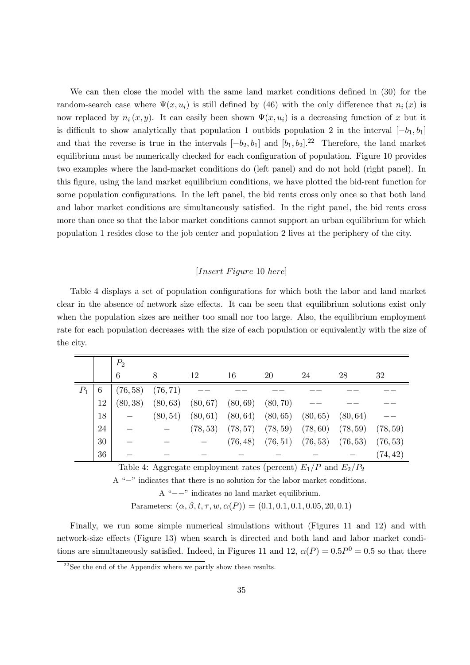We can then close the model with the same land market conditions defined in (30) for the random-search case where  $\Psi(x, u_i)$  is still defined by (46) with the only difference that  $n_i(x)$  is now replaced by  $n_i (x, y)$ . It can easily been shown  $\Psi(x, u_i)$  is a decreasing function of x but it is difficult to show analytically that population 1 outbids population 2 in the interval  $[-b_1, b_1]$ and that the reverse is true in the intervals  $[-b_2, b_1]$  and  $[b_1, b_2]$ .<sup>22</sup> Therefore, the land market equilibrium must be numerically checked for each configuration of population. Figure 10 provides two examples where the land-market conditions do (left panel) and do not hold (right panel). In this figure, using the land market equilibrium conditions, we have plotted the bid-rent function for some population configurations. In the left panel, the bid rents cross only once so that both land and labor market conditions are simultaneously satisfied. In the right panel, the bid rents cross more than once so that the labor market conditions cannot support an urban equilibrium for which population 1 resides close to the job center and population 2 lives at the periphery of the city.

#### $[Insert \ Figure\ 10 \ here]$

Table 4 displays a set of population configurations for which both the labor and land market clear in the absence of network size effects. It can be seen that equilibrium solutions exist only when the population sizes are neither too small nor too large. Also, the equilibrium employment rate for each population decreases with the size of each population or equivalently with the size of the city.

|             |    | $P_2$    |          |          |                                  |                                  |                                                        |                       |          |
|-------------|----|----------|----------|----------|----------------------------------|----------------------------------|--------------------------------------------------------|-----------------------|----------|
|             |    | 6        | 8        | 12       | 16                               | 20                               | 24                                                     | 28                    | 32       |
| $P_{\rm 1}$ | 6  | (76, 58) | (76, 71) |          |                                  |                                  |                                                        |                       |          |
|             | 12 | (80, 38) | (80, 63) |          | $(80, 67)$ $(80, 69)$ $(80, 70)$ |                                  |                                                        |                       |          |
|             | 18 |          | (80, 54) |          |                                  | $(80, 61)$ $(80, 64)$ $(80, 65)$ | (80, 65)                                               | (80, 64)              |          |
|             | 24 |          |          | (78, 53) |                                  | $(78, 57)$ $(78, 59)$            |                                                        | $(78, 60)$ $(78, 59)$ | (78, 59) |
|             | 30 |          |          |          |                                  |                                  | $(76, 48)$ $(76, 51)$ $(76, 53)$ $(76, 53)$ $(76, 53)$ |                       |          |
|             | 36 |          |          |          |                                  |                                  |                                                        |                       | (74, 42) |

Table 4: Aggregate employment rates (percent)  $E_1/P$  and  $E_2/P_2$ 

A "−" indicates that there is no solution for the labor market conditions.

A "−−" indicates no land market equilibrium.

Parameters:  $(\alpha, \beta, t, \tau, w, \alpha(P)) = (0.1, 0.1, 0.1, 0.05, 20, 0.1)$ 

Finally, we run some simple numerical simulations without (Figures 11 and 12) and with network-size effects (Figure 13) when search is directed and both land and labor market conditions are simultaneously satisfied. Indeed, in Figures 11 and 12,  $\alpha(P)=0.5P^0 = 0.5$  so that there

 $^{22}$ See the end of the Appendix where we partly show these results.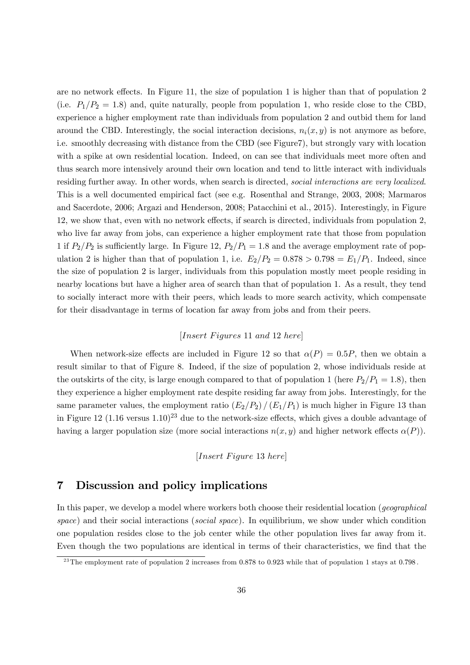are no network effects. In Figure 11, the size of population 1 is higher than that of population 2 (i.e.  $P_1/P_2 = 1.8$ ) and, quite naturally, people from population 1, who reside close to the CBD, experience a higher employment rate than individuals from population 2 and outbid them for land around the CBD. Interestingly, the social interaction decisions,  $n_i(x, y)$  is not anymore as before, i.e. smoothly decreasing with distance from the CBD (see Figure7), but strongly vary with location with a spike at own residential location. Indeed, on can see that individuals meet more often and thus search more intensively around their own location and tend to little interact with individuals residing further away. In other words, when search is directed, social interactions are very localized. This is a well documented empirical fact (see e.g. Rosenthal and Strange, 2003, 2008; Marmaros and Sacerdote, 2006; Argazi and Henderson, 2008; Patacchini et al., 2015). Interestingly, in Figure 12, we show that, even with no network effects, if search is directed, individuals from population 2, who live far away from jobs, can experience a higher employment rate that those from population 1 if  $P_2/P_2$  is sufficiently large. In Figure 12,  $P_2/P_1 = 1.8$  and the average employment rate of population 2 is higher than that of population 1, i.e.  $E_2/P_2 = 0.878 > 0.798 = E_1/P_1$ . Indeed, since the size of population 2 is larger, individuals from this population mostly meet people residing in nearby locations but have a higher area of search than that of population 1. As a result, they tend to socially interact more with their peers, which leads to more search activity, which compensate for their disadvantage in terms of location far away from jobs and from their peers.

### $[Insert \; Figures \; 11 \; and \; 12 \; here]$

When network-size effects are included in Figure 12 so that  $\alpha(P)=0.5P$ , then we obtain a result similar to that of Figure 8. Indeed, if the size of population 2, whose individuals reside at the outskirts of the city, is large enough compared to that of population 1 (here  $P_2/P_1 = 1.8$ ), then they experience a higher employment rate despite residing far away from jobs. Interestingly, for the same parameter values, the employment ratio  $(E_2/P_2) / (E_1/P_1)$  is much higher in Figure 13 than in Figure 12 (1.16 versus  $1.10$ )<sup>23</sup> due to the network-size effects, which gives a double advantage of having a larger population size (more social interactions  $n(x, y)$  and higher network effects  $\alpha(P)$ ).

[ 13 ]

## 7 Discussion and policy implications

In this paper, we develop a model where workers both choose their residential location (*geographical* space) and their social interactions (social space). In equilibrium, we show under which condition one population resides close to the job center while the other population lives far away from it. Even though the two populations are identical in terms of their characteristics, we find that the

<sup>&</sup>lt;sup>23</sup>The employment rate of population 2 increases from 0.878 to 0.923 while that of population 1 stays at 0.798.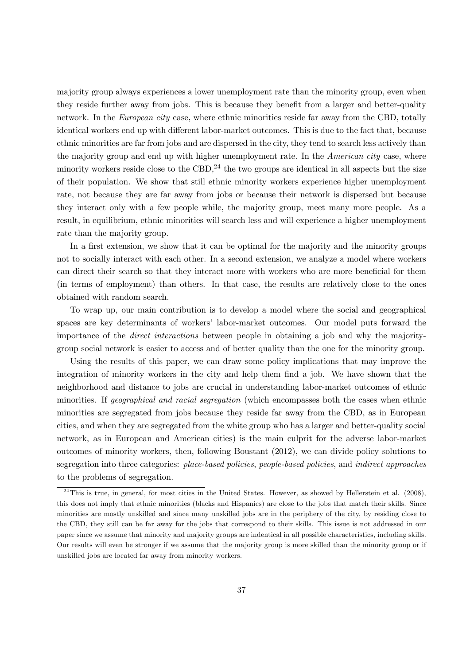majority group always experiences a lower unemployment rate than the minority group, even when they reside further away from jobs. This is because they benefit from a larger and better-quality network. In the *European city* case, where ethnic minorities reside far away from the CBD, totally identical workers end up with different labor-market outcomes. This is due to the fact that, because ethnic minorities are far from jobs and are dispersed in the city, they tend to search less actively than the majority group and end up with higher unemployment rate. In the *American city* case, where minority workers reside close to the CBD,<sup>24</sup> the two groups are identical in all aspects but the size of their population. We show that still ethnic minority workers experience higher unemployment rate, not because they are far away from jobs or because their network is dispersed but because they interact only with a few people while, the majority group, meet many more people. As a result, in equilibrium, ethnic minorities will search less and will experience a higher unemployment rate than the majority group.

In a first extension, we show that it can be optimal for the majority and the minority groups not to socially interact with each other. In a second extension, we analyze a model where workers can direct their search so that they interact more with workers who are more beneficial for them (in terms of employment) than others. In that case, the results are relatively close to the ones obtained with random search.

To wrap up, our main contribution is to develop a model where the social and geographical spaces are key determinants of workers' labor-market outcomes. Our model puts forward the importance of the direct interactions between people in obtaining a job and why the majoritygroup social network is easier to access and of better quality than the one for the minority group.

Using the results of this paper, we can draw some policy implications that may improve the integration of minority workers in the city and help them find a job. We have shown that the neighborhood and distance to jobs are crucial in understanding labor-market outcomes of ethnic minorities. If geographical and racial segregation (which encompasses both the cases when ethnic minorities are segregated from jobs because they reside far away from the CBD, as in European cities, and when they are segregated from the white group who has a larger and better-quality social network, as in European and American cities) is the main culprit for the adverse labor-market outcomes of minority workers, then, following Boustant (2012), we can divide policy solutions to segregation into three categories: place-based policies, people-based policies, and indirect approaches to the problems of segregation.

 $24$ This is true, in general, for most cities in the United States. However, as showed by Hellerstein et al. (2008), this does not imply that ethnic minorities (blacks and Hispanics) are close to the jobs that match their skills. Since minorities are mostly unskilled and since many unskilled jobs are in the periphery of the city, by residing close to the CBD, they still can be far away for the jobs that correspond to their skills. This issue is not addressed in our paper since we assume that minority and majority groups are indentical in all possible characteristics, including skills. Our results will even be stronger if we assume that the majority group is more skilled than the minority group or if unskilled jobs are located far away from minority workers.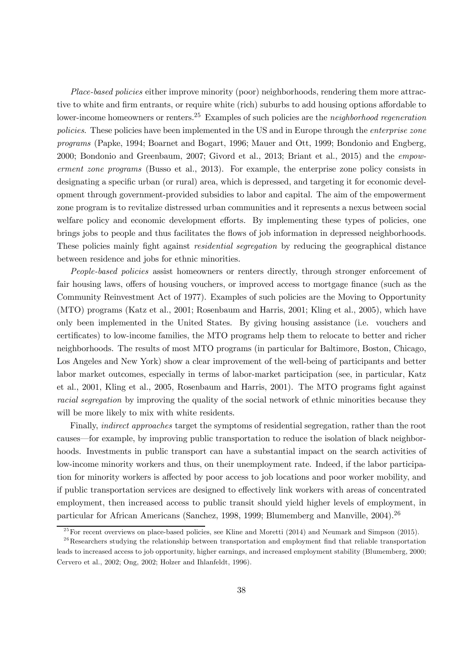Place-based policies either improve minority (poor) neighborhoods, rendering them more attractive to white and firm entrants, or require white (rich) suburbs to add housing options affordable to lower-income homeowners or renters.<sup>25</sup> Examples of such policies are the *neighborhood regeneration* policies. These policies have been implemented in the US and in Europe through the *enterprise zone* programs (Papke, 1994; Boarnet and Bogart, 1996; Mauer and Ott, 1999; Bondonio and Engberg, 2000; Bondonio and Greenbaum, 2007; Givord et al., 2013; Briant et al., 2015) and the empowerment zone programs (Busso et al., 2013). For example, the enterprise zone policy consists in designating a specific urban (or rural) area, which is depressed, and targeting it for economic development through government-provided subsidies to labor and capital. The aim of the empowerment zone program is to revitalize distressed urban communities and it represents a nexus between social welfare policy and economic development efforts. By implementing these types of policies, one brings jobs to people and thus facilitates the flows of job information in depressed neighborhoods. These policies mainly fight against *residential segregation* by reducing the geographical distance between residence and jobs for ethnic minorities.

People-based policies assist homeowners or renters directly, through stronger enforcement of fair housing laws, offers of housing vouchers, or improved access to mortgage finance (such as the Community Reinvestment Act of 1977). Examples of such policies are the Moving to Opportunity (MTO) programs (Katz et al., 2001; Rosenbaum and Harris, 2001; Kling et al., 2005), which have only been implemented in the United States. By giving housing assistance (i.e. vouchers and certificates) to low-income families, the MTO programs help them to relocate to better and richer neighborhoods. The results of most MTO programs (in particular for Baltimore, Boston, Chicago, Los Angeles and New York) show a clear improvement of the well-being of participants and better labor market outcomes, especially in terms of labor-market participation (see, in particular, Katz et al., 2001, Kling et al., 2005, Rosenbaum and Harris, 2001). The MTO programs fight against racial segregation by improving the quality of the social network of ethnic minorities because they will be more likely to mix with white residents.

Finally, indirect approaches target the symptoms of residential segregation, rather than the root causes–for example, by improving public transportation to reduce the isolation of black neighborhoods. Investments in public transport can have a substantial impact on the search activities of low-income minority workers and thus, on their unemployment rate. Indeed, if the labor participation for minority workers is affected by poor access to job locations and poor worker mobility, and if public transportation services are designed to effectively link workers with areas of concentrated employment, then increased access to public transit should yield higher levels of employment, in particular for African Americans (Sanchez, 1998, 1999; Blumemberg and Manville, 2004).<sup>26</sup>

 $^{25}$  For recent overviews on place-based policies, see Kline and Moretti (2014) and Neumark and Simpson (2015).

 $26$ Researchers studying the relationship between transportation and employment find that reliable transportation leads to increased access to job opportunity, higher earnings, and increased employment stability (Blumemberg, 2000; Cervero et al., 2002; Ong, 2002; Holzer and Ihlanfeldt, 1996).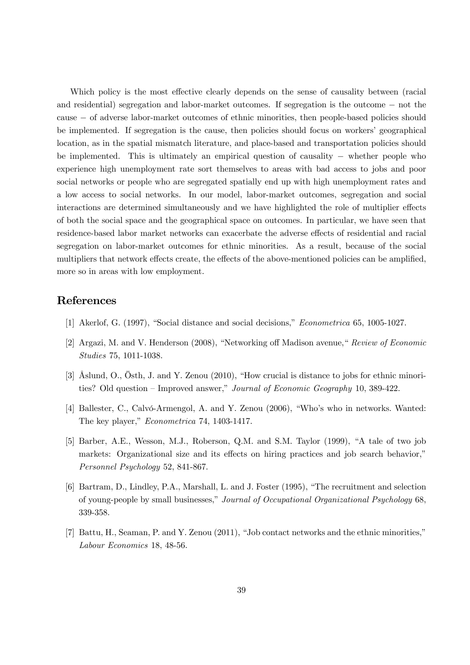Which policy is the most effective clearly depends on the sense of causality between (racial and residential) segregation and labor-market outcomes. If segregation is the outcome − not the cause − of adverse labor-market outcomes of ethnic minorities, then people-based policies should be implemented. If segregation is the cause, then policies should focus on workers' geographical location, as in the spatial mismatch literature, and place-based and transportation policies should be implemented. This is ultimately an empirical question of causality − whether people who experience high unemployment rate sort themselves to areas with bad access to jobs and poor social networks or people who are segregated spatially end up with high unemployment rates and a low access to social networks. In our model, labor-market outcomes, segregation and social interactions are determined simultaneously and we have highlighted the role of multiplier effects of both the social space and the geographical space on outcomes. In particular, we have seen that residence-based labor market networks can exacerbate the adverse effects of residential and racial segregation on labor-market outcomes for ethnic minorities. As a result, because of the social multipliers that network effects create, the effects of the above-mentioned policies can be amplified, more so in areas with low employment.

### References

- [1] Akerlof, G. (1997), "Social distance and social decisions," Econometrica 65, 1005-1027.
- [2] Argazi, M. and V. Henderson (2008), "Networking off Madison avenue," Review of Economic Studies 75, 1011-1038.
- [3] Åslund, O., Östh, J. and Y. Zenou (2010), "How crucial is distance to jobs for ethnic minorities? Old question — Improved answer," Journal of Economic Geography 10, 389-422.
- [4] Ballester, C., Calvó-Armengol, A. and Y. Zenou (2006), "Who's who in networks. Wanted: The key player," Econometrica 74, 1403-1417.
- [5] Barber, A.E., Wesson, M.J., Roberson, Q.M. and S.M. Taylor (1999), "A tale of two job markets: Organizational size and its effects on hiring practices and job search behavior," Personnel Psychology 52, 841-867.
- [6] Bartram, D., Lindley, P.A., Marshall, L. and J. Foster (1995), "The recruitment and selection of young-people by small businesses," Journal of Occupational Organizational Psychology 68, 339-358.
- [7] Battu, H., Seaman, P. and Y. Zenou (2011), "Job contact networks and the ethnic minorities," Labour Economics 18, 48-56.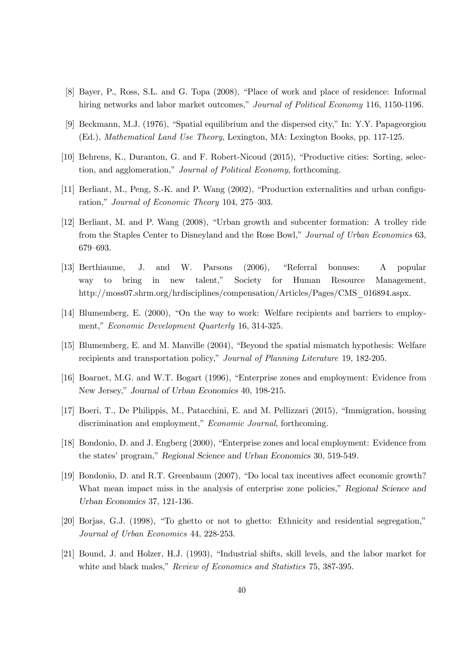- [8] Bayer, P., Ross, S.L. and G. Topa (2008), "Place of work and place of residence: Informal hiring networks and labor market outcomes," Journal of Political Economy 116, 1150-1196.
- [9] Beckmann, M.J. (1976), "Spatial equilibrium and the dispersed city," In: Y.Y. Papageorgiou (Ed.), Mathematical Land Use Theory, Lexington, MA: Lexington Books, pp. 117-125.
- [10] Behrens, K., Duranton, G. and F. Robert-Nicoud (2015), "Productive cities: Sorting, selection, and agglomeration," Journal of Political Economy, forthcoming.
- [11] Berliant, M., Peng, S.-K. and P. Wang (2002), "Production externalities and urban configuration," Journal of Economic Theory 104, 275—303.
- [12] Berliant, M. and P. Wang (2008), "Urban growth and subcenter formation: A trolley ride from the Staples Center to Disneyland and the Rose Bowl," Journal of Urban Economics 63, 679—693.
- [13] Berthiaume, J. and W. Parsons (2006), "Referral bonuses: A popular way to bring in new talent," Society for Human Resource Management, http://moss07.shrm.org/hrdisciplines/compensation/Articles/Pages/CMS\_016894.aspx.
- [14] Blumemberg, E. (2000), "On the way to work: Welfare recipients and barriers to employment," Economic Development Quarterly 16, 314-325.
- [15] Blumemberg, E. and M. Manville (2004), "Beyond the spatial mismatch hypothesis: Welfare recipients and transportation policy," Journal of Planning Literature 19, 182-205.
- [16] Boarnet, M.G. and W.T. Bogart (1996), "Enterprise zones and employment: Evidence from New Jersey," Journal of Urban Economics 40, 198-215.
- [17] Boeri, T., De Philippis, M., Patacchini, E. and M. Pellizzari (2015), "Immigration, housing discrimination and employment," *Economic Journal*, forthcoming.
- [18] Bondonio, D. and J. Engberg (2000), "Enterprise zones and local employment: Evidence from the states' program," Regional Science and Urban Economics 30, 519-549.
- [19] Bondonio, D. and R.T. Greenbaum (2007), "Do local tax incentives affect economic growth? What mean impact miss in the analysis of enterprise zone policies," Regional Science and Urban Economics 37, 121-136.
- [20] Borjas, G.J. (1998), "To ghetto or not to ghetto: Ethnicity and residential segregation," Journal of Urban Economics 44, 228-253.
- [21] Bound, J. and Holzer, H.J. (1993), "Industrial shifts, skill levels, and the labor market for white and black males," Review of Economics and Statistics 75, 387-395.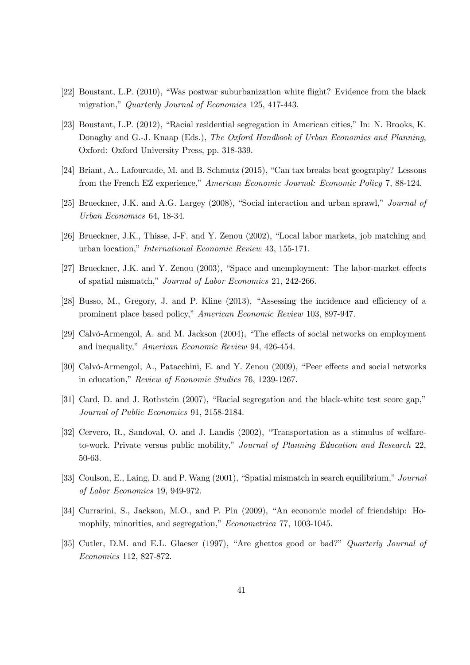- [22] Boustant, L.P. (2010), "Was postwar suburbanization white flight? Evidence from the black migration," Quarterly Journal of Economics 125, 417-443.
- [23] Boustant, L.P. (2012), "Racial residential segregation in American cities," In: N. Brooks, K. Donaghy and G.-J. Knaap (Eds.), The Oxford Handbook of Urban Economics and Planning, Oxford: Oxford University Press, pp. 318-339.
- [24] Briant, A., Lafourcade, M. and B. Schmutz (2015), "Can tax breaks beat geography? Lessons from the French EZ experience," American Economic Journal: Economic Policy 7, 88-124.
- [25] Brueckner, J.K. and A.G. Largey (2008), "Social interaction and urban sprawl," Journal of Urban Economics 64, 18-34.
- [26] Brueckner, J.K., Thisse, J-F. and Y. Zenou (2002), "Local labor markets, job matching and urban location," International Economic Review 43, 155-171.
- [27] Brueckner, J.K. and Y. Zenou (2003), "Space and unemployment: The labor-market effects of spatial mismatch," Journal of Labor Economics 21, 242-266.
- [28] Busso, M., Gregory, J. and P. Kline (2013), "Assessing the incidence and efficiency of a prominent place based policy," American Economic Review 103, 897-947.
- [29] Calvó-Armengol, A. and M. Jackson (2004), "The effects of social networks on employment and inequality," American Economic Review 94, 426-454.
- [30] Calvó-Armengol, A., Patacchini, E. and Y. Zenou (2009), "Peer effects and social networks in education," Review of Economic Studies 76, 1239-1267.
- [31] Card, D. and J. Rothstein (2007), "Racial segregation and the black-white test score gap," Journal of Public Economics 91, 2158-2184.
- [32] Cervero, R., Sandoval, O. and J. Landis (2002), "Transportation as a stimulus of welfareto-work. Private versus public mobility," Journal of Planning Education and Research 22, 50-63.
- [33] Coulson, E., Laing, D. and P. Wang (2001), "Spatial mismatch in search equilibrium," Journal of Labor Economics 19, 949-972.
- [34] Currarini, S., Jackson, M.O., and P. Pin (2009), "An economic model of friendship: Homophily, minorities, and segregation," Econometrica 77, 1003-1045.
- [35] Cutler, D.M. and E.L. Glaeser (1997), "Are ghettos good or bad?" Quarterly Journal of Economics 112, 827-872.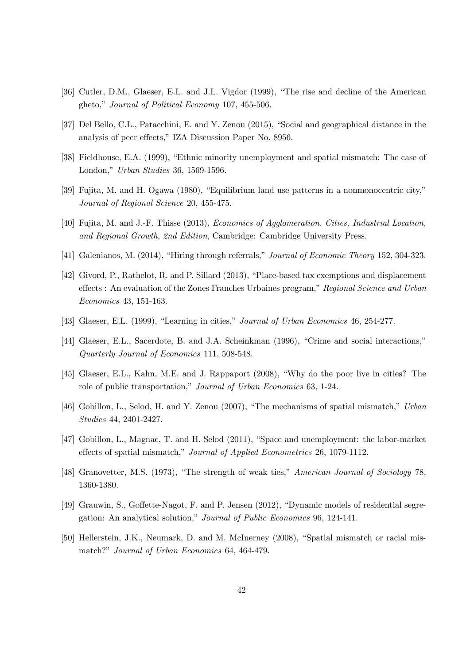- [36] Cutler, D.M., Glaeser, E.L. and J.L. Vigdor (1999), "The rise and decline of the American gheto," Journal of Political Economy 107, 455-506.
- [37] Del Bello, C.L., Patacchini, E. and Y. Zenou (2015), "Social and geographical distance in the analysis of peer effects," IZA Discussion Paper No. 8956.
- [38] Fieldhouse, E.A. (1999), "Ethnic minority unemployment and spatial mismatch: The case of London," Urban Studies 36, 1569-1596.
- [39] Fujita, M. and H. Ogawa (1980), "Equilibrium land use patterns in a nonmonocentric city," Journal of Regional Science 20, 455-475.
- [40] Fujita, M. and J.-F. Thisse (2013), Economics of Agglomeration. Cities, Industrial Location, and Regional Growth, 2nd Edition, Cambridge: Cambridge University Press.
- [41] Galenianos, M. (2014), "Hiring through referrals," Journal of Economic Theory 152, 304-323.
- [42] Givord, P., Rathelot, R. and P. Sillard (2013), "Place-based tax exemptions and displacement effects : An evaluation of the Zones Franches Urbaines program," Regional Science and Urban Economics 43, 151-163.
- [43] Glaeser, E.L. (1999), "Learning in cities," Journal of Urban Economics 46, 254-277.
- [44] Glaeser, E.L., Sacerdote, B. and J.A. Scheinkman (1996), "Crime and social interactions," Quarterly Journal of Economics 111, 508-548.
- [45] Glaeser, E.L., Kahn, M.E. and J. Rappaport (2008), "Why do the poor live in cities? The role of public transportation," Journal of Urban Economics 63, 1-24.
- [46] Gobillon, L., Selod, H. and Y. Zenou (2007), "The mechanisms of spatial mismatch," Urban Studies 44, 2401-2427.
- [47] Gobillon, L., Magnac, T. and H. Selod (2011), "Space and unemployment: the labor-market effects of spatial mismatch," Journal of Applied Econometrics 26, 1079-1112.
- [48] Granovetter, M.S. (1973), "The strength of weak ties," American Journal of Sociology 78, 1360-1380.
- [49] Grauwin, S., Goffette-Nagot, F. and P. Jensen (2012), "Dynamic models of residential segregation: An analytical solution," Journal of Public Economics 96, 124-141.
- [50] Hellerstein, J.K., Neumark, D. and M. McInerney (2008), "Spatial mismatch or racial mismatch?" Journal of Urban Economics 64, 464-479.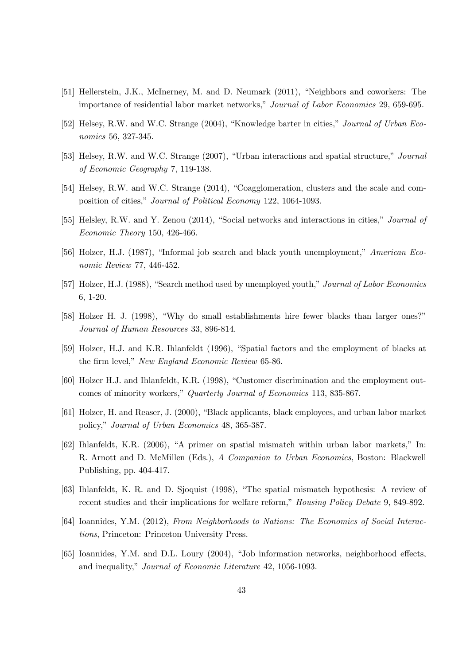- [51] Hellerstein, J.K., McInerney, M. and D. Neumark (2011), "Neighbors and coworkers: The importance of residential labor market networks," Journal of Labor Economics 29, 659-695.
- [52] Helsey, R.W. and W.C. Strange (2004), "Knowledge barter in cities," Journal of Urban Economics 56, 327-345.
- [53] Helsey, R.W. and W.C. Strange (2007), "Urban interactions and spatial structure," Journal of Economic Geography 7, 119-138.
- [54] Helsey, R.W. and W.C. Strange (2014), "Coagglomeration, clusters and the scale and composition of cities," Journal of Political Economy 122, 1064-1093.
- [55] Helsley, R.W. and Y. Zenou (2014), "Social networks and interactions in cities," Journal of Economic Theory 150, 426-466.
- [56] Holzer, H.J. (1987), "Informal job search and black youth unemployment," American Economic Review 77, 446-452.
- [57] Holzer, H.J. (1988), "Search method used by unemployed youth," Journal of Labor Economics 6, 1-20.
- [58] Holzer H. J. (1998), "Why do small establishments hire fewer blacks than larger ones?" Journal of Human Resources 33, 896-814.
- [59] Holzer, H.J. and K.R. Ihlanfeldt (1996), "Spatial factors and the employment of blacks at the firm level," New England Economic Review 65-86.
- [60] Holzer H.J. and Ihlanfeldt, K.R. (1998), "Customer discrimination and the employment outcomes of minority workers," Quarterly Journal of Economics 113, 835-867.
- [61] Holzer, H. and Reaser, J. (2000), "Black applicants, black employees, and urban labor market policy," Journal of Urban Economics 48, 365-387.
- [62] Ihlanfeldt, K.R. (2006), "A primer on spatial mismatch within urban labor markets," In: R. Arnott and D. McMillen (Eds.), A Companion to Urban Economics, Boston: Blackwell Publishing, pp. 404-417.
- [63] Ihlanfeldt, K. R. and D. Sjoquist (1998), "The spatial mismatch hypothesis: A review of recent studies and their implications for welfare reform," Housing Policy Debate 9, 849-892.
- [64] Ioannides, Y.M. (2012), From Neighborhoods to Nations: The Economics of Social Interactions, Princeton: Princeton University Press.
- [65] Ioannides, Y.M. and D.L. Loury (2004), "Job information networks, neighborhood effects, and inequality," Journal of Economic Literature 42, 1056-1093.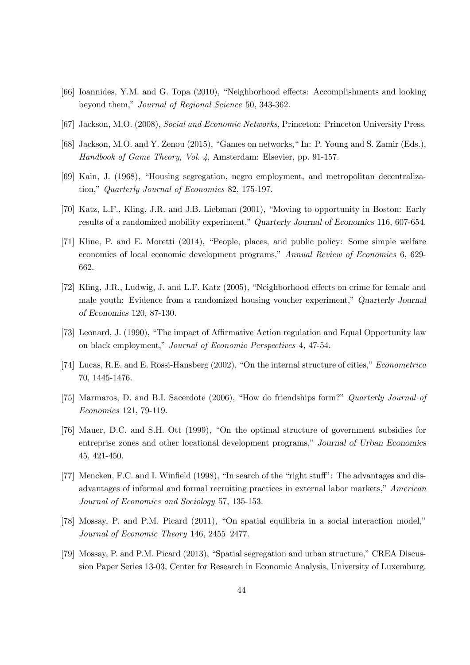- [66] Ioannides, Y.M. and G. Topa (2010), "Neighborhood effects: Accomplishments and looking beyond them," Journal of Regional Science 50, 343-362.
- [67] Jackson, M.O. (2008), Social and Economic Networks, Princeton: Princeton University Press.
- [68] Jackson, M.O. and Y. Zenou (2015), "Games on networks," In: P. Young and S. Zamir (Eds.), Handbook of Game Theory, Vol. 4, Amsterdam: Elsevier, pp. 91-157.
- [69] Kain, J. (1968), "Housing segregation, negro employment, and metropolitan decentralization," Quarterly Journal of Economics 82, 175-197.
- [70] Katz, L.F., Kling, J.R. and J.B. Liebman (2001), "Moving to opportunity in Boston: Early results of a randomized mobility experiment," Quarterly Journal of Economics 116, 607-654.
- [71] Kline, P. and E. Moretti (2014), "People, places, and public policy: Some simple welfare economics of local economic development programs," Annual Review of Economics 6, 629- 662.
- [72] Kling, J.R., Ludwig, J. and L.F. Katz (2005), "Neighborhood effects on crime for female and male youth: Evidence from a randomized housing voucher experiment," Quarterly Journal of Economics 120, 87-130.
- [73] Leonard, J. (1990), "The impact of Affirmative Action regulation and Equal Opportunity law on black employment," Journal of Economic Perspectives 4, 47-54.
- [74] Lucas, R.E. and E. Rossi-Hansberg (2002), "On the internal structure of cities," Econometrica 70, 1445-1476.
- [75] Marmaros, D. and B.I. Sacerdote (2006), "How do friendships form?" Quarterly Journal of Economics 121, 79-119.
- [76] Mauer, D.C. and S.H. Ott (1999), "On the optimal structure of government subsidies for entreprise zones and other locational development programs," Journal of Urban Economics 45, 421-450.
- [77] Mencken, F.C. and I. Winfield (1998), "In search of the "right stuff": The advantages and disadvantages of informal and formal recruiting practices in external labor markets," American Journal of Economics and Sociology 57, 135-153.
- [78] Mossay, P. and P.M. Picard (2011), "On spatial equilibria in a social interaction model," Journal of Economic Theory 146, 2455—2477.
- [79] Mossay, P. and P.M. Picard (2013), "Spatial segregation and urban structure," CREA Discussion Paper Series 13-03, Center for Research in Economic Analysis, University of Luxemburg.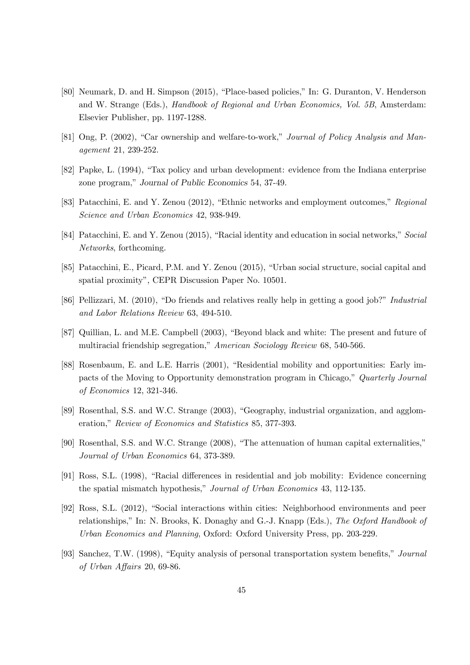- [80] Neumark, D. and H. Simpson (2015), "Place-based policies," In: G. Duranton, V. Henderson and W. Strange (Eds.), Handbook of Regional and Urban Economics, Vol. 5B, Amsterdam: Elsevier Publisher, pp. 1197-1288.
- [81] Ong, P. (2002), "Car ownership and welfare-to-work," Journal of Policy Analysis and Management 21, 239-252.
- [82] Papke, L. (1994), "Tax policy and urban development: evidence from the Indiana enterprise zone program," Journal of Public Economics 54, 37-49.
- [83] Patacchini, E. and Y. Zenou (2012), "Ethnic networks and employment outcomes," Regional Science and Urban Economics 42, 938-949.
- [84] Patacchini, E. and Y. Zenou (2015), "Racial identity and education in social networks," Social Networks, forthcoming.
- [85] Patacchini, E., Picard, P.M. and Y. Zenou (2015), "Urban social structure, social capital and spatial proximity", CEPR Discussion Paper No. 10501.
- [86] Pellizzari, M. (2010), "Do friends and relatives really help in getting a good job?" Industrial and Labor Relations Review 63, 494-510.
- [87] Quillian, L. and M.E. Campbell (2003), "Beyond black and white: The present and future of multiracial friendship segregation," American Sociology Review 68, 540-566.
- [88] Rosenbaum, E. and L.E. Harris (2001), "Residential mobility and opportunities: Early impacts of the Moving to Opportunity demonstration program in Chicago," Quarterly Journal of Economics 12, 321-346.
- [89] Rosenthal, S.S. and W.C. Strange (2003), "Geography, industrial organization, and agglomeration," Review of Economics and Statistics 85, 377-393.
- [90] Rosenthal, S.S. and W.C. Strange (2008), "The attenuation of human capital externalities," Journal of Urban Economics 64, 373-389.
- [91] Ross, S.L. (1998), "Racial differences in residential and job mobility: Evidence concerning the spatial mismatch hypothesis," Journal of Urban Economics 43, 112-135.
- [92] Ross, S.L. (2012), "Social interactions within cities: Neighborhood environments and peer relationships," In: N. Brooks, K. Donaghy and G.-J. Knapp (Eds.), The Oxford Handbook of Urban Economics and Planning, Oxford: Oxford University Press, pp. 203-229.
- [93] Sanchez, T.W. (1998), "Equity analysis of personal transportation system benefits," Journal of Urban Affairs 20, 69-86.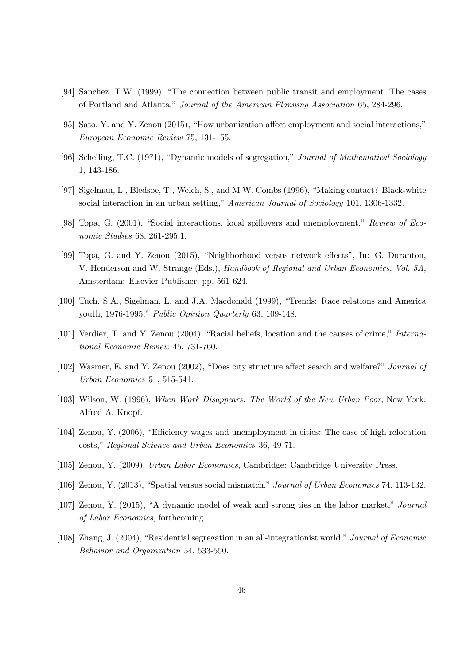- [94] Sanchez, T.W. (1999), "The connection between public transit and employment. The cases of Portland and Atlanta," Journal of the American Planning Association 65, 284-296.
- [95] Sato, Y. and Y. Zenou (2015), "How urbanization affect employment and social interactions," European Economic Review 75, 131-155.
- [96] Schelling, T.C. (1971), "Dynamic models of segregation," Journal of Mathematical Sociology 1, 143-186.
- [97] Sigelman, L., Bledsoe, T., Welch, S., and M.W. Combs (1996), "Making contact? Black-white social interaction in an urban setting," American Journal of Sociology 101, 1306-1332.
- [98] Topa, G. (2001), "Social interactions, local spillovers and unemployment," Review of Economic Studies 68, 261-295.1.
- [99] Topa, G. and Y. Zenou (2015), "Neighborhood versus network effects", In: G. Duranton, V. Henderson and W. Strange (Eds.), Handbook of Regional and Urban Economics, Vol. 5A, Amsterdam: Elsevier Publisher, pp. 561-624.
- [100] Tuch, S.A., Sigelman, L. and J.A. Macdonald (1999), "Trends: Race relations and America youth, 1976-1995," Public Opinion Quarterly 63, 109-148.
- [101] Verdier, T. and Y. Zenou (2004), "Racial beliefs, location and the causes of crime," International Economic Review 45, 731-760.
- [102] Wasmer, E. and Y. Zenou (2002), "Does city structure affect search and welfare?" Journal of Urban Economics 51, 515-541.
- [103] Wilson, W. (1996), When Work Disappears: The World of the New Urban Poor, New York: Alfred A. Knopf.
- [104] Zenou, Y. (2006), "Efficiency wages and unemployment in cities: The case of high relocation costs," Regional Science and Urban Economics 36, 49-71.
- [105] Zenou, Y. (2009), Urban Labor Economics, Cambridge: Cambridge University Press.
- [106] Zenou, Y. (2013), "Spatial versus social mismatch," Journal of Urban Economics 74, 113-132.
- [107] Zenou, Y. (2015), "A dynamic model of weak and strong ties in the labor market," Journal of Labor Economics, forthcoming.
- [108] Zhang, J. (2004), "Residential segregation in an all-integrationist world," Journal of Economic Behavior and Organization 54, 533-550.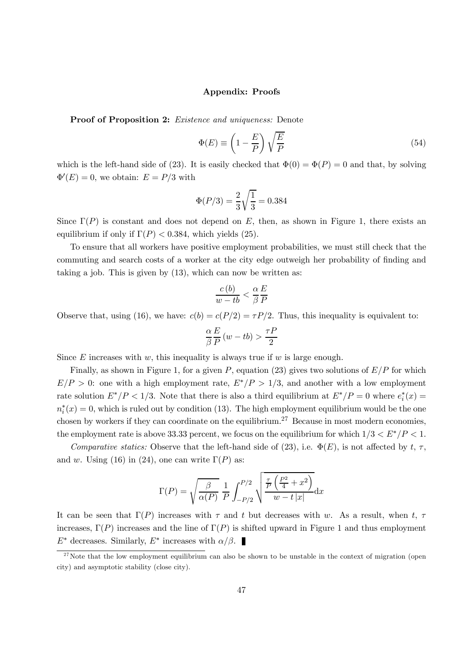#### Appendix: Proofs

Proof of Proposition 2: Existence and uniqueness: Denote

$$
\Phi(E) \equiv \left(1 - \frac{E}{P}\right) \sqrt{\frac{E}{P}}
$$
\n(54)

which is the left-hand side of (23). It is easily checked that  $\Phi(0) = \Phi(P) = 0$  and that, by solving  $\Phi'(E) = 0$ , we obtain:  $E = P/3$  with

$$
\Phi(P/3) = \frac{2}{3}\sqrt{\frac{1}{3}} = 0.384
$$

Since  $\Gamma(P)$  is constant and does not depend on E, then, as shown in Figure 1, there exists an equilibrium if only if  $\Gamma(P) < 0.384$ , which yields (25).

To ensure that all workers have positive employment probabilities, we must still check that the commuting and search costs of a worker at the city edge outweigh her probability of finding and taking a job. This is given by (13), which can now be written as:

$$
\frac{c(b)}{w - tb} < \frac{\alpha}{\beta} \frac{E}{P}
$$

Observe that, using (16), we have:  $c(b) = c(P/2) = \tau P/2$ . Thus, this inequality is equivalent to:

$$
\frac{\alpha}{\beta}\frac{E}{P}\left(w - tb\right) > \frac{\tau P}{2}
$$

Since  $E$  increases with  $w$ , this inequality is always true if  $w$  is large enough.

Finally, as shown in Figure 1, for a given P, equation (23) gives two solutions of  $E/P$  for which  $E/P > 0$ : one with a high employment rate,  $E^*/P > 1/3$ , and another with a low employment rate solution  $E^* / P < 1/3$ . Note that there is also a third equilibrium at  $E^* / P = 0$  where  $e_i^*(x) =$  $n_i^*(x) = 0$ , which is ruled out by condition (13). The high employment equilibrium would be the one chosen by workers if they can coordinate on the equilibrium.<sup>27</sup> Because in most modern economies, the employment rate is above 33.33 percent, we focus on the equilibrium for which  $1/3 < E^* / P < 1$ .

Comparative statics: Observe that the left-hand side of (23), i.e.  $\Phi(E)$ , is not affected by t,  $\tau$ , and w. Using (16) in (24), one can write  $\Gamma(P)$  as:

$$
\Gamma(P) = \sqrt{\frac{\beta}{\alpha(P)}} \frac{1}{P} \int_{-P/2}^{P/2} \sqrt{\frac{\frac{\tau}{P} \left(\frac{P^2}{4} + x^2\right)}{w - t |x|}} dx
$$

It can be seen that  $\Gamma(P)$  increases with  $\tau$  and  $t$  but decreases with w. As a result, when  $t$ ,  $\tau$ increases,  $\Gamma(P)$  increases and the line of  $\Gamma(P)$  is shifted upward in Figure 1 and thus employment  $E^*$  decreases. Similarly,  $E^*$  increases with  $\alpha/\beta$ .

 $27$ Note that the low employment equilibrium can also be shown to be unstable in the context of migration (open city) and asymptotic stability (close city).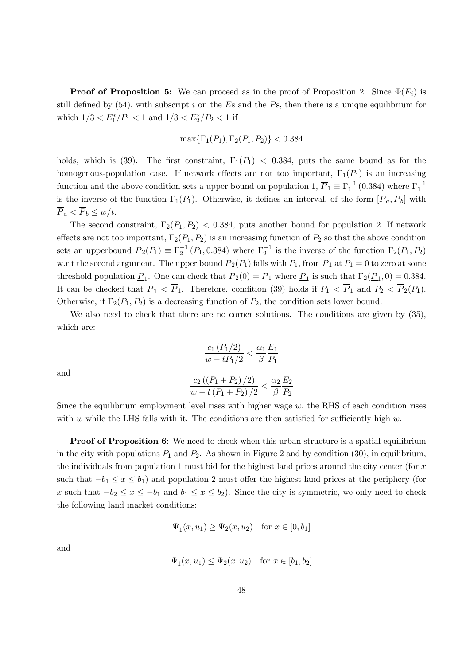**Proof of Proposition 5:** We can proceed as in the proof of Proposition 2. Since  $\Phi(E_i)$  is still defined by  $(54)$ , with subscript *i* on the Es and the Ps, then there is a unique equilibrium for which  $1/3 < E_1^*/P_1 < 1$  and  $1/3 < E_2^*/P_2 < 1$  if

$$
\max\{\Gamma_1(P_1), \Gamma_2(P_1, P_2)\} < 0.384
$$

holds, which is (39). The first constraint,  $\Gamma_1(P_1)$  < 0.384, puts the same bound as for the homogenous-population case. If network effects are not too important,  $\Gamma_1(P_1)$  is an increasing function and the above condition sets a upper bound on population 1,  $\overline{P}_1 \equiv \Gamma_1^{-1}(0.384)$  where  $\Gamma_1^{-1}$ is the inverse of the function  $\Gamma_1(P_1)$ . Otherwise, it defines an interval, of the form  $[\overline{P}_a, \overline{P}_b]$  with  $\overline{P}_a < \overline{P}_b \leq w/t.$ 

The second constraint,  $\Gamma_2(P_1, P_2)$  < 0.384, puts another bound for population 2. If network effects are not too important,  $\Gamma_2(P_1, P_2)$  is an increasing function of  $P_2$  so that the above condition sets an upperbound  $\overline{P}_2(P_1) \equiv \Gamma_2^{-1}(P_1, 0.384)$  where  $\Gamma_2^{-1}$  is the inverse of the function  $\Gamma_2(P_1, P_2)$ w.r.t the second argument. The upper bound  $\overline{P}_2(P_1)$  falls with  $P_1$ , from  $\overline{P}_1$  at  $P_1 = 0$  to zero at some threshold population  $\underline{P}_1$ . One can check that  $\overline{P}_2(0) = \overline{P}_1$  where  $\underline{P}_1$  is such that  $\Gamma_2(\underline{P}_1, 0) = 0.384$ . It can be checked that  $\underline{P}_1 < \overline{P}_1$ . Therefore, condition (39) holds if  $P_1 < \overline{P}_1$  and  $P_2 < \overline{P}_2(P_1)$ . Otherwise, if  $\Gamma_2(P_1, P_2)$  is a decreasing function of  $P_2$ , the condition sets lower bound.

We also need to check that there are no corner solutions. The conditions are given by  $(35)$ , which are:

$$
\frac{c_1 (P_1/2)}{w - t P_1/2} < \frac{\alpha_1}{\beta} \frac{E_1}{P_1}
$$

and

$$
\frac{c_2((P_1 + P_2)/2)}{w - t(P_1 + P_2)/2} < \frac{\alpha_2}{\beta} \frac{E_2}{P_2}
$$

Since the equilibrium employment level rises with higher wage  $w$ , the RHS of each condition rises with  $w$  while the LHS falls with it. The conditions are then satisfied for sufficiently high  $w$ .

**Proof of Proposition 6:** We need to check when this urban structure is a spatial equilibrium in the city with populations  $P_1$  and  $P_2$ . As shown in Figure 2 and by condition (30), in equilibrium, the individuals from population 1 must bid for the highest land prices around the city center (for  $x$ such that  $-b_1 \leq x \leq b_1$ ) and population 2 must offer the highest land prices at the periphery (for x such that  $-b_2 \le x \le -b_1$  and  $b_1 \le x \le b_2$ ). Since the city is symmetric, we only need to check the following land market conditions:

$$
\Psi_1(x, u_1) \ge \Psi_2(x, u_2)
$$
 for  $x \in [0, b_1]$ 

and

$$
\Psi_1(x, u_1) \le \Psi_2(x, u_2) \quad \text{for } x \in [b_1, b_2]
$$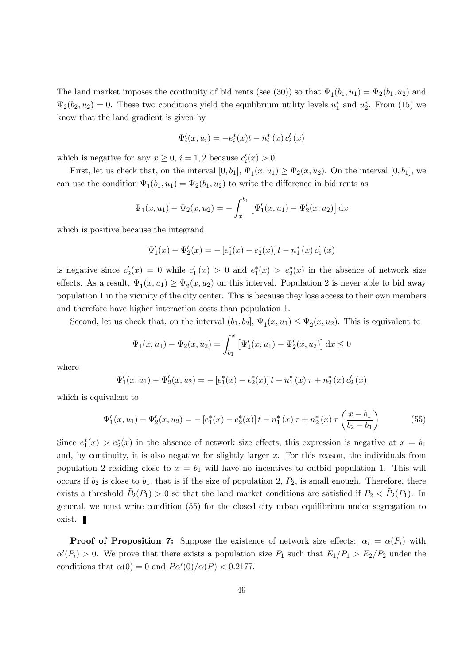The land market imposes the continuity of bid rents (see (30)) so that  $\Psi_1(b_1, u_1) = \Psi_2(b_1, u_2)$  and  $\Psi_2(b_2, u_2) = 0$ . These two conditions yield the equilibrium utility levels  $u_1^*$  and  $u_2^*$ . From (15) we know that the land gradient is given by

$$
\Psi'_{i}(x, u_{i}) = -e_{i}^{*}(x)t - n_{i}^{*}(x) c'_{i}(x)
$$

which is negative for any  $x \geq 0$ ,  $i = 1, 2$  because  $c_i'(x) > 0$ .

First, let us check that, on the interval  $[0, b_1]$ ,  $\Psi_1(x, u_1) \geq \Psi_2(x, u_2)$ . On the interval  $[0, b_1]$ , we can use the condition  $\Psi_1(b_1, u_1) = \Psi_2(b_1, u_2)$  to write the difference in bid rents as

$$
\Psi_1(x, u_1) - \Psi_2(x, u_2) = -\int_x^{b_1} \left[ \Psi'_1(x, u_1) - \Psi'_2(x, u_2) \right] dx
$$

which is positive because the integrand

$$
\Psi_1'(x) - \Psi_2'(x) = -\left[e_1^*(x) - e_2^*(x)\right]t - n_1^*(x) c_1'(x)
$$

is negative since  $c'_2(x) = 0$  while  $c'_1(x) > 0$  and  $e_1^*(x) > e_2^*(x)$  in the absence of network size effects. As a result,  $\Psi_1(x, u_1) \ge \Psi_2(x, u_2)$  on this interval. Population 2 is never able to bid away population 1 in the vicinity of the city center. This is because they lose access to their own members and therefore have higher interaction costs than population 1.

Second, let us check that, on the interval  $(b_1, b_2], \Psi_1(x, u_1) \leq \Psi_2(x, u_2)$ . This is equivalent to

$$
\Psi_1(x, u_1) - \Psi_2(x, u_2) = \int_{b_1}^x \left[ \Psi'_1(x, u_1) - \Psi'_2(x, u_2) \right] dx \le 0
$$

where

$$
\Psi_1'(x, u_1) - \Psi_2'(x, u_2) = -\left[e_1^*(x) - e_2^*(x)\right]t - n_1^*(x)\tau + n_2^*(x)\,c_2'(x)
$$

which is equivalent to

$$
\Psi_1'(x, u_1) - \Psi_2'(x, u_2) = -\left[e_1^*(x) - e_2^*(x)\right]t - n_1^*(x)\tau + n_2^*(x)\tau\left(\frac{x - b_1}{b_2 - b_1}\right) \tag{55}
$$

Since  $e_1^*(x) > e_2^*(x)$  in the absence of network size effects, this expression is negative at  $x = b_1$ and, by continuity, it is also negative for slightly larger  $x$ . For this reason, the individuals from population 2 residing close to  $x = b_1$  will have no incentives to outbid population 1. This will occurs if  $b_2$  is close to  $b_1$ , that is if the size of population 2,  $P_2$ , is small enough. Therefore, there exists a threshold  $\widehat{P}_2(P_1) > 0$  so that the land market conditions are satisfied if  $P_2 < \widehat{P}_2(P_1)$ . In general, we must write condition (55) for the closed city urban equilibrium under segregation to exist.

**Proof of Proposition 7:** Suppose the existence of network size effects:  $\alpha_i = \alpha(P_i)$  with  $\alpha'(P_i) > 0$ . We prove that there exists a population size  $P_1$  such that  $E_1/P_1 > E_2/P_2$  under the conditions that  $\alpha(0) = 0$  and  $P\alpha'(0)/\alpha(P) < 0.2177$ .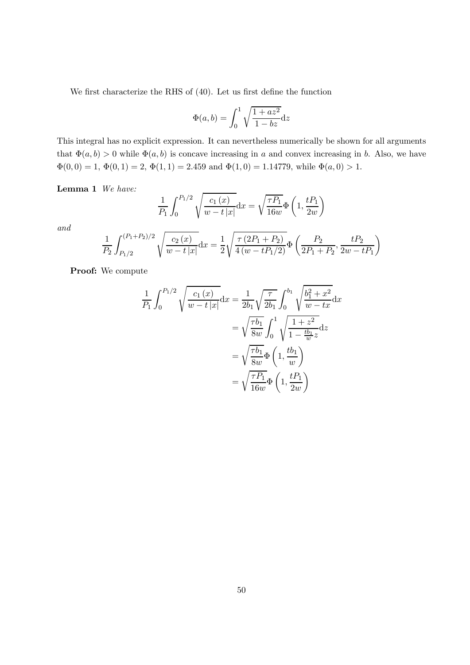We first characterize the RHS of (40). Let us first define the function

$$
\Phi(a,b) = \int_0^1 \sqrt{\frac{1+az^2}{1-bz}} dz
$$

This integral has no explicit expression. It can nevertheless numerically be shown for all arguments that  $\Phi(a, b) > 0$  while  $\Phi(a, b)$  is concave increasing in a and convex increasing in b. Also, we have  $\Phi(0,0) = 1, \Phi(0,1) = 2, \Phi(1,1) = 2.459$  and  $\Phi(1,0) = 1.14779$ , while  $\Phi(a,0) > 1$ .

Lemma 1 We have:

$$
\frac{1}{P_1} \int_0^{P_1/2} \sqrt{\frac{c_1(x)}{w - t |x|}} dx = \sqrt{\frac{\tau P_1}{16w}} \Phi\left(1, \frac{t P_1}{2w}\right)
$$

and

$$
\frac{1}{P_2} \int_{P_1/2}^{(P_1+P_2)/2} \sqrt{\frac{c_2(x)}{w-t|x|}} dx = \frac{1}{2} \sqrt{\frac{\tau(2P_1+P_2)}{4(w-tP_1/2)}} \Phi\left(\frac{P_2}{2P_1+P_2}, \frac{tP_2}{2w-tP_1}\right)
$$

Proof: We compute

$$
\frac{1}{P_1} \int_0^{P_1/2} \sqrt{\frac{c_1(x)}{w-t|x|}} dx = \frac{1}{2b_1} \sqrt{\frac{\tau}{2b_1}} \int_0^{b_1} \sqrt{\frac{b_1^2 + x^2}{w - tx}} dx
$$

$$
= \sqrt{\frac{\tau b_1}{8w}} \int_0^1 \sqrt{\frac{1+z^2}{1-\frac{tb_1}{w}z}} dz
$$

$$
= \sqrt{\frac{\tau b_1}{8w}} \Phi\left(1, \frac{tb_1}{w}\right)
$$

$$
= \sqrt{\frac{\tau P_1}{16w}} \Phi\left(1, \frac{tP_1}{2w}\right)
$$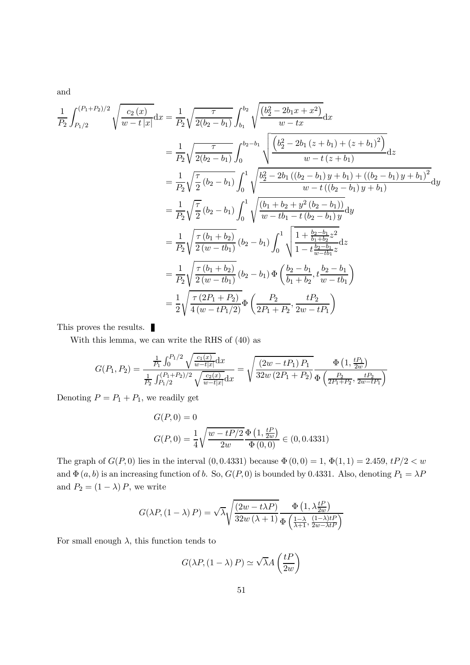and

$$
\frac{1}{P_2} \int_{P_1/2}^{(P_1+P_2)/2} \sqrt{\frac{c_2(x)}{w-t|x|}} dx = \frac{1}{P_2} \sqrt{\frac{\tau}{2(b_2-b_1)}} \int_{b_1}^{b_2} \sqrt{\frac{(b_2^2-2b_1x+x^2)}{w-tx}} dx
$$
\n
$$
= \frac{1}{P_2} \sqrt{\frac{\tau}{2(b_2-b_1)}} \int_0^{b_2-b_1} \sqrt{\frac{(b_2^2-2b_1(z+b_1)+(z+b_1)^2)}{w-t(z+b_1)}} dx
$$
\n
$$
= \frac{1}{P_2} \sqrt{\frac{\tau}{2}} (b_2-b_1) \int_0^1 \sqrt{\frac{b_2^2-2b_1((b_2-b_1)y+b_1)+((b_2-b_1)y+b_1)^2}{w-t((b_2-b_1)y+b_1)}} dx
$$
\n
$$
= \frac{1}{P_2} \sqrt{\frac{\tau}{2}} (b_2-b_1) \int_0^1 \sqrt{\frac{(b_1+b_2+y^2(b_2-b_1))}{w-t(b_1-t(b_2-b_1))}} dy
$$
\n
$$
= \frac{1}{P_2} \sqrt{\frac{\tau(b_1+b_2)}{2(w-tb_1)}} (b_2-b_1) \int_0^1 \sqrt{\frac{1+\frac{b_2-b_1}{b_1+b_2}}{1-t\frac{b_2-b_1}{w-tb_1}} dz}
$$
\n
$$
= \frac{1}{P_2} \sqrt{\frac{\tau(b_1+b_2)}{2(w-tb_1)}} (b_2-b_1) \Phi \left(\frac{b_2-b_1}{b_1+b_2}, \frac{b_2-b_1}{w-tb_1}\right)
$$
\n
$$
= \frac{1}{2} \sqrt{\frac{\tau(2P_1+P_2)}{4(w-tP_1/2)}} \Phi \left(\frac{P_2}{2P_1+P_2}, \frac{tP_2}{2w-tP_1}\right)
$$

This proves the results.

With this lemma, we can write the RHS of (40) as

$$
G(P_1, P_2) = \frac{\frac{1}{P_1} \int_0^{P_1/2} \sqrt{\frac{c_1(x)}{w-t|x|}} dx}{\frac{1}{P_2} \int_{P_1/2}^{(P_1+P_2)/2} \sqrt{\frac{c_2(x)}{w-t|x|}} dx} = \sqrt{\frac{(2w - tP_1) P_1}{32w (2P_1 + P_2)}} \frac{\Phi\left(1, \frac{tP_1}{2w}\right)}{\Phi\left(\frac{P_2}{2P_1 + P_2}, \frac{tP_2}{2w - tP_1}\right)}
$$

Denoting  $P = P_1 + P_1$ , we readily get

$$
G(P,0) = 0
$$
  

$$
G(P,0) = \frac{1}{4} \sqrt{\frac{w - tP/2}{2w}} \frac{\Phi(1, \frac{tP}{2w})}{\Phi(0,0)} \in (0, 0.4331)
$$

The graph of  $G(P, 0)$  lies in the interval  $(0, 0.4331)$  because  $\Phi(0, 0) = 1$ ,  $\Phi(1, 1) = 2.459$ ,  $tP/2 < w$ and  $\Phi(a, b)$  is an increasing function of b. So,  $G(P, 0)$  is bounded by 0.4331. Also, denoting  $P_1 = \lambda P$ and  $P_2 = (1 - \lambda) P$ , we write

$$
G(\lambda P, (1 - \lambda) P) = \sqrt{\lambda} \sqrt{\frac{(2w - t\lambda P)}{32w(\lambda + 1)}} \frac{\Phi(1, \lambda \frac{tP}{2w})}{\Phi(\frac{1 - \lambda}{\lambda + 1}, \frac{(1 - \lambda)tP}{2w - \lambda tP})}
$$

For small enough  $\lambda$ , this function tends to

$$
G(\lambda P, (1 - \lambda) P) \simeq \sqrt{\lambda} A \left(\frac{tP}{2w}\right)
$$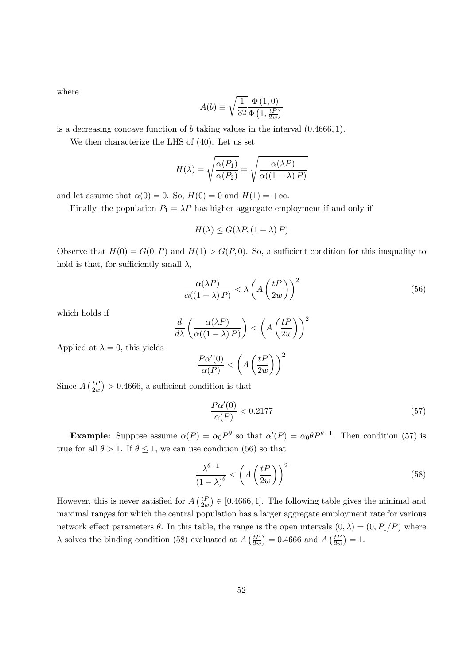where

$$
A(b) \equiv \sqrt{\frac{1}{32} \frac{\Phi(1,0)}{\Phi(1,\frac{tP}{2w})}}
$$

is a decreasing concave function of  $b$  taking values in the interval  $(0.4666, 1)$ .

We then characterize the LHS of (40). Let us set

$$
H(\lambda) = \sqrt{\frac{\alpha(P_1)}{\alpha(P_2)}} = \sqrt{\frac{\alpha(\lambda P)}{\alpha((1 - \lambda) P)}}
$$

and let assume that  $\alpha(0) = 0$ . So,  $H(0) = 0$  and  $H(1) = +\infty$ .

Finally, the population  $P_1 = \lambda P$  has higher aggregate employment if and only if

$$
H(\lambda) \le G(\lambda P, (1 - \lambda) P)
$$

Observe that  $H(0) = G(0, P)$  and  $H(1) > G(P, 0)$ . So, a sufficient condition for this inequality to hold is that, for sufficiently small  $\lambda$ ,

$$
\frac{\alpha(\lambda P)}{\alpha((1-\lambda)P)} < \lambda \left( A \left( \frac{tP}{2w} \right) \right)^2 \tag{56}
$$

which holds if

$$
\frac{d}{d\lambda} \left( \frac{\alpha(\lambda P)}{\alpha((1-\lambda) P)} \right) < \left( A \left( \frac{tP}{2w} \right) \right)^2
$$

Applied at  $\lambda = 0$ , this yields

$$
\frac{P\alpha'(0)}{\alpha(P)} < \left(A\left(\frac{tP}{2w}\right)\right)^2
$$

Since  $A\left(\frac{tP}{2w}\right) > 0.4666$ , a sufficient condition is that

$$
\frac{P\alpha'(0)}{\alpha(P)} < 0.2177\tag{57}
$$

**Example:** Suppose assume  $\alpha(P) = \alpha_0 P^{\theta}$  so that  $\alpha'(P) = \alpha_0 \theta P^{\theta-1}$ . Then condition (57) is true for all  $\theta > 1$ . If  $\theta \le 1$ , we can use condition (56) so that

$$
\frac{\lambda^{\theta - 1}}{(1 - \lambda)^{\theta}} < \left( A \left( \frac{t}{2w} \right) \right)^2 \tag{58}
$$

However, this is never satisfied for  $A\left(\frac{tP}{2w}\right) \in [0.4666, 1]$ . The following table gives the minimal and maximal ranges for which the central population has a larger aggregate employment rate for various network effect parameters  $\theta$ . In this table, the range is the open intervals  $(0, \lambda) = (0, P_1/P)$  where  $\lambda$  solves the binding condition (58) evaluated at  $A\left(\frac{tP}{2w}\right) = 0.4666$  and  $A\left(\frac{tP}{2w}\right) = 1$ .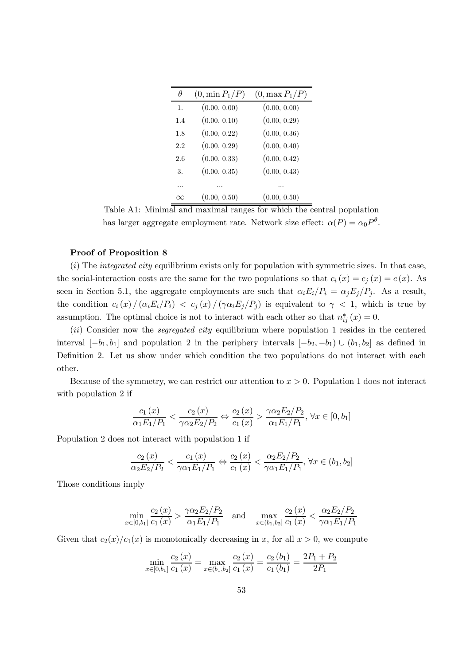| H              | $(0, \min P_1/P)$ | $(0, \max P_1/P)$ |
|----------------|-------------------|-------------------|
| $\mathbf{1}$ . | (0.00, 0.00)      | (0.00, 0.00)      |
| 1.4            | (0.00, 0.10)      | (0.00, 0.29)      |
| 1.8            | (0.00, 0.22)      | (0.00, 0.36)      |
| 2.2            | (0.00, 0.29)      | (0.00, 0.40)      |
| 2.6            | (0.00, 0.33)      | (0.00, 0.42)      |
| 3.             | (0.00, 0.35)      | (0.00, 0.43)      |
|                |                   |                   |
| Y              | (0.00, 0.50)      | (0.00, 0.50)      |

Table A1: Minimal and maximal ranges for which the central population has larger aggregate employment rate. Network size effect:  $\alpha(P) = \alpha_0 P^{\theta}$ .

#### Proof of Proposition 8

 $(i)$  The *integrated city* equilibrium exists only for population with symmetric sizes. In that case, the social-interaction costs are the same for the two populations so that  $c_i(x) = c_j(x) = c(x)$ . As seen in Section 5.1, the aggregate employments are such that  $\alpha_i E_i/P_i = \alpha_j E_j/P_j$ . As a result, the condition  $c_i(x) / (\alpha_i E_i/P_i) < c_j(x) / (\gamma \alpha_i E_j/P_j)$  is equivalent to  $\gamma < 1$ , which is true by assumption. The optimal choice is not to interact with each other so that  $n_{ij}^*(x) = 0$ .

 $(ii)$  Consider now the *segregated city* equilibrium where population 1 resides in the centered interval  $[-b_1, b_1]$  and population 2 in the periphery intervals  $[-b_2, -b_1] \cup (b_1, b_2]$  as defined in Definition 2. Let us show under which condition the two populations do not interact with each other.

Because of the symmetry, we can restrict our attention to  $x > 0$ . Population 1 does not interact with population 2 if

$$
\frac{c_1(x)}{\alpha_1 E_1/P_1} < \frac{c_2(x)}{\gamma \alpha_2 E_2/P_2} \Leftrightarrow \frac{c_2(x)}{c_1(x)} > \frac{\gamma \alpha_2 E_2/P_2}{\alpha_1 E_1/P_1}, \, \forall x \in [0, b_1]
$$

Population 2 does not interact with population 1 if

$$
\frac{c_2(x)}{\alpha_2 E_2/P_2} < \frac{c_1(x)}{\gamma \alpha_1 E_1/P_1} \Leftrightarrow \frac{c_2(x)}{c_1(x)} < \frac{\alpha_2 E_2/P_2}{\gamma \alpha_1 E_1/P_1}, \forall x \in (b_1, b_2]
$$

Those conditions imply

$$
\min_{x \in [0,b_1]} \frac{c_2(x)}{c_1(x)} > \frac{\gamma \alpha_2 E_2/P_2}{\alpha_1 E_1/P_1} \quad \text{and} \quad \max_{x \in (b_1,b_2]} \frac{c_2(x)}{c_1(x)} < \frac{\alpha_2 E_2/P_2}{\gamma \alpha_1 E_1/P_1}
$$

Given that  $c_2(x)/c_1(x)$  is monotonically decreasing in x, for all  $x > 0$ , we compute

$$
\min_{x \in [0,b_1]} \frac{c_2(x)}{c_1(x)} = \max_{x \in (b_1,b_2]} \frac{c_2(x)}{c_1(x)} = \frac{c_2(b_1)}{c_1(b_1)} = \frac{2P_1 + P_2}{2P_1}
$$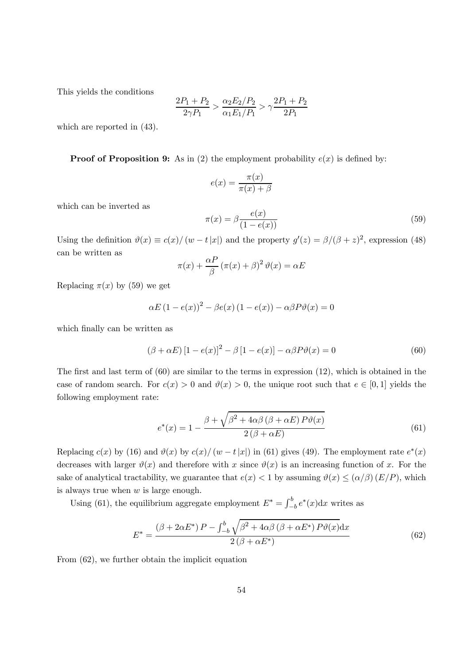This yields the conditions

$$
\frac{2P_1 + P_2}{2\gamma P_1} > \frac{\alpha_2 E_2/P_2}{\alpha_1 E_1/P_1} > \gamma \frac{2P_1 + P_2}{2P_1}
$$

which are reported in (43).

**Proof of Proposition 9:** As in (2) the employment probability  $e(x)$  is defined by:

$$
e(x) = \frac{\pi(x)}{\pi(x) + \beta}
$$

which can be inverted as

$$
\pi(x) = \beta \frac{e(x)}{(1 - e(x))}
$$
\n(59)

Using the definition  $\vartheta(x) \equiv c(x)/(w - t|x|)$  and the property  $g'(z) = \beta/(\beta + z)^2$ , expression (48) can be written as

$$
\pi(x) + \frac{\alpha P}{\beta} (\pi(x) + \beta)^2 \vartheta(x) = \alpha E
$$

Replacing  $\pi(x)$  by (59) we get

$$
\alpha E (1 - e(x))^2 - \beta e(x) (1 - e(x)) - \alpha \beta P \vartheta(x) = 0
$$

which finally can be written as

$$
(\beta + \alpha E) [1 - e(x)]^2 - \beta [1 - e(x)] - \alpha \beta P \vartheta(x) = 0
$$
\n(60)

The first and last term of  $(60)$  are similar to the terms in expression  $(12)$ , which is obtained in the case of random search. For  $c(x) > 0$  and  $\vartheta(x) > 0$ , the unique root such that  $e \in [0,1]$  yields the following employment rate:

$$
e^*(x) = 1 - \frac{\beta + \sqrt{\beta^2 + 4\alpha\beta(\beta + \alpha E) P \vartheta(x)}}{2(\beta + \alpha E)}
$$
(61)

Replacing  $c(x)$  by (16) and  $\vartheta(x)$  by  $c(x)/ (w - t |x|)$  in (61) gives (49). The employment rate  $e^*(x)$ decreases with larger  $\vartheta(x)$  and therefore with x since  $\vartheta(x)$  is an increasing function of x. For the sake of analytical tractability, we guarantee that  $e(x) < 1$  by assuming  $\vartheta(x) \leq (\alpha/\beta) (E/P)$ , which is always true when  $w$  is large enough.

Using (61), the equilibrium aggregate employment  $E^* = \int_{-b}^{b} e^*(x) dx$  writes as

$$
E^* = \frac{(\beta + 2\alpha E^*) P - \int_{-b}^b \sqrt{\beta^2 + 4\alpha\beta (\beta + \alpha E^*) P \vartheta(x)} dx}{2(\beta + \alpha E^*)}
$$
(62)

From (62), we further obtain the implicit equation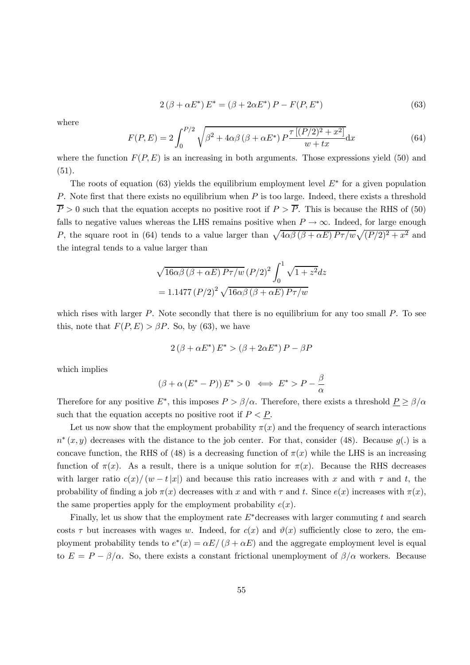$$
2(\beta + \alpha E^*) E^* = (\beta + 2\alpha E^*) P - F(P, E^*)
$$
\n(63)

where

$$
F(P, E) = 2 \int_0^{P/2} \sqrt{\beta^2 + 4\alpha\beta (\beta + \alpha E^*) P \frac{\tau [(P/2)^2 + x^2]}{w + tx}} dx
$$
 (64)

where the function  $F(P, E)$  is an increasing in both arguments. Those expressions yield (50) and (51).

The roots of equation (63) yields the equilibrium employment level  $E^*$  for a given population P. Note first that there exists no equilibrium when  $P$  is too large. Indeed, there exists a threshold  $\overline{P} > 0$  such that the equation accepts no positive root if  $P > \overline{P}$ . This is because the RHS of (50) falls to negative values whereas the LHS remains positive when  $P \to \infty$ . Indeed, for large enough P, the square root in (64) tends to a value larger than  $\sqrt{4\alpha\beta(\beta+\alpha E) P\tau/w}\sqrt{(P/2)^2 + x^2}$  and the integral tends to a value larger than

$$
\sqrt{16\alpha\beta\left(\beta+\alpha E\right)P\tau/w}\left(P/2\right)^{2}\int_{0}^{1}\sqrt{1+z^{2}}dz
$$

$$
=1.1477\left(P/2\right)^{2}\sqrt{16\alpha\beta\left(\beta+\alpha E\right)P\tau/w}
$$

which rises with larger  $P$ . Note secondly that there is no equilibrium for any too small  $P$ . To see this, note that  $F(P, E) > \beta P$ . So, by (63), we have

$$
2(\beta + \alpha E^*) E^* > (\beta + 2\alpha E^*) P - \beta P
$$

which implies

$$
(\beta + \alpha (E^* - P)) E^* > 0 \iff E^* > P - \frac{\beta}{\alpha}
$$

Therefore for any positive  $E^*$ , this imposes  $P > \beta/\alpha$ . Therefore, there exists a threshold  $P \ge \beta/\alpha$ such that the equation accepts no positive root if  $P \leq P$ .

Let us now show that the employment probability  $\pi(x)$  and the frequency of search interactions  $n^*(x, y)$  decreases with the distance to the job center. For that, consider (48). Because  $g(.)$  is a concave function, the RHS of (48) is a decreasing function of  $\pi(x)$  while the LHS is an increasing function of  $\pi(x)$ . As a result, there is a unique solution for  $\pi(x)$ . Because the RHS decreases with larger ratio  $c(x) / (w - t |x|)$  and because this ratio increases with x and with  $\tau$  and t, the probability of finding a job  $\pi(x)$  decreases with x and with  $\tau$  and t. Since  $e(x)$  increases with  $\pi(x)$ , the same properties apply for the employment probability  $e(x)$ .

Finally, let us show that the employment rate  $E^*$  decreases with larger commuting t and search costs  $\tau$  but increases with wages w. Indeed, for  $c(x)$  and  $\vartheta(x)$  sufficiently close to zero, the employment probability tends to  $e^*(x) = \alpha E/(\beta + \alpha E)$  and the aggregate employment level is equal to  $E = P - \beta/\alpha$ . So, there exists a constant frictional unemployment of  $\beta/\alpha$  workers. Because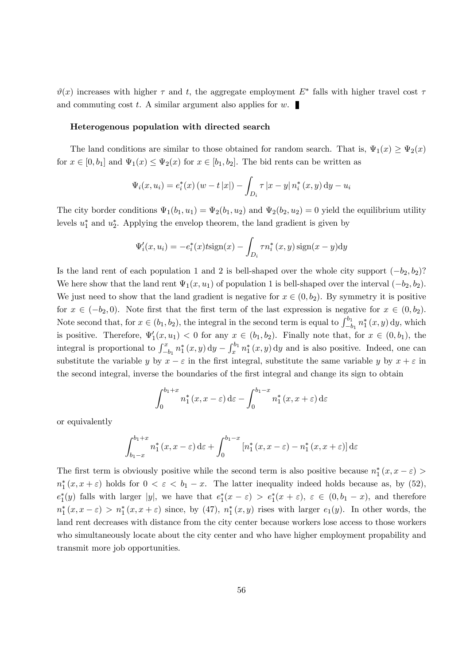$\vartheta(x)$  increases with higher  $\tau$  and t, the aggregate employment  $E^*$  falls with higher travel cost  $\tau$ and commuting cost t. A similar argument also applies for  $w$ .

#### Heterogenous population with directed search

The land conditions are similar to those obtained for random search. That is,  $\Psi_1(x) \ge \Psi_2(x)$ for  $x \in [0, b_1]$  and  $\Psi_1(x) \leq \Psi_2(x)$  for  $x \in [b_1, b_2]$ . The bid rents can be written as

$$
\Psi_i(x, u_i) = e_i^*(x) (w - t |x|) - \int_{D_i} \tau |x - y| n_i^*(x, y) dy - u_i
$$

The city border conditions  $\Psi_1(b_1, u_1) = \Psi_2(b_1, u_2)$  and  $\Psi_2(b_2, u_2) = 0$  yield the equilibrium utility levels  $u_1^*$  and  $u_2^*$ . Applying the envelop theorem, the land gradient is given by

$$
\Psi_i'(x, u_i) = -e_i^*(x)t \operatorname{sign}(x) - \int_{D_i} \tau n_i^*(x, y) \operatorname{sign}(x - y) \mathrm{d}y
$$

Is the land rent of each population 1 and 2 is bell-shaped over the whole city support  $(-b_2, b_2)$ ? We here show that the land rent  $\Psi_1(x, u_1)$  of population 1 is bell-shaped over the interval  $(-b_2, b_2)$ . We just need to show that the land gradient is negative for  $x \in (0, b_2)$ . By symmetry it is positive for  $x \in (-b_2, 0)$ . Note first that the first term of the last expression is negative for  $x \in (0, b_2)$ . Note second that, for  $x \in (b_1, b_2)$ , the integral in the second term is equal to  $\int_{-b_1}^{b_1} n_1^*(x, y) dy$ , which is positive. Therefore,  $\Psi_1'(x, u_1) < 0$  for any  $x \in (b_1, b_2)$ . Finally note that, for  $x \in (0, b_1)$ , the integral is proportional to  $\int_{-b_1}^x n_1^*(x, y) dy - \int_x^{b_1} n_1^*(x, y) dy$  and is also positive. Indeed, one can substitute the variable y by  $x - \varepsilon$  in the first integral, substitute the same variable y by  $x + \varepsilon$  in the second integral, inverse the boundaries of the first integral and change its sign to obtain

$$
\int_0^{b_1+x} n_1^*(x, x - \varepsilon) d\varepsilon - \int_0^{b_1-x} n_1^*(x, x + \varepsilon) d\varepsilon
$$

or equivalently

$$
\int_{b_1-x}^{b_1+x} n_1^*(x, x - \varepsilon) \,d\varepsilon + \int_0^{b_1-x} \left[ n_1^*(x, x - \varepsilon) - n_1^*(x, x + \varepsilon) \right] \,d\varepsilon
$$

The first term is obviously positive while the second term is also positive because  $n_1^*(x, x - \varepsilon)$  $n_1^*(x, x + \varepsilon)$  holds for  $0 < \varepsilon < b_1 - x$ . The latter inequality indeed holds because as, by (52),  $e_1^*(y)$  falls with larger |y|, we have that  $e_1^*(x-\varepsilon) > e_1^*(x+\varepsilon)$ ,  $\varepsilon \in (0,b_1-x)$ , and therefore  $n_1^*(x, x - \varepsilon) > n_1^*(x, x + \varepsilon)$  since, by (47),  $n_1^*(x, y)$  rises with larger  $e_1(y)$ . In other words, the land rent decreases with distance from the city center because workers lose access to those workers who simultaneously locate about the city center and who have higher employment propability and transmit more job opportunities.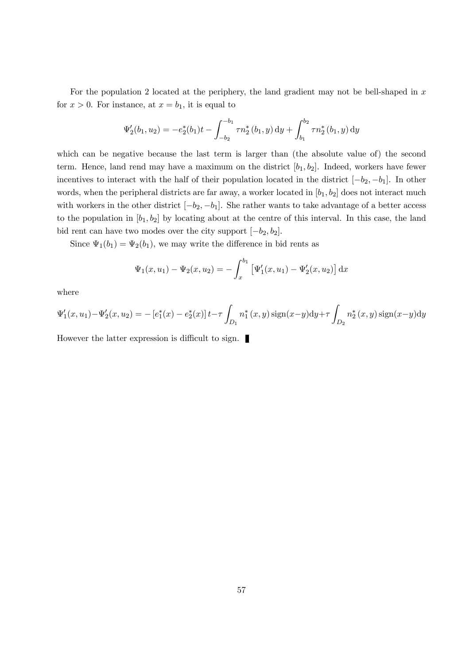For the population 2 located at the periphery, the land gradient may not be bell-shaped in  $x$ for  $x > 0$ . For instance, at  $x = b_1$ , it is equal to

$$
\Psi_2'(b_1, u_2) = -e_2^*(b_1)t - \int_{-b_2}^{-b_1} \tau n_2^*(b_1, y) dy + \int_{b_1}^{b_2} \tau n_2^*(b_1, y) dy
$$

which can be negative because the last term is larger than (the absolute value of) the second term. Hence, land rend may have a maximum on the district  $[b_1, b_2]$ . Indeed, workers have fewer incentives to interact with the half of their population located in the district  $[-b_2, -b_1]$ . In other words, when the peripheral districts are far away, a worker located in  $[b_1, b_2]$  does not interact much with workers in the other district  $[-b_2, -b_1]$ . She rather wants to take advantage of a better access to the population in  $[b_1, b_2]$  by locating about at the centre of this interval. In this case, the land bid rent can have two modes over the city support  $[-b_2, b_2]$ .

Since  $\Psi_1(b_1) = \Psi_2(b_1)$ , we may write the difference in bid rents as

$$
\Psi_1(x, u_1) - \Psi_2(x, u_2) = -\int_x^{b_1} \left[ \Psi'_1(x, u_1) - \Psi'_2(x, u_2) \right] dx
$$

where

$$
\Psi_1'(x, u_1) - \Psi_2'(x, u_2) = -\left[e_1^*(x) - e_2^*(x)\right]t - \tau \int_{D_1} n_1^*(x, y) \operatorname{sign}(x - y) dy + \tau \int_{D_2} n_2^*(x, y) \operatorname{sign}(x - y) dy
$$

However the latter expression is difficult to sign.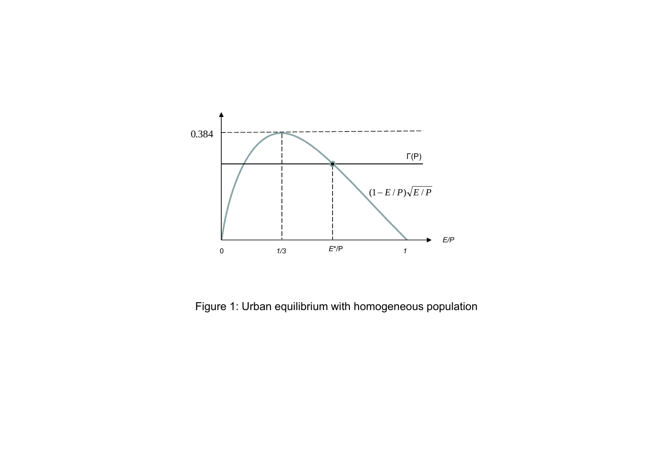

Figure 1: Urban equilibrium with homogeneous population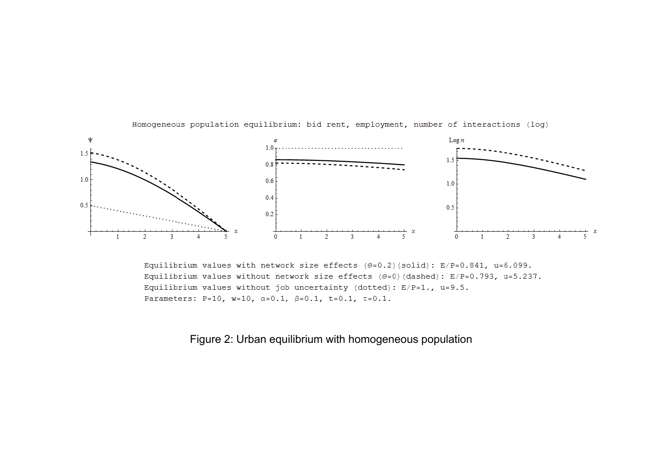

Homogeneous population equilibrium: bid rent, employment, number of interactions (log)

Equilibrium values with network size effects  $(\theta=0.2)$  (solid): E/P=0.841, u=6.099. Equilibrium values without network size effects  $(\theta=0)$  (dashed): E/P=0.793, u=5.237. Equilibrium values without job uncertainty (dotted):  $E/P=1$ .,  $u=9.5$ . Parameters: P=10, w=10,  $\alpha$ =0.1,  $\beta$ =0.1, t=0.1, t=0.1.

Figure 2: Urban equilibrium with homogeneous population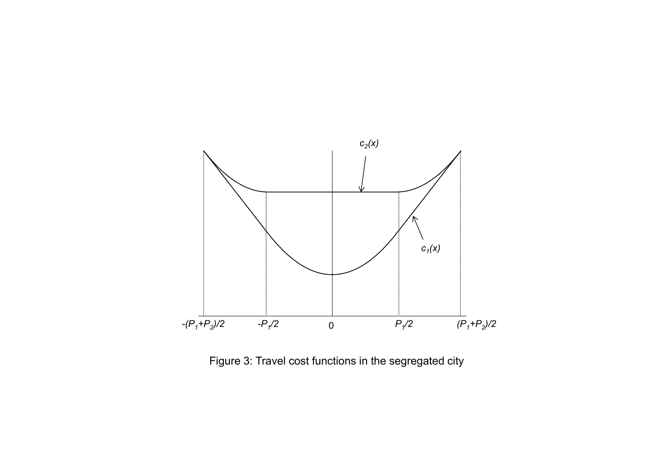

Figure 3: Travel cost functions in the segregated city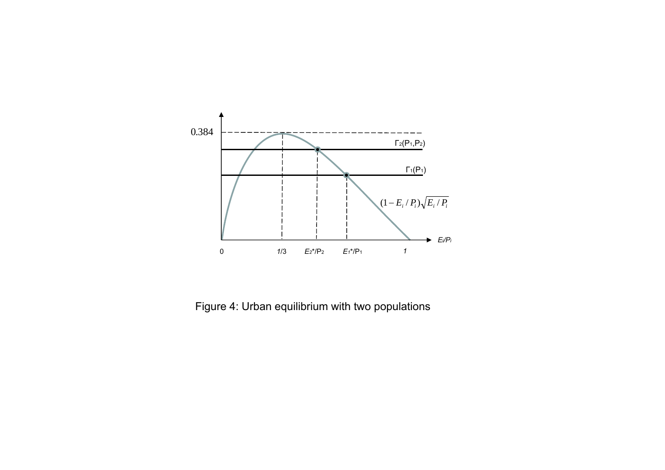

Figure 4: Urban equilibrium with two populations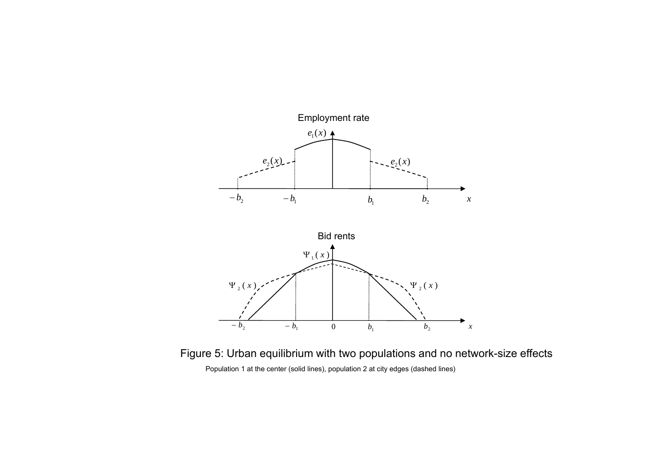

Figure 5: Urban equilibrium with two populations and no network-size effects Population 1 at the center (solid lines), population 2 at city edges (dashed lines)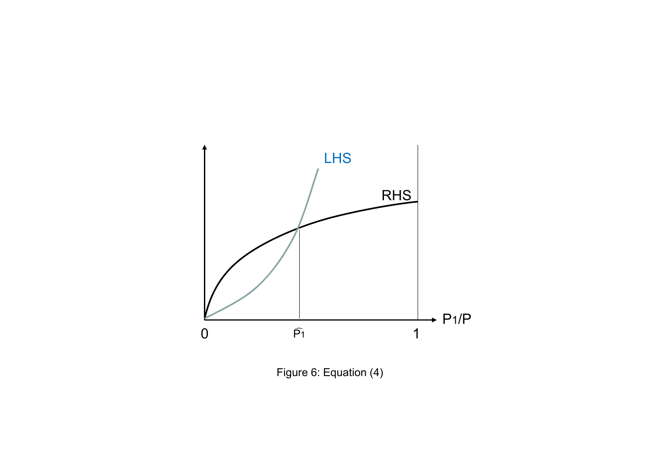

Figure 6: Equation (4)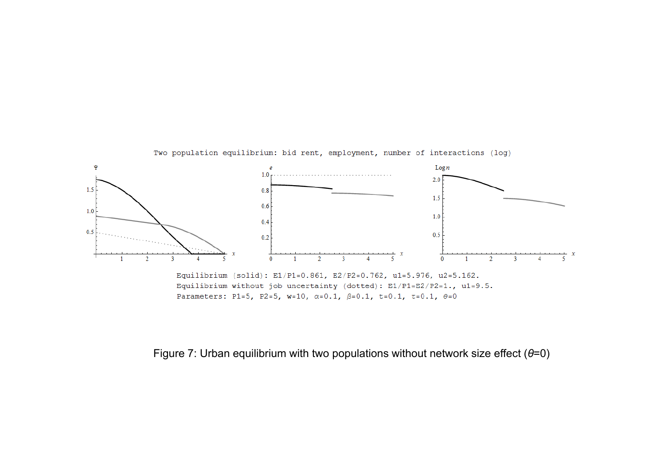

Two population equilibrium: bid rent, employment, number of interactions (log)

Figure 7: Urban equilibrium with two populations without network size effect ( *θ*=0)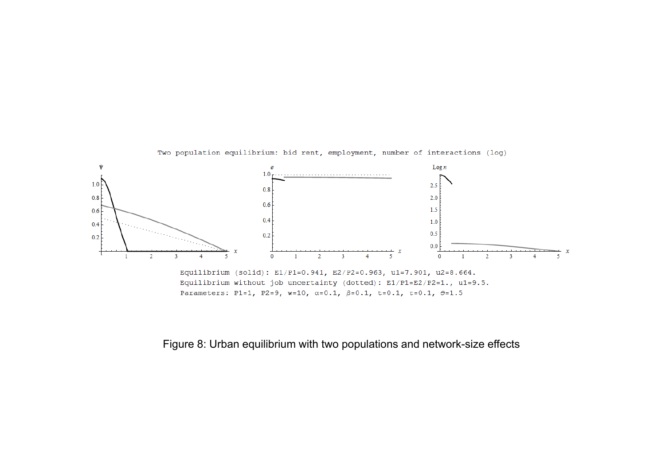

Parameters: P1=1, P2=9, w=10,  $\alpha$ =0.1,  $\beta$ =0.1, t=0.1, t=0.1,  $\theta$ =1.5

Two population equilibrium: bid rent, employment, number of interactions (log)

Figure 8: Urban equilibrium with two populations and network-size effects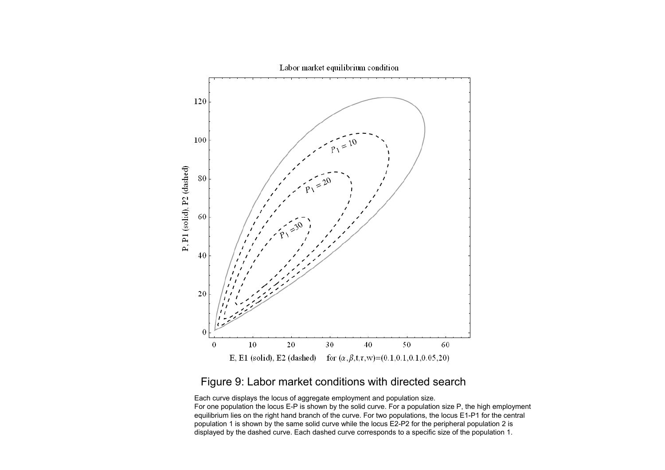

#### Labor market equilibrium condition

# Figure 9: Labor market conditions with directed search

Each curve displays the locus of aggregate employment and population size.

For one population the locus E-P is shown by the solid curve. For <sup>a</sup> population size P, the high employment equilibrium lies on the right hand branch of the curve. For two populations, the locus E1-P1 for the central population 1 is shown by the same solid curve while the locus E2-P2 for the peripheral population 2 is displayed by the dashed curve. Each dashed curve corresponds to <sup>a</sup> specific size of the population 1.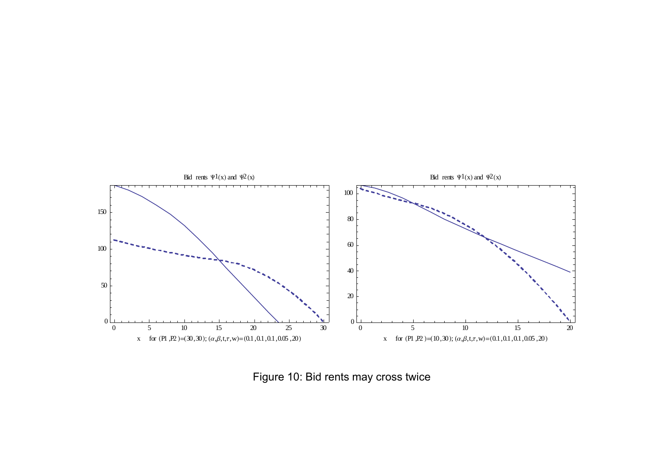

Figure 10: Bid rents may cross twice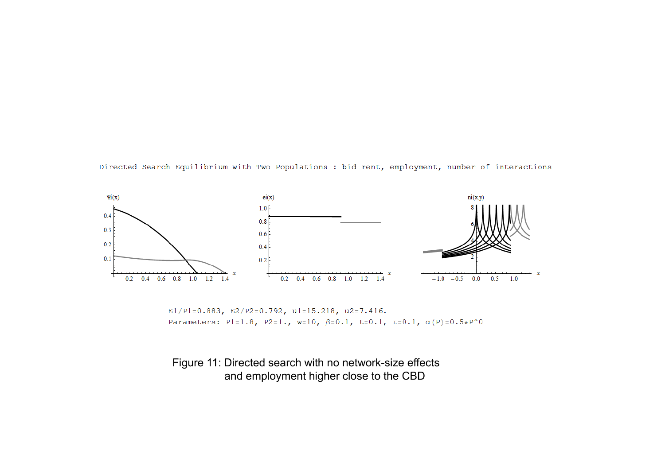Directed Search Equilibrium with Two Populations : bid rent, employment, number of interactions



E1/P1=0.883, E2/P2=0.792, u1=15.218, u2=7.416. Parameters: P1=1.8, P2=1., w=10,  $\beta$ =0.1, t=0.1, t=0.1,  $\alpha(P)$ =0.5\*P^0

Figure 11: Directed search with no network-size effects and employment higher close to the CBD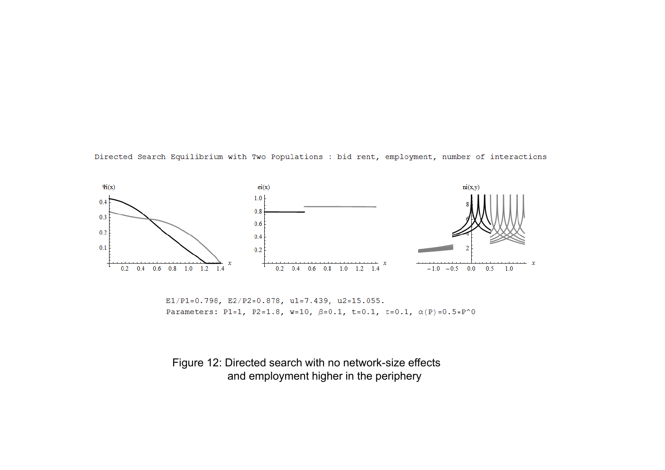Directed Search Equilibrium with Two Populations : bid rent, employment, number of interactions



E1/P1=0.798, E2/P2=0.878, u1=7.439, u2=15.055. Parameters: P1=1, P2=1.8, w=10,  $\beta = 0.1$ , t=0.1,  $\tau = 0.1$ ,  $\alpha(P) = 0.5 \times P^0$ 

## Figure 12: Directed search with no network-size effects and employment higher in the periphery